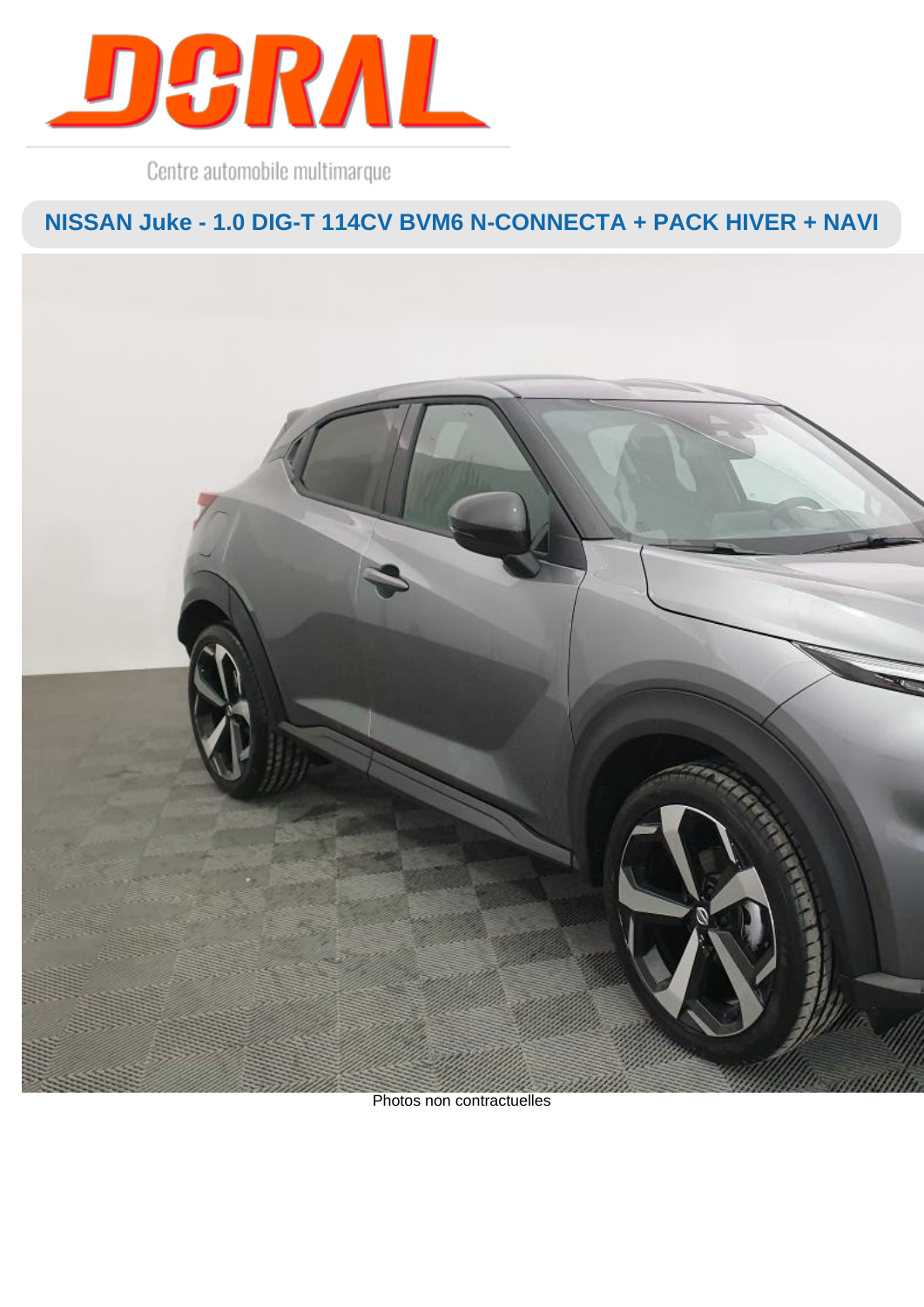

Centre automobile multimarque

**NISSAN Juke - 1.0 DIG-T 114CV BVM6 N-CONNECTA + PACK HIVER + NAVI**



Photos non contractuelles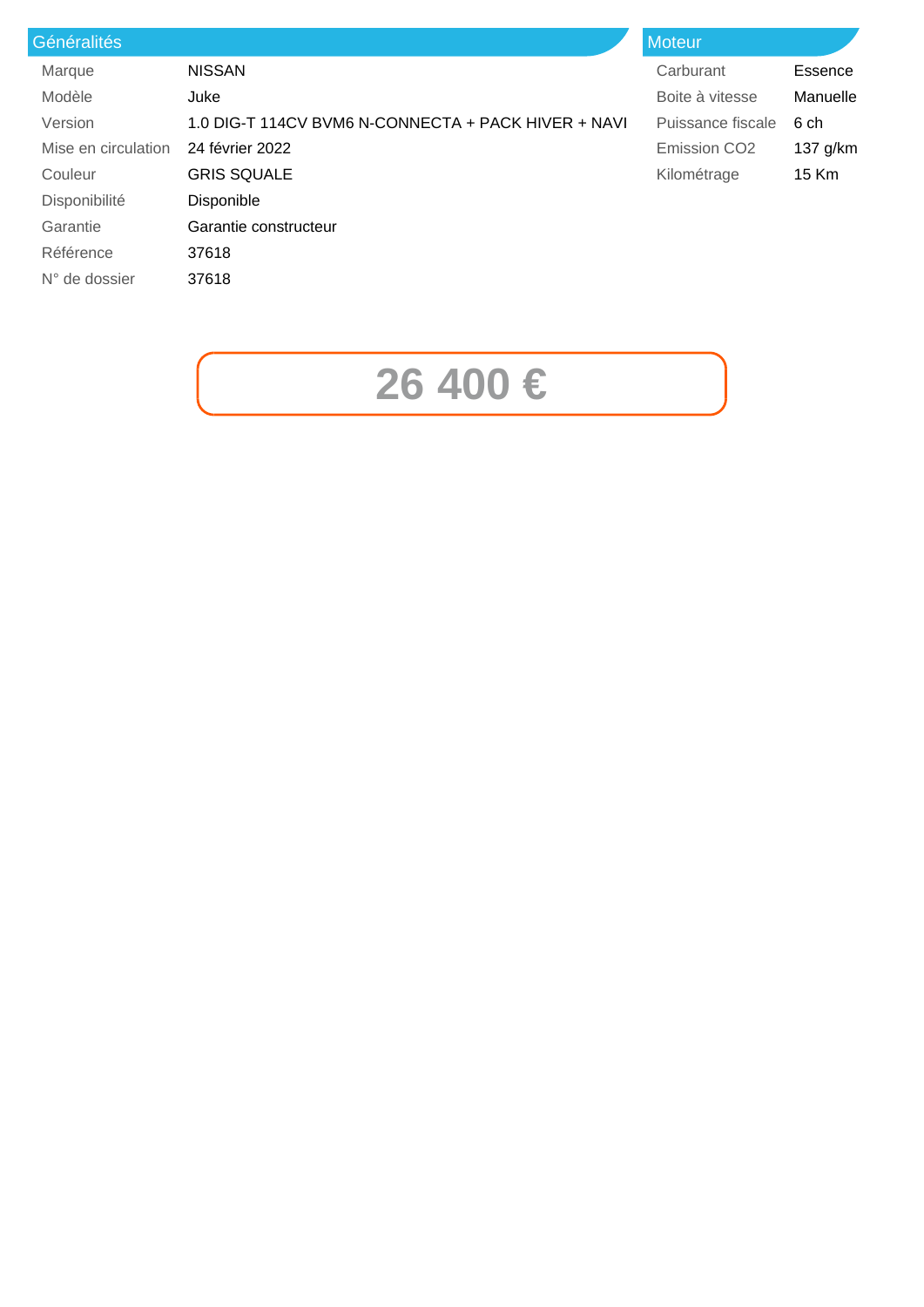| <b>Généralités</b>  |                                                     | <b>Moteur</b>       |          |
|---------------------|-----------------------------------------------------|---------------------|----------|
| Marque              | <b>NISSAN</b>                                       | Carburant           | Essence  |
| Modèle              | Juke                                                | Boite à vitesse     | Manuelle |
| Version             | 1.0 DIG-T 114CV BVM6 N-CONNECTA + PACK HIVER + NAVI | Puissance fiscale   | 6 ch     |
| Mise en circulation | 24 février 2022                                     | <b>Emission CO2</b> | 137 g/km |
| Couleur             | <b>GRIS SQUALE</b>                                  | Kilométrage         | 15 Km    |
| Disponibilité       | <b>Disponible</b>                                   |                     |          |
| Garantie            | Garantie constructeur                               |                     |          |
| Référence           | 37618                                               |                     |          |
| $N°$ de dossier     | 37618                                               |                     |          |
|                     |                                                     |                     |          |

## **26 400 €**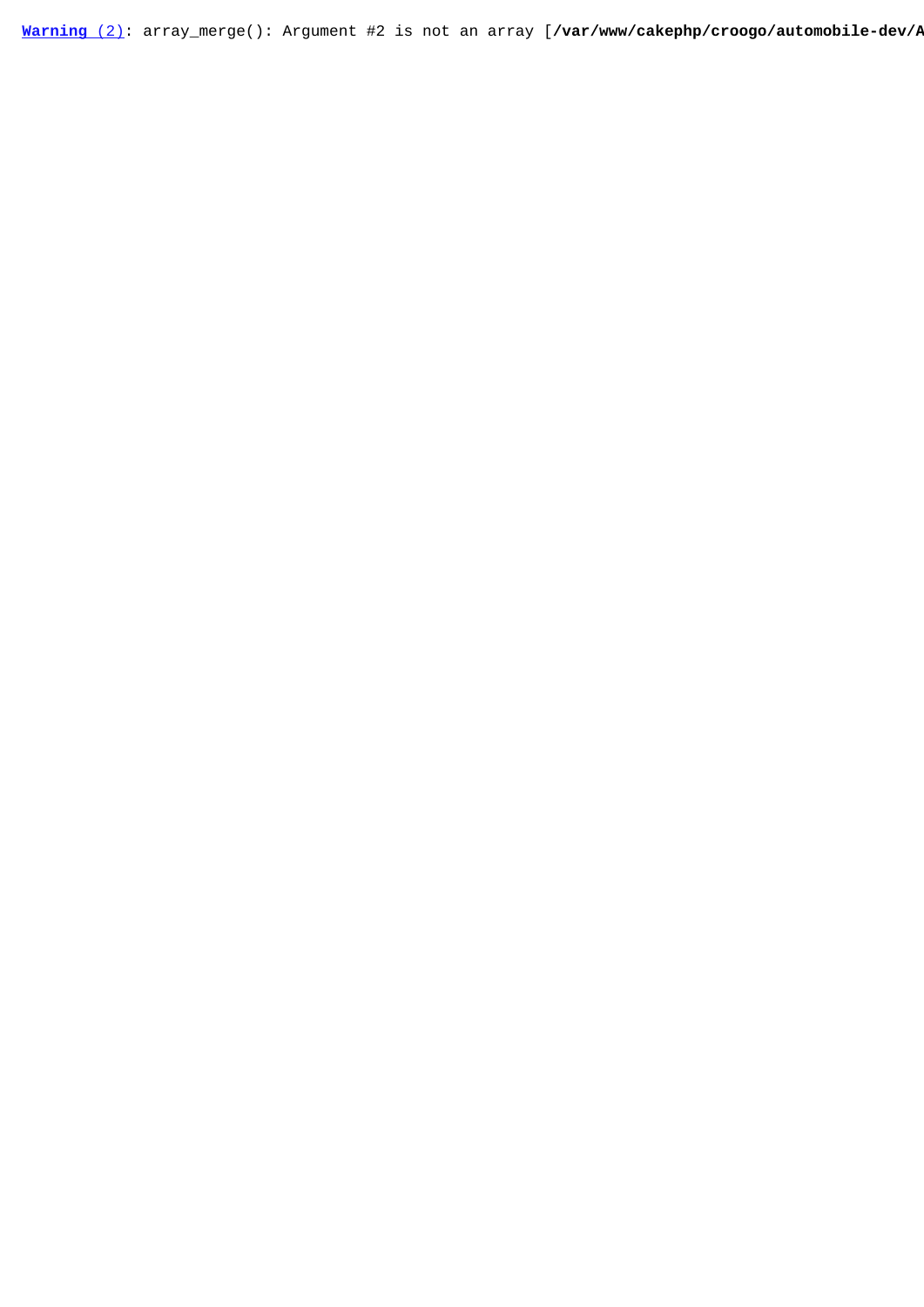[Warning](javascript:void(0);) [\(2\)](javascript:void(0);): array\_merge(): Argument #2 is not an array [/var/www/cakephp/croogo/automobile-dev/*P*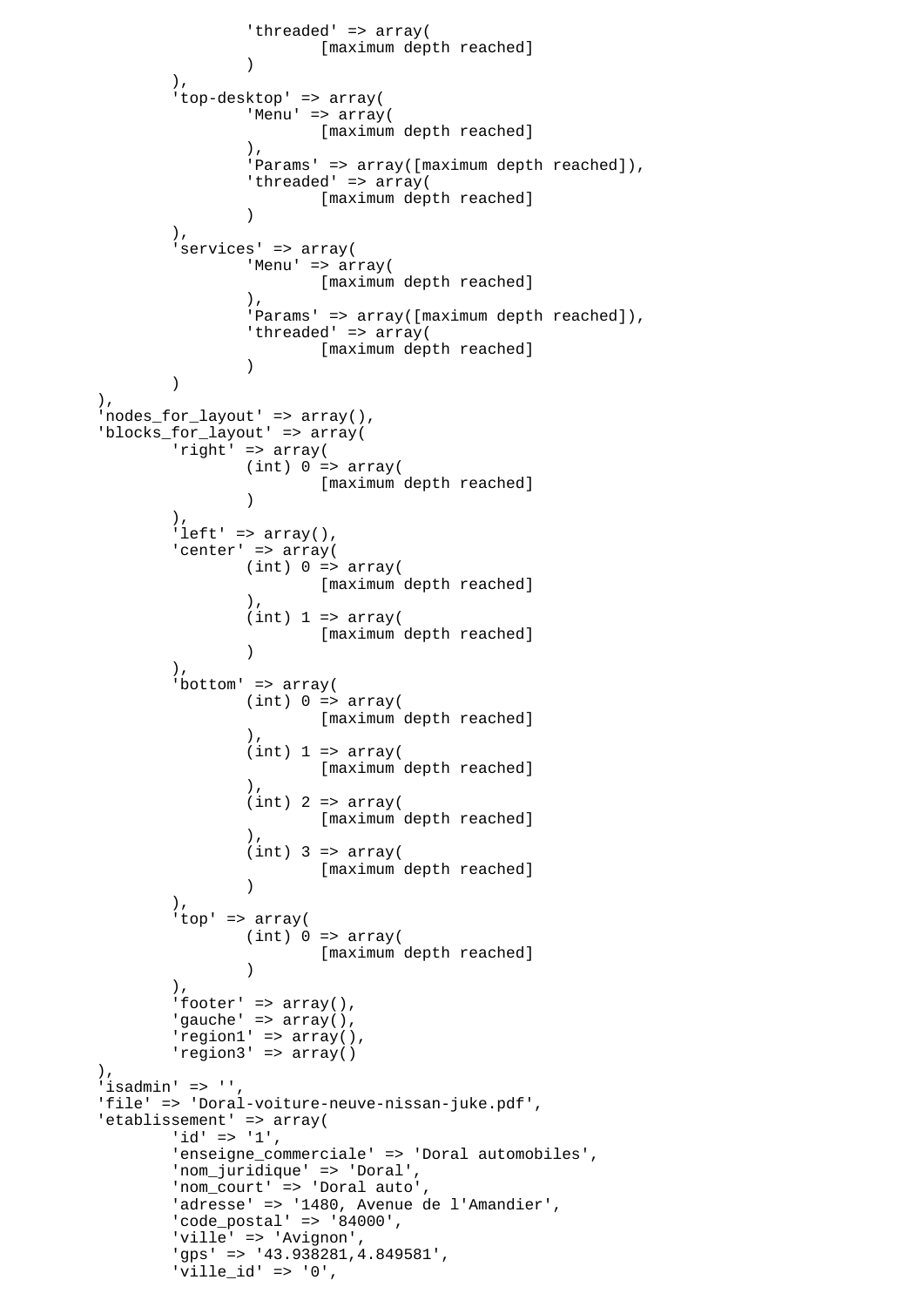```
'threaded' => array(
                             [maximum depth reached]
 )
               ),
               'top-desktop' => array(
                      'Menu' => array(
                            [maximum depth reached]
\,), \, 'Params' => array([maximum depth reached]),
                      'threaded' => array(
                      [maximum depth reached]
 )
               ),
               'services' => array(
                      'Menu' => array(
                             [maximum depth reached]
\,), \,'Params' => array([maximum depth reached]),
                     'threaded' => array(
                             [maximum depth reached]
 )
 )
        ),
        'nodes_for_layout' => array(),
        'blocks_for_layout' => array(
              \text{right}' => array(
                    (int) 0 \Rightarrow array( [maximum depth reached]
 )
               ),
              'left' => array(),
              'center' => array(
                     (int) 0 \Rightarrow array([maximum depth reached]
\,), \,(int) 1 \Rightarrow array( [maximum depth reached]
 )
               ),
              'bottom' => array(
                     (int) 0 \Rightarrow array( [maximum depth reached]
\,), \,(int) 1 \Rightarrow array( [maximum depth reached]
\,), \,(int) 2 => array( [maximum depth reached]
\,), \,(int) 3 => array( [maximum depth reached]
 )
               ),
               'top' => array(
                     (int) 0 \Rightarrow array( [maximum depth reached]
 )
 ),
              'footer' => array(),
              'gauche' => array(),
               'region1' => array(),
               'region3' => array()
        ),
       'isadmin' => '',
        'file' => 'Doral-voiture-neuve-nissan-juke.pdf',
       'etablissement' => array(
              'id' => '1',
              'enseigne commerciale' => 'Doral automobiles',
               'nom_juridique' => 'Doral',
               'nom_court' => 'Doral auto',
               'adresse' => '1480, Avenue de l'Amandier',
               'code_postal' => '84000',
               'ville' => 'Avignon',
               'gps' => '43.938281,4.849581',
              'ville id' => '0',
```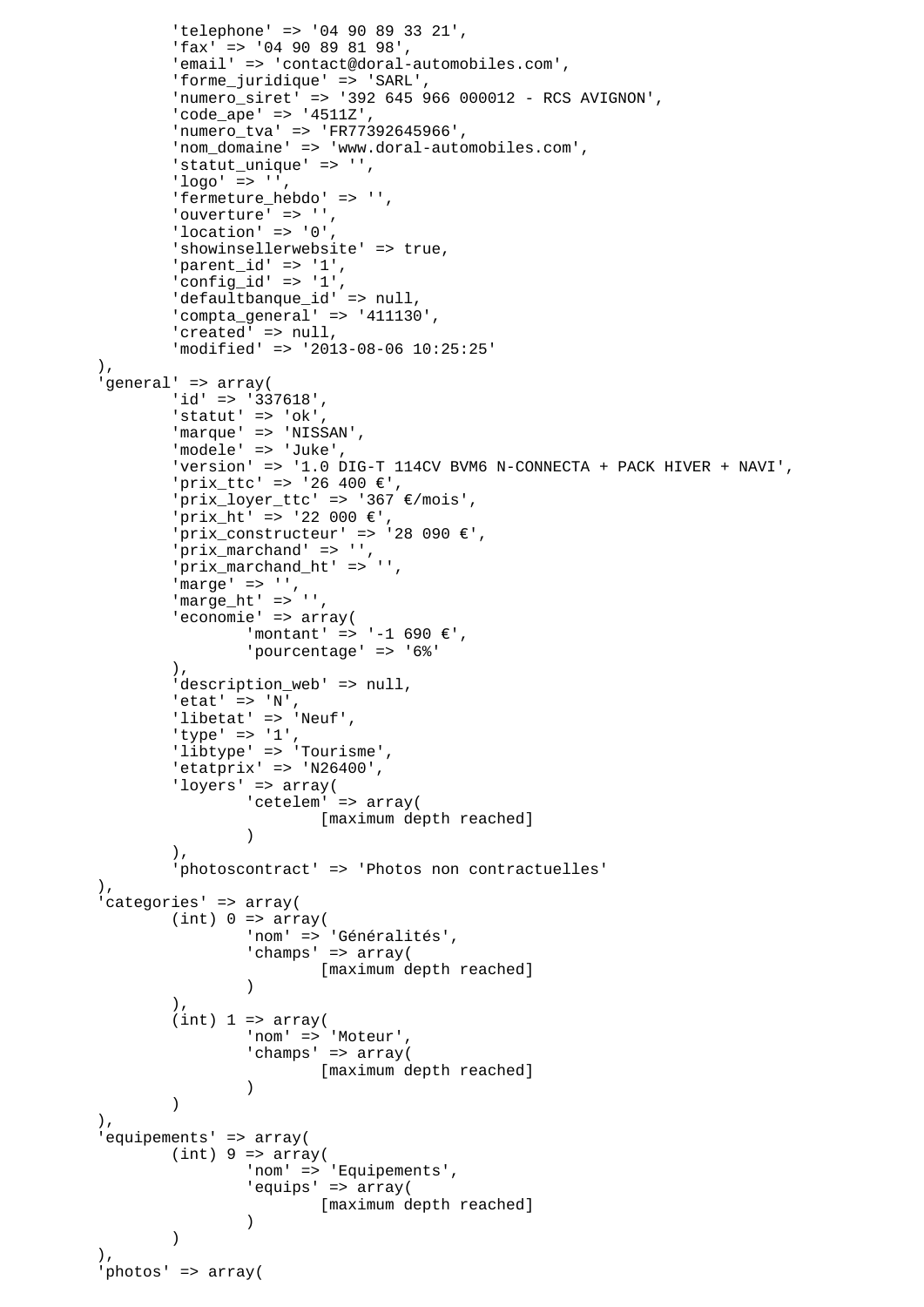```
 'telephone' => '04 90 89 33 21',
                'fax' => '04 90 89 81 98',
                'email' => 'contact@doral-automobiles.com',
                'forme_juridique' => 'SARL',
               'numero siret' => '392 645 966 000012 - RCS AVIGNON',
                'code_ape' => '4511Z',
                'numero_tva' => 'FR77392645966',
                'nom_domaine' => 'www.doral-automobiles.com',
                'statut unique' => '',
               'loor = > '', 'fermeture_hebdo' => '',
               'ouverture' => '',
                'location' => '0',
               'showinsellerwebsite' => true,
               'parent id' => '1',
                'config_id' => '1',
                'defaultbanque_id' => null,
                'compta_general' => '411130',
               'created' => null,
                'modified' => '2013-08-06 10:25:25'
         ),
         'general' => array(
                'id' => '337618',
               'statut' => 'ok',
               'marque' => 'NISSAN',
                'modele' => 'Juke',
                'version' => '1.0 DIG-T 114CV BVM6 N-CONNECTA + PACK HIVER + NAVI',
                'prix_ttc' => '26 400 €',
                'prix_loyer_ttc' => '367 €/mois',
                'prix_ht' => '22 000 €',
               'prix_constructeur' => '28 090 \varepsilon',
                'prix_marchand' => '',
                'prix_marchand_ht' => '',
               'marge' => ',
                'marge_ht' => '',
               'economie' => array(
                       ' montant' => '-1 690 €',
                        'pourcentage' => '6%'
                ),
               'description_web' => null,
               'etat' => 'N',
               'libetat' => 'Neuf',
               'type' => '1',
                'libtype' => 'Tourisme',
               'etatprix' => 'N26400',
                'loyers' => array(
                        'cetelem' => array(
                                [maximum depth reached]
 )
 ),
                 'photoscontract' => 'Photos non contractuelles'
        ),
         'categories' => array(
               (int) 0 \Rightarrow array( 'nom' => 'Généralités',
                        'champs' => array(
                                [maximum depth reached]
 )
 ),
               (int) 1 \Rightarrow array( 'nom' => 'Moteur',
                       'champs' => array(
                       [maximum depth reached]<br>)
 )
)),
         'equipements' => array(
               (int) 9 \Rightarrow array( 'nom' => 'Equipements',
                        'equips' => array(
                               [maximum depth reached]
 )
 )
        \lambda.
         'photos' => array(
```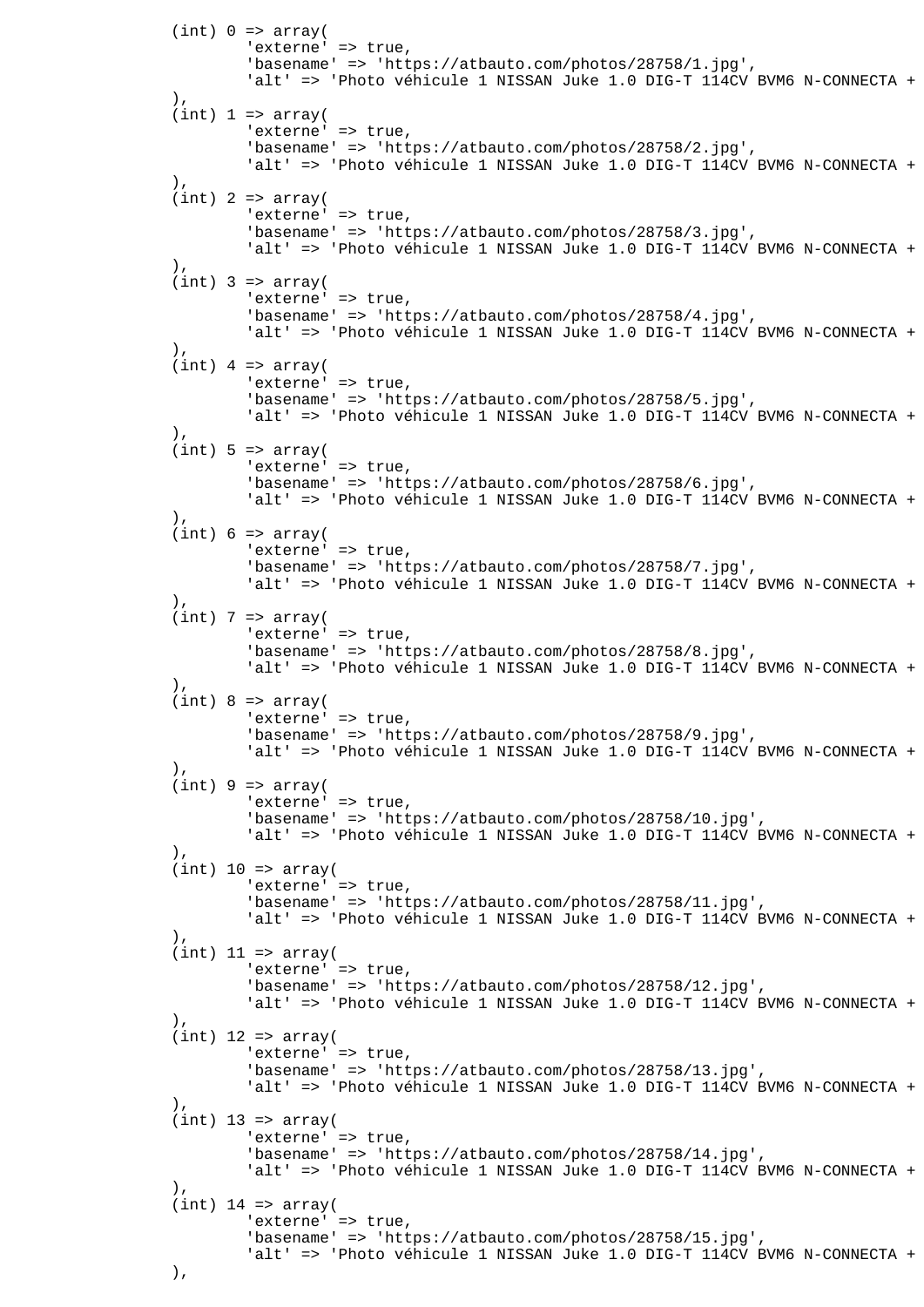```
(int) 0 \Rightarrow array('externe' => true,
                        'basename' => 'https://atbauto.com/photos/28758/1.jpg',
                       'alt' => 'Photo véhicule 1 NISSAN Juke 1.0 DIG-T 114CV BVM6 N-CONNECTA +
 ),
               (int) 1 \Rightarrow array('externe' => true,
                        'basename' => 'https://atbauto.com/photos/28758/2.jpg',
                       'alt' => 'Photo véhicule 1 NISSAN Juke 1.0 DIG-T 114CV BVM6 N-CONNECTA +
 ),
               (int) 2 => array('externe' => true,
                        'basename' => 'https://atbauto.com/photos/28758/3.jpg',
                       'alt' => 'Photo véhicule 1 NISSAN Juke 1.0 DIG-T 114CV BVM6 N-CONNECTA +
 ),
               (int) 3 => array('externe' => true,
                        'basename' => 'https://atbauto.com/photos/28758/4.jpg',
                       'alt' => 'Photo véhicule 1 NISSAN Juke 1.0 DIG-T 114CV BVM6 N-CONNECTA +
 ),
               (int) 4 => array('externe' => true,
                        'basename' => 'https://atbauto.com/photos/28758/5.jpg',
                       'alt' => 'Photo véhicule 1 NISSAN Juke 1.0 DIG-T 114CV BVM6 N-CONNECTA +
 ),
               (int) 5 \Rightarrow array('externe' => true,
                        'basename' => 'https://atbauto.com/photos/28758/6.jpg',
                       'alt' => 'Photo véhicule 1 NISSAN Juke 1.0 DIG-T 114CV BVM6 N-CONNECTA +
 ),
               (int) 6 \Rightarrow array('externe' => true,
                        'basename' => 'https://atbauto.com/photos/28758/7.jpg',
                       'alt' => 'Photo véhicule 1 NISSAN Juke 1.0 DIG-T 114CV BVM6 N-CONNECTA +
 ),
               (int) 7 => array('externe' => true,
                        'basename' => 'https://atbauto.com/photos/28758/8.jpg',
                       'alt' => 'Photo véhicule 1 NISSAN Juke 1.0 DIG-T 114CV BVM6 N-CONNECTA +
 ),
               (int) 8 \Rightarrow array('externe' => true,
                        'basename' => 'https://atbauto.com/photos/28758/9.jpg',
                       'alt' => 'Photo véhicule 1 NISSAN Juke 1.0 DIG-T 114CV BVM6 N-CONNECTA +
                ),
               (int) 9 \Rightarrow array('externe' => true,
                        'basename' => 'https://atbauto.com/photos/28758/10.jpg',
                       'alt' => 'Photo véhicule 1 NISSAN Juke 1.0 DIG-T 114CV BVM6 N-CONNECTA +
 ),
               (int) 10 => array('externe' => true,
                        'basename' => 'https://atbauto.com/photos/28758/11.jpg',
                       'alt' => 'Photo véhicule 1 NISSAN Juke 1.0 DIG-T 114CV BVM6 N-CONNECTA +
 ),
               (int) 11 => array('externe' => true,
                        'basename' => 'https://atbauto.com/photos/28758/12.jpg',
                       'alt' => 'Photo véhicule 1 NISSAN Juke 1.0 DIG-T 114CV BVM6 N-CONNECTA +
                ),
               (int) 12 => array(
                       'externe' => true,
                        'basename' => 'https://atbauto.com/photos/28758/13.jpg',
                       'alt' => 'Photo véhicule 1 NISSAN Juke 1.0 DIG-T 114CV BVM6 N-CONNECTA +
\,), \,(int) 13 => array(
                       'externe' => true,
                        'basename' => 'https://atbauto.com/photos/28758/14.jpg',
                       'alt' => 'Photo véhicule 1 NISSAN Juke 1.0 DIG-T 114CV BVM6 N-CONNECTA +
\,), \,(int) 14 => array(
                       'externe' => true,
                        'basename' => 'https://atbauto.com/photos/28758/15.jpg',
                       'alt' => 'Photo véhicule 1 NISSAN Juke 1.0 DIG-T 114CV BVM6 N-CONNECTA +
\,), \,
```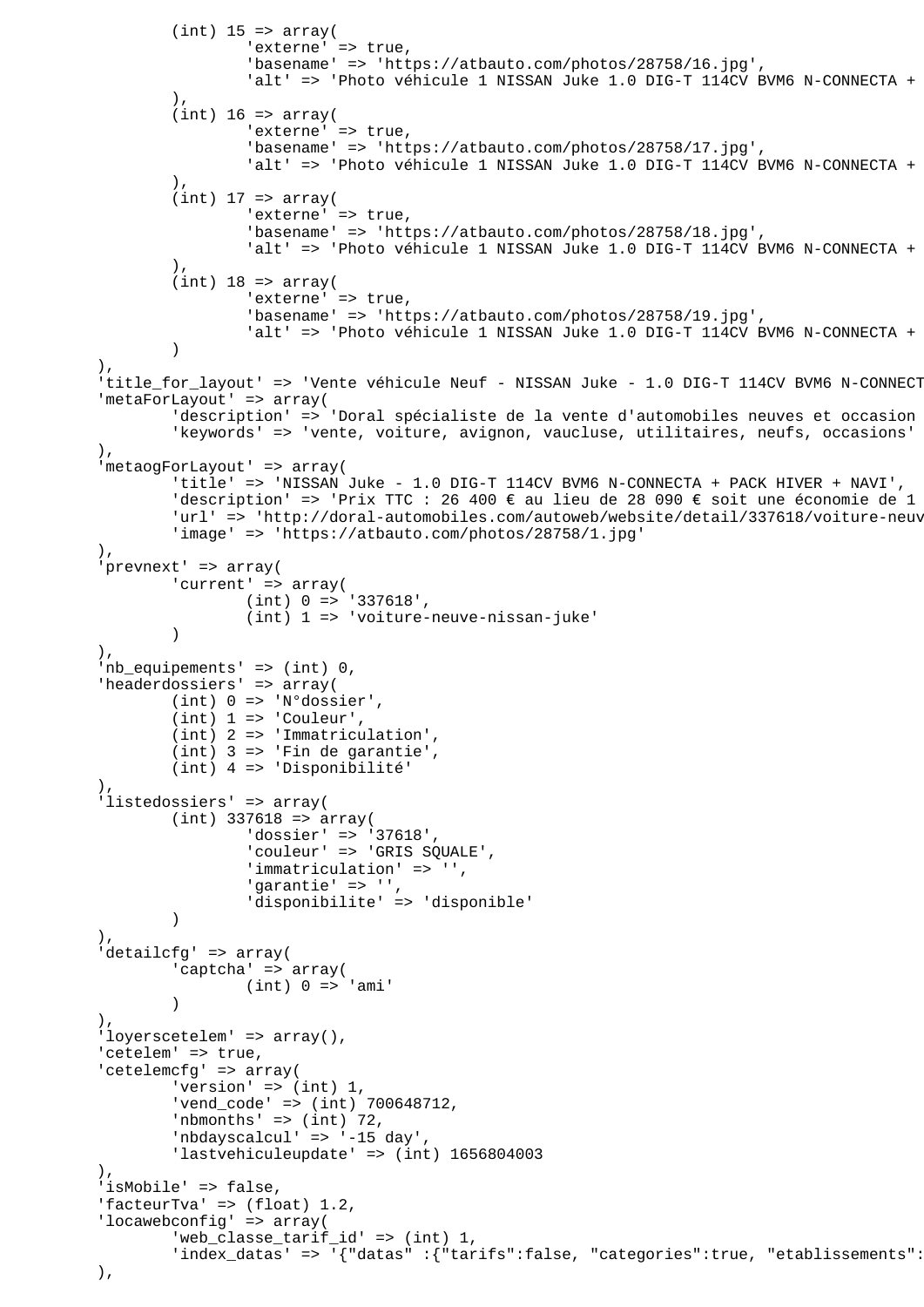```
(int) 15 => array('externe' => true,
                        'basename' => 'https://atbauto.com/photos/28758/16.jpg',
                       'alt' => 'Photo véhicule 1 NISSAN Juke 1.0 DIG-T 114CV BVM6 N-CONNECTA +
 ),
               (int) 16 => array(
                       'externe' => true,
                        'basename' => 'https://atbauto.com/photos/28758/17.jpg',
                       'alt' => 'Photo véhicule 1 NISSAN Juke 1.0 DIG-T 114CV BVM6 N-CONNECTA +
 ),
               (int) 17 \Rightarrow array('externe' => true,
                        'basename' => 'https://atbauto.com/photos/28758/18.jpg',
                       'alt' => 'Photo véhicule 1 NISSAN Juke 1.0 DIG-T 114CV BVM6 N-CONNECTA +
\, ), \,(int) 18 => array(
                       'externe' => true,
                        'basename' => 'https://atbauto.com/photos/28758/19.jpg',
                       'alt' => 'Photo véhicule 1 NISSAN Juke 1.0 DIG-T 114CV BVM6 N-CONNECTA +
 )
        ),
        'title_for_layout' => 'Vente véhicule Neuf - NISSAN Juke - 1.0 DIG-T 114CV BVM6 N-CONNECT
         'metaForLayout' => array(
               'description' => 'Doral spécialiste de la vente d'automobiles neuves et occasion
                'keywords' => 'vente, voiture, avignon, vaucluse, utilitaires, neufs, occasions'
        ),
         'metaogForLayout' => array(
                'title' => 'NISSAN Juke - 1.0 DIG-T 114CV BVM6 N-CONNECTA + PACK HIVER + NAVI',
               'description' => 'Prix TTC : 26 400 € au lieu de 28 090 € soit une économie de 1
               'url' => 'http://doral-automobiles.com/autoweb/website/detail/337618/voiture-neuv
                'image' => 'https://atbauto.com/photos/28758/1.jpg'
        ),
         'prevnext' => array(
               'current' => array(
                        (int) 0 => '337618',
               (int) 1 => 'voiture-neuve-nissan-juke')
 )
        ),
         'nb_equipements' => (int) 0,
         'headerdossiers' => array(
                (int) 0 => 'N°dossier',
               (int) 1 \Rightarrow 'Counter', (int) 2 => 'Immatriculation',
                (int) 3 => 'Fin de garantie',
                (int) 4 => 'Disponibilité'
 ),
         'listedossiers' => array(
               (int) 337618 => array(
 'dossier' => '37618',
 'couleur' => 'GRIS SQUALE',
                       'immatriculation' => '',
                        'garantie' => '',
                'disponibilite' => 'disponible'
) ),
         'detailcfg' => array(
                'captcha' => array(
                       (int) 0 \Rightarrow 'ami' )
        ),
        'loyerscetelem' => array(),
        'cetelem' => true,
        'cetelemcfg' => array(
               'version' \Rightarrow (int) 1,
                'vend_code' => (int) 700648712,
               'nbmonths' => (int) 72,
                'nbdayscalcul' => '-15 day',
                'lastvehiculeupdate' => (int) 1656804003
       \lambda.
        'isMobile' => false,
        'facteurTva' => (float) 1.2,
        'locawebconfig' => array(
                'web_classe_tarif_id' => (int) 1,
               'index datas' => '{"datas" :{"tarifs":false, "categories":true, "etablissements":
```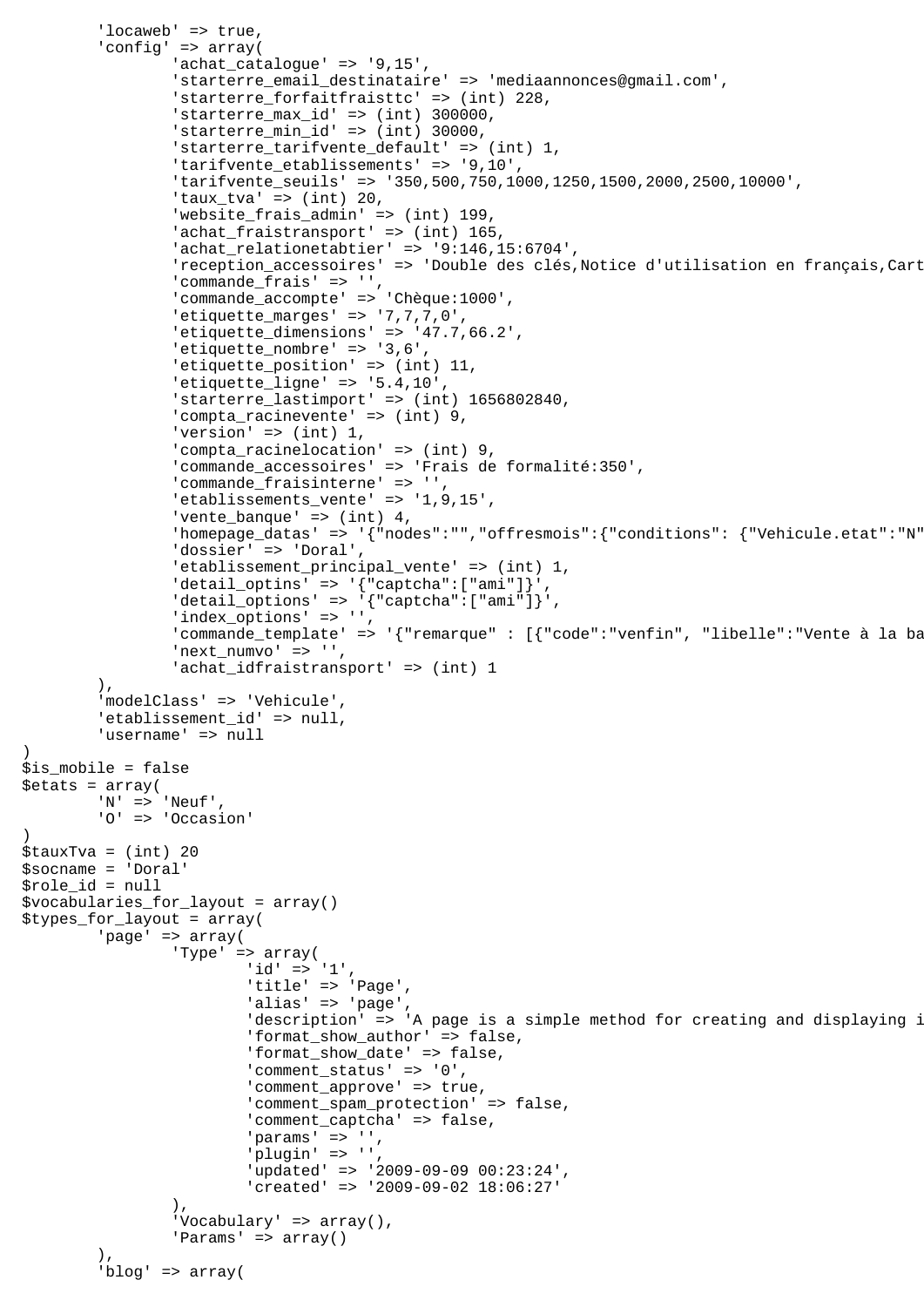```
'locaweb' => true,
         'config' => array(
                 'achat_catalogue' => '9,15',
                 'starterre_email_destinataire' => 'mediaannonces@gmail.com',
                'starterre forfaitfraisttc' => (int) 228,
                 'starterre_max_id' => (int) 300000,
                'starterre_min_id' => (int) 30000,
                 'starterre_tarifvente_default' => (int) 1,
                'tarifvente etablissements' => '9,10',
                 'tarifvente_seuils' => '350,500,750,1000,1250,1500,2000,2500,10000',
                 'taux_tva' => (int) 20,
                 'website_frais_admin' => (int) 199,
                'achat_fraistransport' => (int) 165,
                 'achat_relationetabtier' => '9:146,15:6704',
                'reception accessoires' => 'Double des clés,Notice d'utilisation en français,Cart
                'commande frais' => '',
                 'commande_accompte' => 'Chèque:1000',
                 'etiquette_marges' => '7,7,7,0',
                 'etiquette_dimensions' => '47.7,66.2',
                'etiquette nombre' => '3,6',
                'etiquette_position' => (int) 11,
                 'etiquette_ligne' => '5.4,10',
                  'starterre_lastimport' => (int) 1656802840,
                 'compta_racinevente' => (int) 9,
                 'version' => (int) 1,
                 'compta_racinelocation' => (int) 9,
                 'commande_accessoires' => 'Frais de formalité:350',
                'commande_fraisinterne' => '',
                 'etablissements_vente' => '1,9,15',
                 'vente_banque' => (int) 4,
                'homepage_datas' => '{"nodes":"","offresmois":{"conditions": {"Vehicule.etat":"N"
                 'dossier' => 'Doral',
                 'etablissement_principal_vente' => (int) 1,
                'detail_optins' => '{"captcha":["ami"]}',
                 'detail_options' => '{"captcha":["ami"]}',
                 'index_options' => '',
                'commande_template' => '{"remarque" : [{"code":"venfin", "libelle":"Vente à la ba
                'next_numvo' => '',
                'achat_idfraistransport' => (int) 1
         ),
         'modelClass' => 'Vehicule',
        'etablissement id' => null,
         'username' => null
$is_mobile = false
$etats = array(
         'N' => 'Neuf',
         'O' => 'Occasion'
$tauxTva = (int) 20
$socname = 'Doral'
$role_id = null
$vocabularies_for_layout = array()
$types_for_layout = array(
         'page' => array(
                 'Type' => array(
                         'id' => '1',
                         'title' => 'Page',
                         'alias' => 'page',
                         'description' => 'A page is a simple method for creating and displaying i
                          'format_show_author' => false,
                          'format_show_date' => false,
                          'comment_status' => '0',
                         'comment_approve' => true,
                          'comment_spam_protection' => false,
                          'comment_captcha' => false,
                         'params' => '',
                         'plugin' => ''
                          'updated' => '2009-09-09 00:23:24',
                          'created' => '2009-09-02 18:06:27'
 ),
                'Vocabulary' => array(),
                 'Params' => array()
 ),
         'blog' => array(
```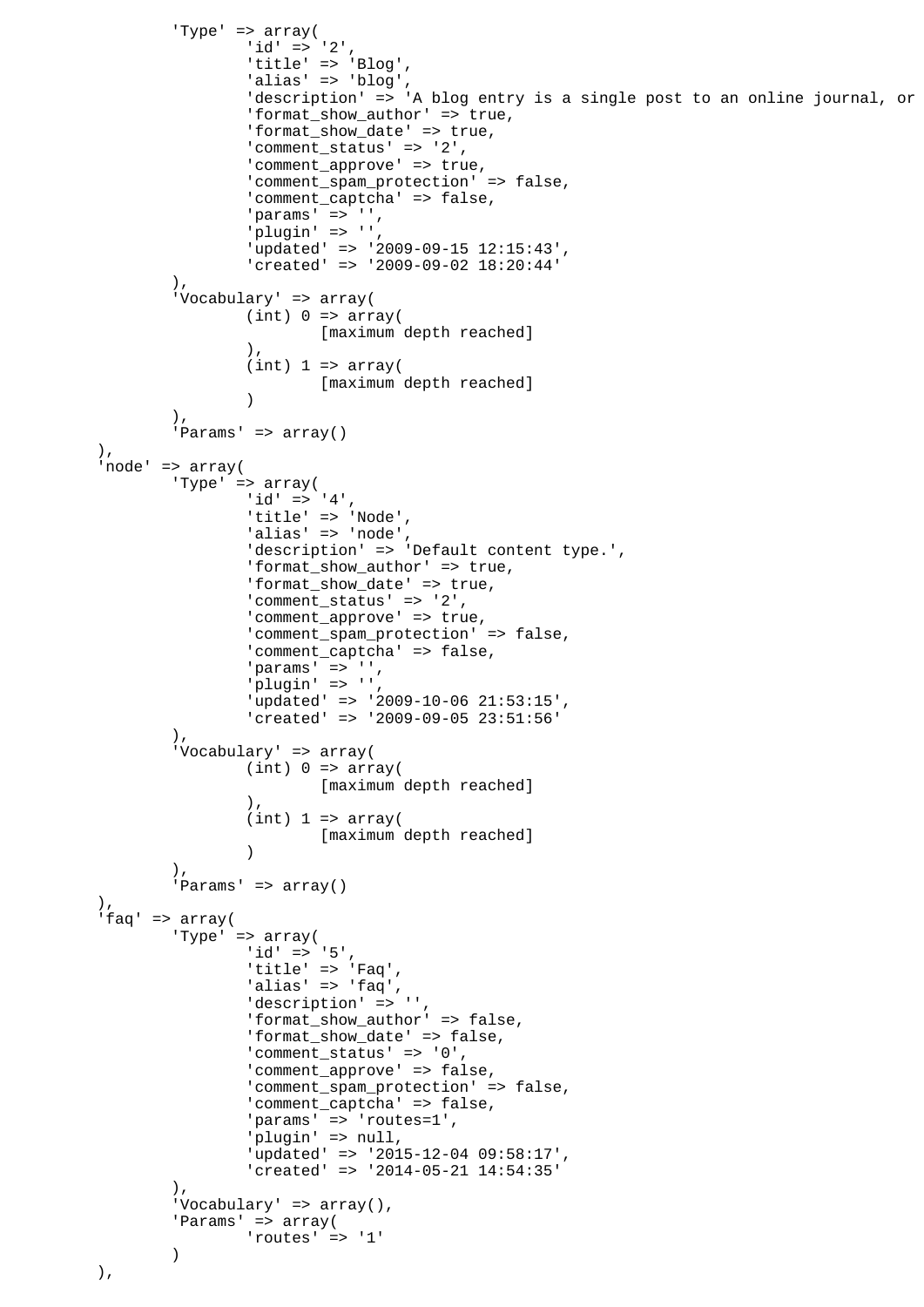```
 'Type' => array(
                      'id' => '2',
                       'title' => 'Blog',
                      'alias' => 'blog',
                      'description' => 'A blog entry is a single post to an online journal, or
                       'format_show_author' => true,
                       'format_show_date' => true,
 'comment_status' => '2',
'comment_approve' => true,
                       'comment_spam_protection' => false,
                       'comment_captcha' => false,
                      'params' => ' '',
                      'plugin' => '',
                       'updated' => '2009-09-15 12:15:43',
                       'created' => '2009-09-02 18:20:44'
\, ), \, 'Vocabulary' => array(
                      (int) 0 \Rightarrow array( [maximum depth reached]
\,), \,(int) 1 \Rightarrow array( [maximum depth reached]
 )
 ),
               'Params' => array()
        ),
        'node' => array(
               'Type' => array(
                      'id' => '4',
                      'title' => 'Node',
                      'alias' => 'node',
                       'description' => 'Default content type.',
                       'format_show_author' => true,
                       'format_show_date' => true,
                      'comment_status' => '2',
                      'comment_approve' => true,
                       'comment_spam_protection' => false,
                      'comment_captcha' => false,
                      'params' => ',
                      'plugin' => '',
                       'updated' => '2009-10-06 21:53:15',
                       'created' => '2009-09-05 23:51:56'
               ),
                'Vocabulary' => array(
                      (int) 0 \Rightarrow array( [maximum depth reached]
\,), \,(int) 1 \Rightarrow array( [maximum depth reached]
 )
\, ), \,'Params' => array()
        ),
        'faq' => array(
               'Type' => array(
                      'id' => '5',
                       'title' => 'Faq',
 'alias' => 'faq',
 'description' => '',
                       'format_show_author' => false,
                       'format_show_date' => false,
                       'comment_status' => '0',
                       'comment_approve' => false,
                       'comment_spam_protection' => false,
                       'comment_captcha' => false,
                      'params' => 'routes=1',
                       'plugin' => null,
                       'updated' => '2015-12-04 09:58:17',
                       'created' => '2014-05-21 14:54:35'
\,), \,'Vocabulary' => array(),
                'Params' => array(
                      'routes' => '1'
 )
        ),
```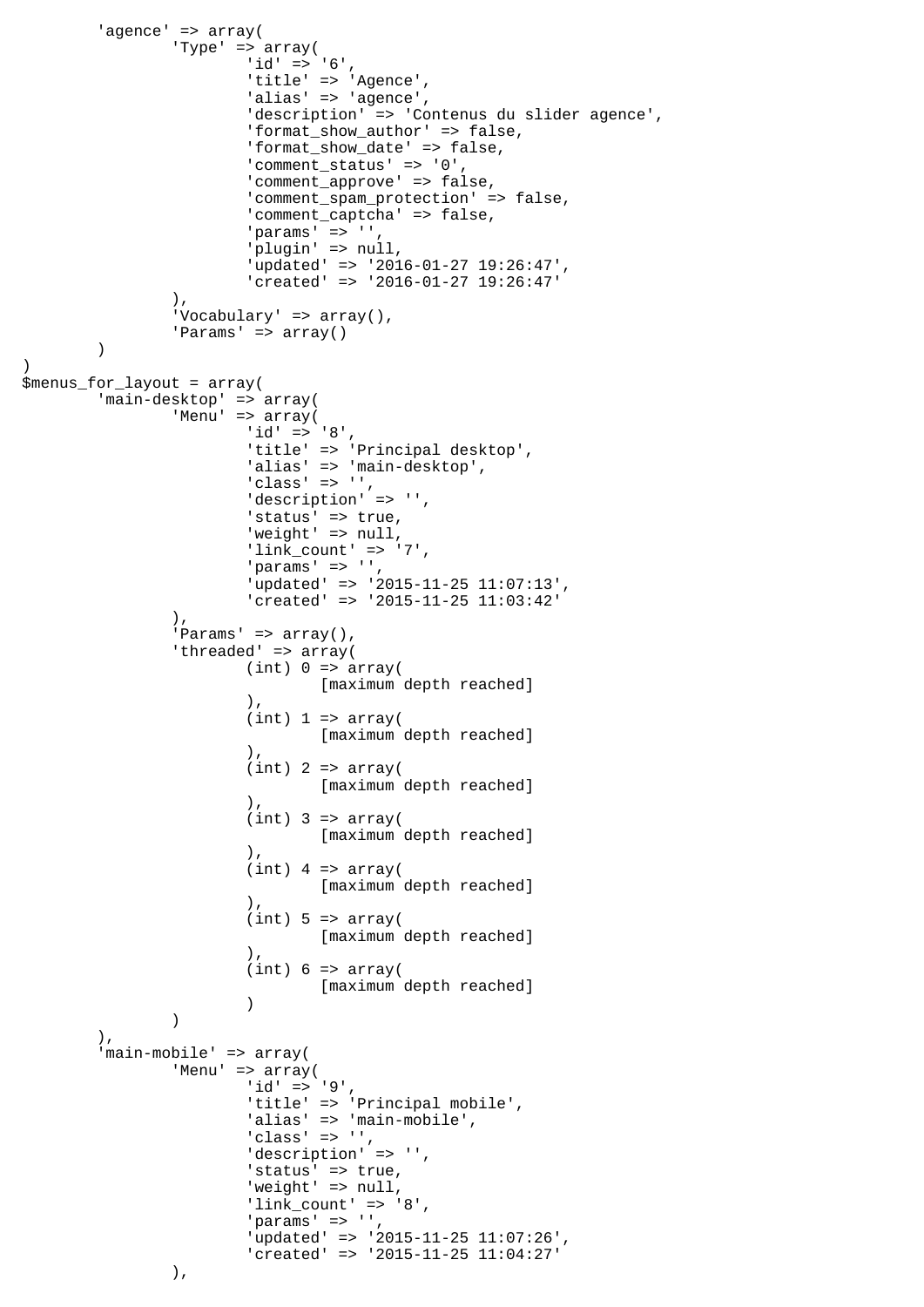```
'agence' => array(
                'Type' => array(
                       'id' => '6',
                        'title' => 'Agence',
                       'alias' => 'agence',
                        'description' => 'Contenus du slider agence',
                        'format_show_author' => false,
                        'format_show_date' => false,
                        'comment_status' => '0',
                        'comment_approve' => false,
                        'comment_spam_protection' => false,
                        'comment_captcha' => false,
                       'params' => ',
                        'plugin' => null,
                        'updated' => '2016-01-27 19:26:47',
                        'created' => '2016-01-27 19:26:47'
\, ), \,'Vocabulary' => array(),
       'Params' => array()
\overline{\phantom{a}}$menus_for_layout = array(
        'main-desktop' => array(
                'Menu' => array(
                        'id' => '8',
                       'title' => 'Principal desktop',
                       'alias' => 'main-desktop',
                       'class' \Rightarrow '',
                       'description' => '',
                       'status' => true,
                       'weight' => null,
                       'link_count' => '7',
                       'params' \Rightarrow '',
                        'updated' => '2015-11-25 11:07:13',
                        'created' => '2015-11-25 11:03:42'
\, ), \,'Params' => array(),
               'threaded' => array(
                       (int) 0 \Rightarrow array( [maximum depth reached]
\,), \,(int) 1 \Rightarrow array( [maximum depth reached]
\,), \,(int) 2 => array( [maximum depth reached]
\,), \,(int) 3 => array( [maximum depth reached]
\,), \,(int) 4 => array( [maximum depth reached]
\,), \,(int) 5 \Rightarrow array( [maximum depth reached]
\,), \,(int) 6 \Rightarrow array([maximum depth reached]<br>)
 )
) ),
         'main-mobile' => array(
               'Menu' => array(
                       'id' => '9',
                       'title' => 'Principal mobile',
                       'alias' => 'main-mobile',
                       'class' \Rightarrow '',
                       'description' => '',
                       'status' => true,
                       'weight' => null,
                       'link_count' => '8',
                       'params' => '',
                        'updated' => '2015-11-25 11:07:26',
                        'created' => '2015-11-25 11:04:27'
                ),
```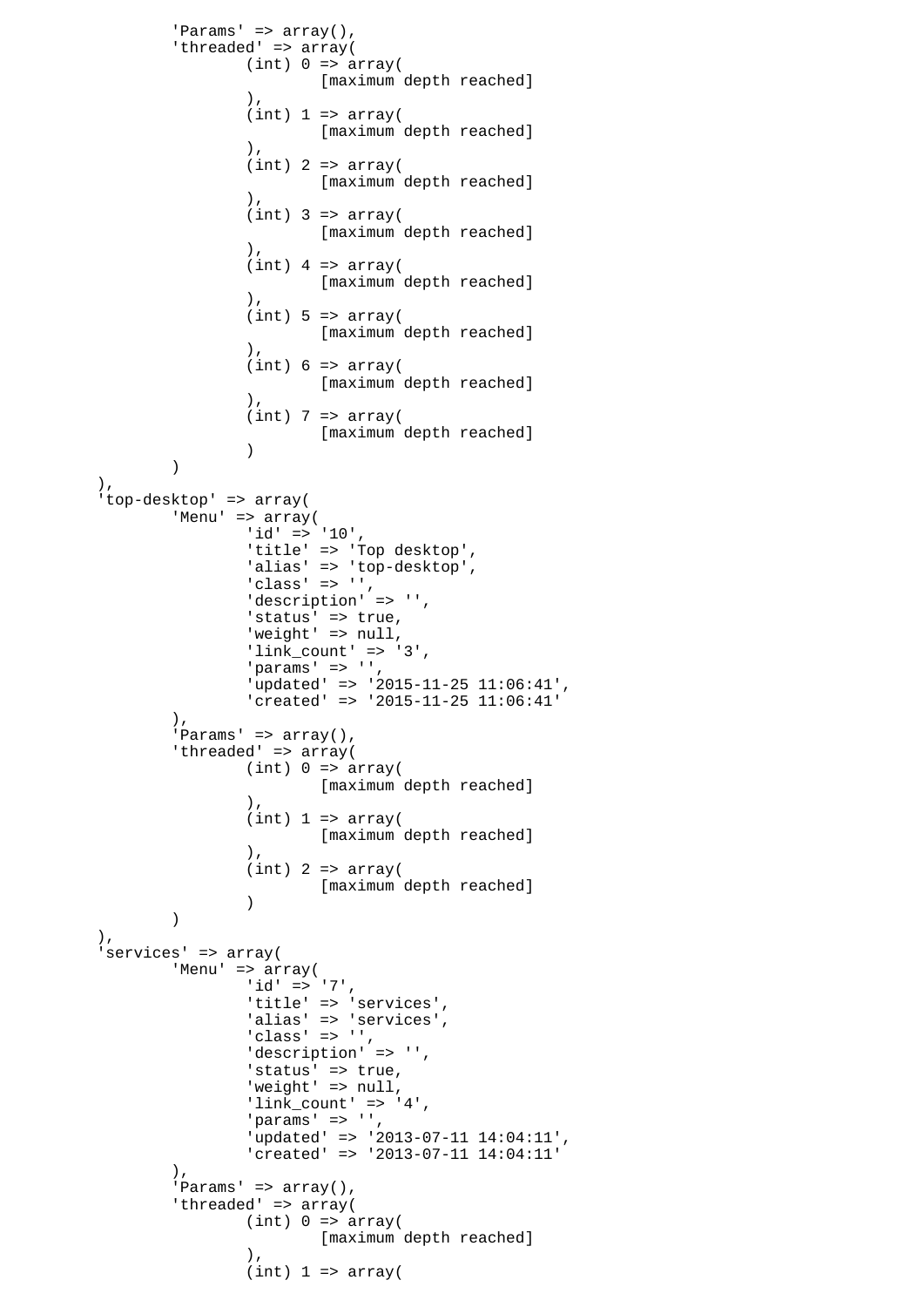```
'Params' => array(),
            'threaded' => array(
                  (int) 0 \Rightarrow array( [maximum depth reached]
\,), \,(int) 1 \Rightarrow array([maximum depth reached]
\,), \,(int) 2 => array([maximum depth reached]
\,), \,(int) 3 => array( [maximum depth reached]
\,), \,(int) 4 => array( [maximum depth reached]
\,), \,(int) 5 \Rightarrow array( [maximum depth reached]
\,), \,(int) 6 \Rightarrow array( [maximum depth reached]
\,), \,(int) 7 => array( [maximum depth reached]
 )
 )
       ),
       'top-desktop' => array(
             'Menu' => array(
                  'id' => '10',
                  'title' => 'Top desktop',
 'alias' => 'top-desktop',
 'class' => '',
                  'description' => '',
 'status' => true,
'weight' => null,
                  'link_count' => '3',
                  'params' => '',
                   'updated' => '2015-11-25 11:06:41',
                   'created' => '2015-11-25 11:06:41'
            ),
            'Params' => array(),
            'threaded' => array(
                  (int) 0 \Rightarrow array( [maximum depth reached]
\,), \,(int) 1 \Rightarrow array( [maximum depth reached]
\,), \,(int) 2 => array( [maximum depth reached]
 )
) ),
       'services' => array(
             'Menu' => array(
                  'id' => '7',
                  'title' => 'services',
 'alias' => 'services',
 'class' => '',
                  'description' => '',
 'status' => true,
'weight' => null,
 'link_count' => '4',
' params' => '',
                   'updated' => '2013-07-11 14:04:11',
                   'created' => '2013-07-11 14:04:11'
            ),
            'Params' => array(),
            'threaded' => array(
                  (int) 0 \Rightarrow array( [maximum depth reached]
\,), \,(int) 1 \Rightarrow array(
```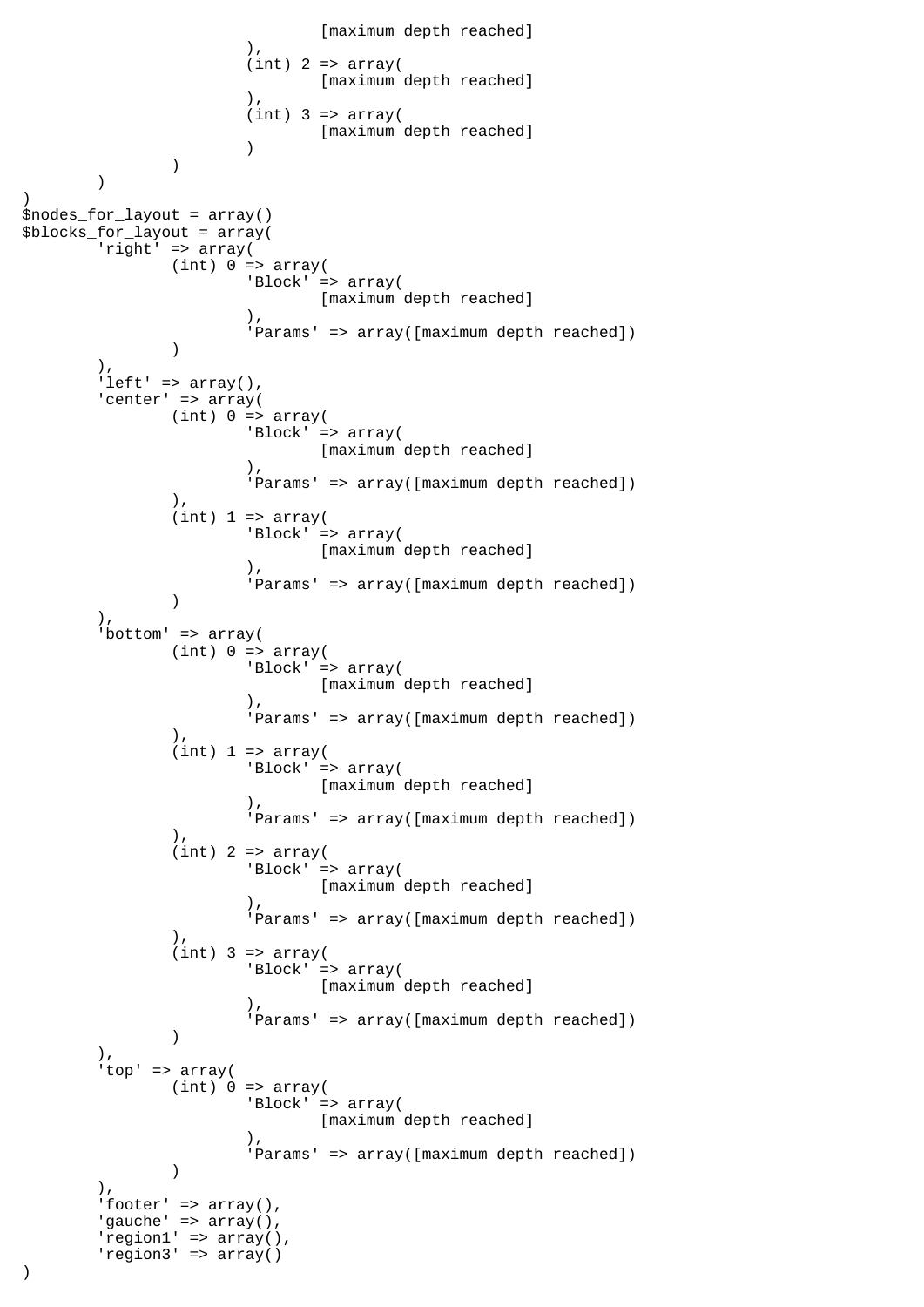```
[maximum depth reached]<br>(),
\,), \,(int) 2 => array( [maximum depth reached]
\,), \,(int) 3 => array([maximum depth reached]
 )
 )
\overline{\phantom{a}})
$nodes_for_layout = array()
$blocks_for_layout = array(
        'right' => array(
             (int) 0 \Rightarrow array( 'Block' => array(
                            [maximum depth reached]
\,), \, 'Params' => array([maximum depth reached])
 )
        ),
       'left' => array(),
       'center' => array(
              (int) 0 \Rightarrow array( 'Block' => array(
                     [maximum depth reached]
\,), \, 'Params' => array([maximum depth reached])
               ),
              (int) 1 \Rightarrow array( 'Block' => array(
                            [maximum depth reached]
\,), \, 'Params' => array([maximum depth reached])
 )
        ),
       'bottom' => array(
              (int) 0 \Rightarrow array( 'Block' => array(
                            [maximum depth reached]
\,), \, 'Params' => array([maximum depth reached])
\, ), \,(int) 1 \Rightarrow array( 'Block' => array(
                            [maximum depth reached]
\,), \, 'Params' => array([maximum depth reached])
\,), \,(int) 2 => array( 'Block' => array(
                     [maximum depth reached]<br>).
\,), \, 'Params' => array([maximum depth reached])
 ),
              (int) 3 => array( 'Block' => array(
                     [maximum depth reached]<br>(),
\,), \, 'Params' => array([maximum depth reached])
 )
        ),
        'top' => array(
             (int) 0 \Rightarrow array( 'Block' => array(
                             [maximum depth reached]
\,), \, 'Params' => array([maximum depth reached])
 )
       ).
       'footer' => array(),
       'gauche' => array(),
       'region1' => array(),
       'region3' => array()
```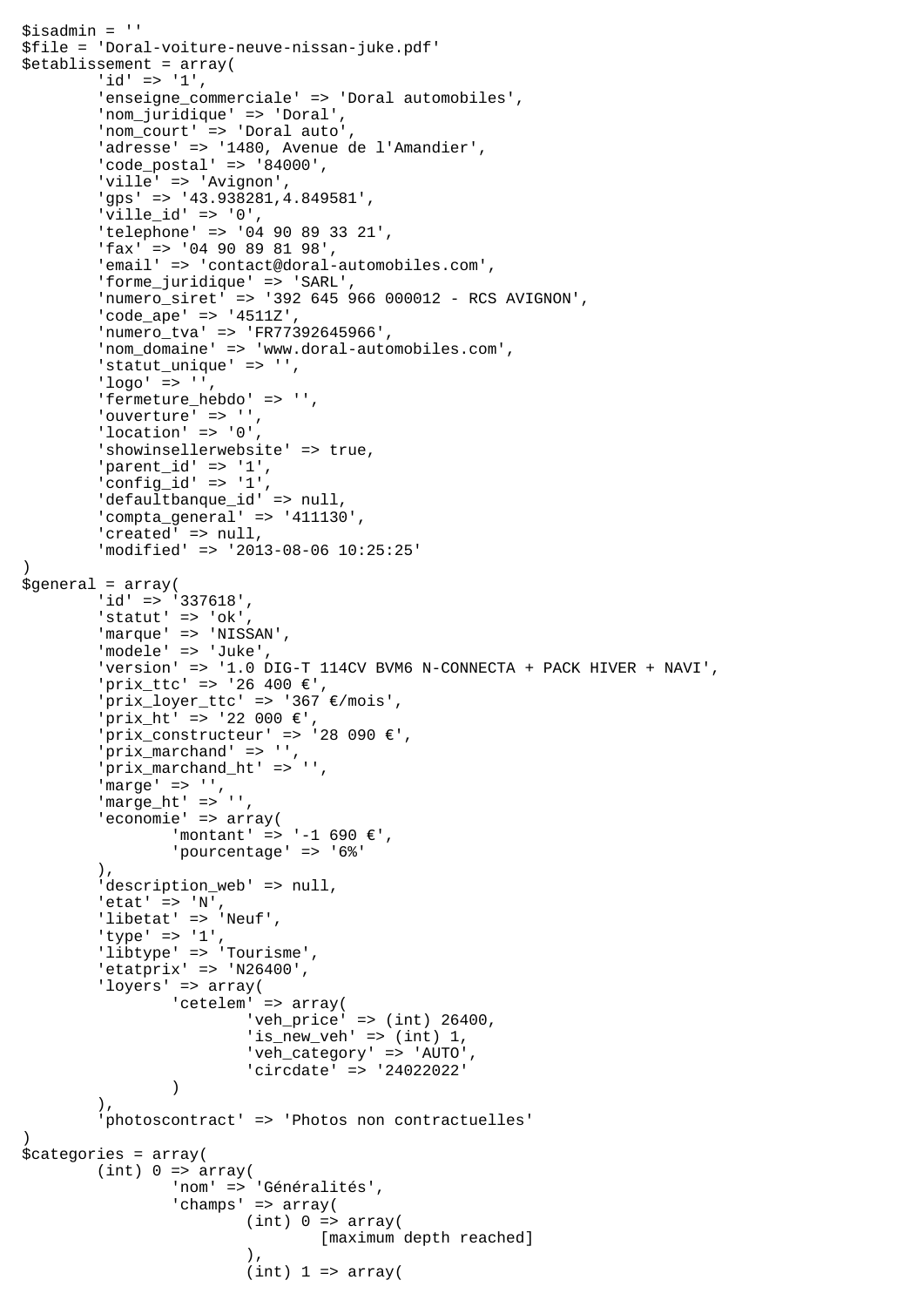```
$isadmin = ''
$file = 'Doral-voiture-neuve-nissan-juke.pdf'
$etablissement = array(
        'id' => '1',
        'enseigne commerciale' => 'Doral automobiles',
         'nom_juridique' => 'Doral',
         'nom_court' => 'Doral auto',
         'adresse' => '1480, Avenue de l'Amandier',
         'code_postal' => '84000',
         'ville' => 'Avignon',
         'gps' => '43.938281,4.849581',
         'ville_id' => '0',
         'telephone' => '04 90 89 33 21',
         'fax' => '04 90 89 81 98',
         'email' => 'contact@doral-automobiles.com',
         'forme_juridique' => 'SARL',
         'numero_siret' => '392 645 966 000012 - RCS AVIGNON',
         'code_ape' => '4511Z',
         'numero_tva' => 'FR77392645966',
        'nom domaine' => 'www.doral-automobiles.com',
        'statut unique' => '',
        'logo' => ',
         'fermeture_hebdo' => '',
'ouverture' => '',
 'location' => '0',
        'showinsellerwebsite' => true,
        'parent_id' => '1',
         'config_id' => '1',
         'defaultbanque_id' => null,
         'compta_general' => '411130',
        'created' => null,
         'modified' => '2013-08-06 10:25:25'
)
$general = array(
         'id' => '337618',
        'statut' => 'ok',
         'marque' => 'NISSAN',
         'modele' => 'Juke',
         'version' => '1.0 DIG-T 114CV BVM6 N-CONNECTA + PACK HIVER + NAVI',
         'prix_ttc' => '26 400 €',
         'prix_loyer_ttc' => '367 €/mois',
        'prix ht' => '22 000 \varepsilon',
        'prix_constructeur' => '28 090 \varepsilon',
         'prix_marchand' => '',
         'prix_marchand_ht' => '',
        'marge' => '',
         'marge_ht' => '',
         'economie' => array(
                  'montant' => '-1 690 €',
                  'pourcentage' => '6%'
         ),
        'description_web' => null,
        'etat' => 'N',
        'libetat' => 'Neuf',
         'type' => '1',
         'libtype' => 'Tourisme',
         'etatprix' => 'N26400',
         'loyers' => array(
                'cetelem' => array(
                          'veh_price' => (int) 26400,
                         'is_new_veh' => (int) 1,
                          'veh_category' => 'AUTO',
                  'circdate' => '24022022'
 )
 ),
         'photoscontract' => 'Photos non contractuelles'
)
$categories = array(
        (int) 0 \Rightarrow array( 'nom' => 'Généralités',
                  'champs' => array(
                        (int) 0 \Rightarrow array( [maximum depth reached]
\,), \,(int) 1 \Rightarrow array(
```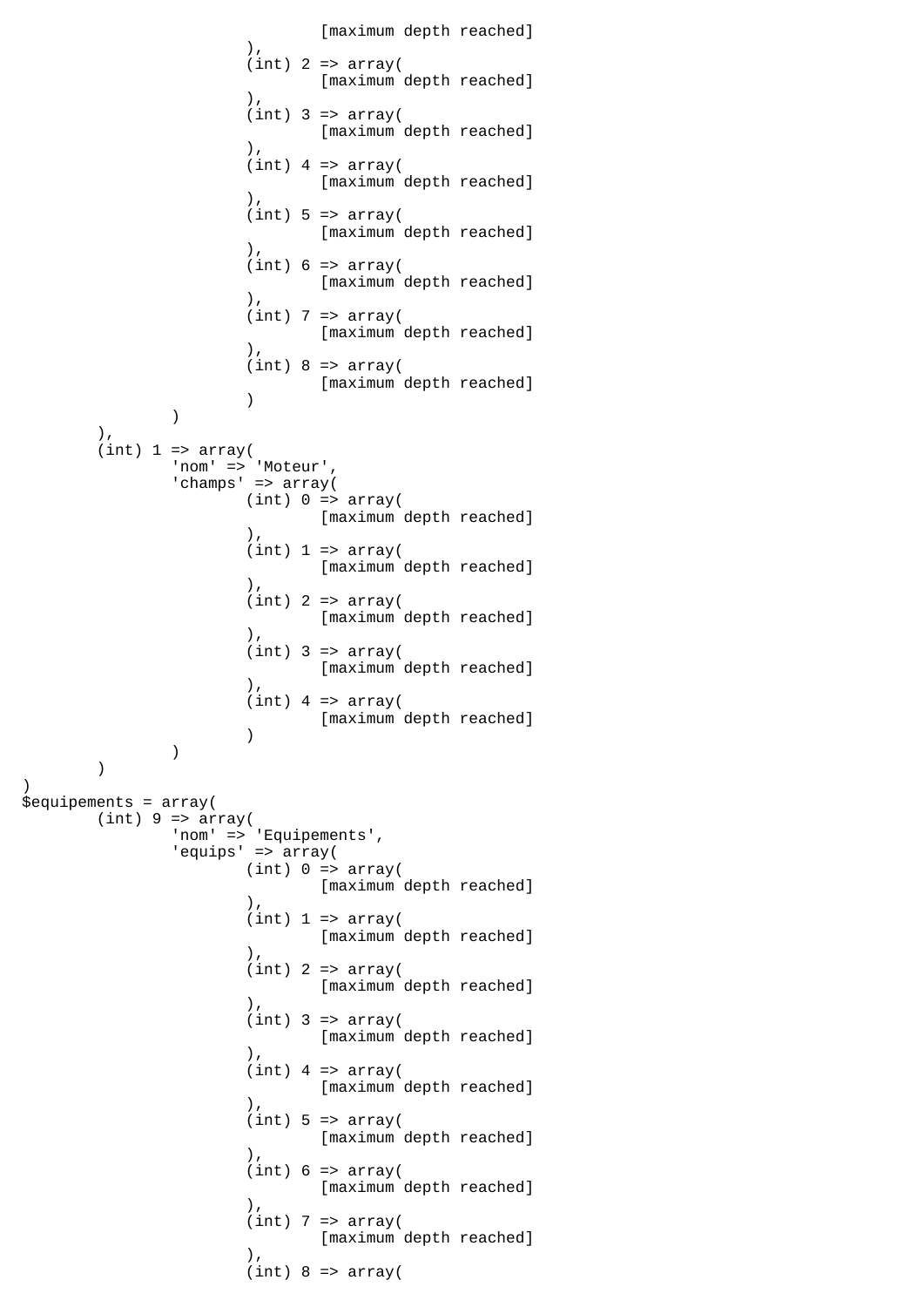```
[maximum depth reached]<br>(),
\,), \,(int) 2 => array( [maximum depth reached]
\,), \,(int) 3 => array([maximum depth reached]
\,), \,(int) 4 => array([maximum depth reached]
\,), \,(int) 5 \Rightarrow array( [maximum depth reached]
\,), \,(int) 6 \Rightarrow array( [maximum depth reached]
\,), \,(int) 7 => array([maximum depth reached]
\,), \,(int) 8 \Rightarrow array( [maximum depth reached]
 )
) ),
      (int) 1 \Rightarrow array('nom' => 'Moteur',
             'champs' => array(
                  (int) 0 \Rightarrow array( [maximum depth reached]
\,), \,(int) 1 \Rightarrow array( [maximum depth reached]
\,), \,(int) 2 => array( [maximum depth reached]
\,), \,(int) 3 => array( [maximum depth reached]
\,), \,(int) 4 => array( [maximum depth reached]
 )
) )
)
$equipements = array(
      (int) 9 \Rightarrow array( 'nom' => 'Equipements',
 'equips' => array(
                  (int) 0 \Rightarrow array( [maximum depth reached]
\,), \,(int) 1 \Rightarrow array( [maximum depth reached]
\,), \,(int) 2 => array([maximum depth reached]<br>),
\,), \,(int) 3 => array( [maximum depth reached]
\,), \,(int) 4 => array( [maximum depth reached]
\,), \,(int) 5 \Rightarrow array( [maximum depth reached]
\,), \,(int) 6 \Rightarrow array( [maximum depth reached]
\,), \,(int) 7 => array( [maximum depth reached]
\,), \,(int) 8 \Rightarrow array(
```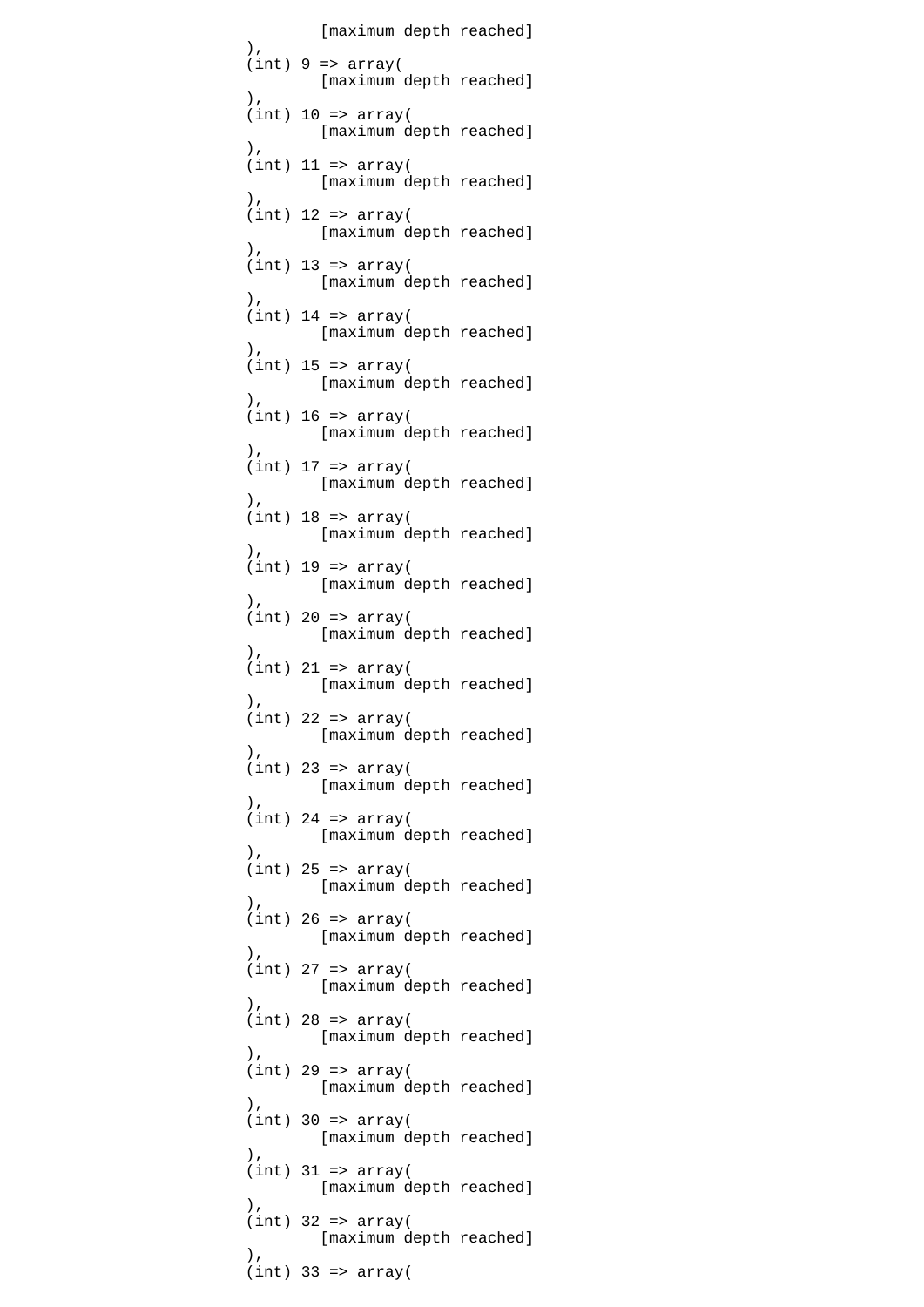[maximum depth reached]<br>(),  $\,$ ),  $\,$  $(int) 9 \Rightarrow array($  [maximum depth reached]  $\,$ ),  $\,$  $(int) 10 \Rightarrow array($ [maximum depth reached]  $\,$ ),  $\,$  $(int)$  11 => array( [maximum depth reached]  $\,$ ),  $\,$  $(int)$  12 => array( [maximum depth reached]  $\,$ ),  $\,$  $(int)$  13 => array( [maximum depth reached]  $\,$ ),  $\,$  $(int)$  14 =>  $array($  [maximum depth reached]  $\,$ ),  $\,$  $(int)$  15 =>  $array($  [maximum depth reached]  $\,$ ),  $\,$  $(int)$  16 => array( [maximum depth reached]  $\,$ ),  $\,$  $(int)$  17 =>  $array($  [maximum depth reached]  $\,$ ),  $\,$  $(int)$  18 => array( [maximum depth reached]<br>(  $\,$ ),  $\,$  $(int)$  19 =>  $array($ [maximum depth reached]  $\,$ ),  $\,$  (int) 20 => array( [maximum depth reached]  $\,$ ),  $\,$  $(int)$  21 =>  $array($  [maximum depth reached]  $\,$ ),  $\,$  $(int)$  22 =>  $array($  [maximum depth reached]  $\,$ ),  $\,$  $(int)$  23 =>  $array($  [maximum depth reached]  $\,$ ),  $\,$  $(int)$  24 =>  $array($  [maximum depth reached]  $\,$ ),  $\,$  $(int)$  25 =>  $array($  [maximum depth reached]  $\,$ ),  $\,$  $(int)$  26 =>  $array($  [maximum depth reached]  $\,$ ),  $\,$  $(int)$  27 =>  $array($ [maximum depth reached]<br>(),  $\,$ ),  $\,$  $(int)$  28 =>  $array($  [maximum depth reached]  $\,$ ),  $\,$  $(int)$  29 =>  $array($  [maximum depth reached]  $\,$ ),  $\,$  $(int)$  30 =>  $array($  [maximum depth reached]  $\,$ ),  $\,$  $(int)$  31 => array( [maximum depth reached]  $\,$ ),  $\,$  $(int)$  32 =>  $array($  [maximum depth reached]  $\,$ ),  $\,$  $(int)$  33 => array(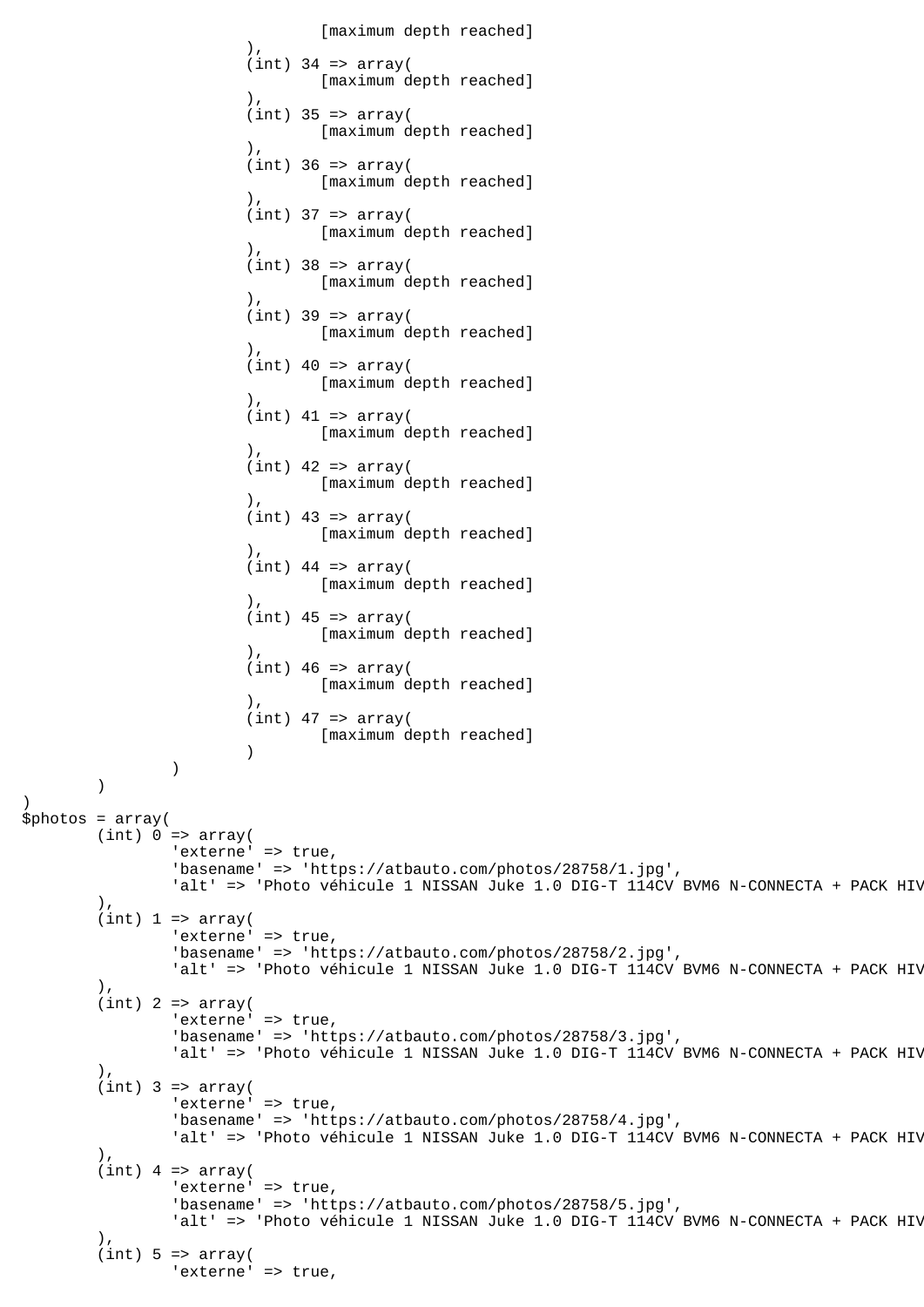```
 [maximum depth reached]
\,), \,(int) 34 => array( [maximum depth reached]
\,), \,(int) 35 => array( [maximum depth reached]
\,), \,(int) 36 => array( [maximum depth reached]
\,), \,(int) 37 => array(
                             [maximum depth reached]
\,), \,(int) 38 => array( [maximum depth reached]
\,), \,(int) 39 => array( [maximum depth reached]
\,), \,(int) 40 \Rightarrow array( [maximum depth reached]
\,), \,(int) 41 => array(
                             [maximum depth reached]
\,), \,(int) 42 => array( [maximum depth reached]
\,), \,(int) 43 => array( [maximum depth reached]
\,), \,(int) 44 => array( [maximum depth reached]
\,), \,(int) 45 => array( [maximum depth reached]
\,), \,(int) 46 \Rightarrow array( [maximum depth reached]
\,), \,(int) 47 => array( [maximum depth reached]
 )
) )
)
$photos = array(
       (int) 0 \Rightarrow array('externe' => true,
               'basename' => 'https://atbauto.com/photos/28758/1.jpg',
              'alt' => 'Photo véhicule 1 NISSAN Juke 1.0 DIG-T 114CV BVM6 N-CONNECTA + PACK HIV
        ),
       (int) 1 \Rightarrow array('externe' => true,
               'basename' => 'https://atbauto.com/photos/28758/2.jpg',
              'alt' => 'Photo véhicule 1 NISSAN Juke 1.0 DIG-T 114CV BVM6 N-CONNECTA + PACK HIV
        ),
       (int) 2 => array('externe' => true,
               'basename' => 'https://atbauto.com/photos/28758/3.jpg',
              'alt' => 'Photo véhicule 1 NISSAN Juke 1.0 DIG-T 114CV BVM6 N-CONNECTA + PACK HIV
 ),
       (int) 3 => array('externe' => true,
               'basename' => 'https://atbauto.com/photos/28758/4.jpg',
              'alt' => 'Photo véhicule 1 NISSAN Juke 1.0 DIG-T 114CV BVM6 N-CONNECTA + PACK HIV
        ),
       (int) 4 => array('externe' => true,
               'basename' => 'https://atbauto.com/photos/28758/5.jpg',
              'alt' => 'Photo véhicule 1 NISSAN Juke 1.0 DIG-T 114CV BVM6 N-CONNECTA + PACK HIV
        ),
       (int) 5 \Rightarrow array('externe' => true,
```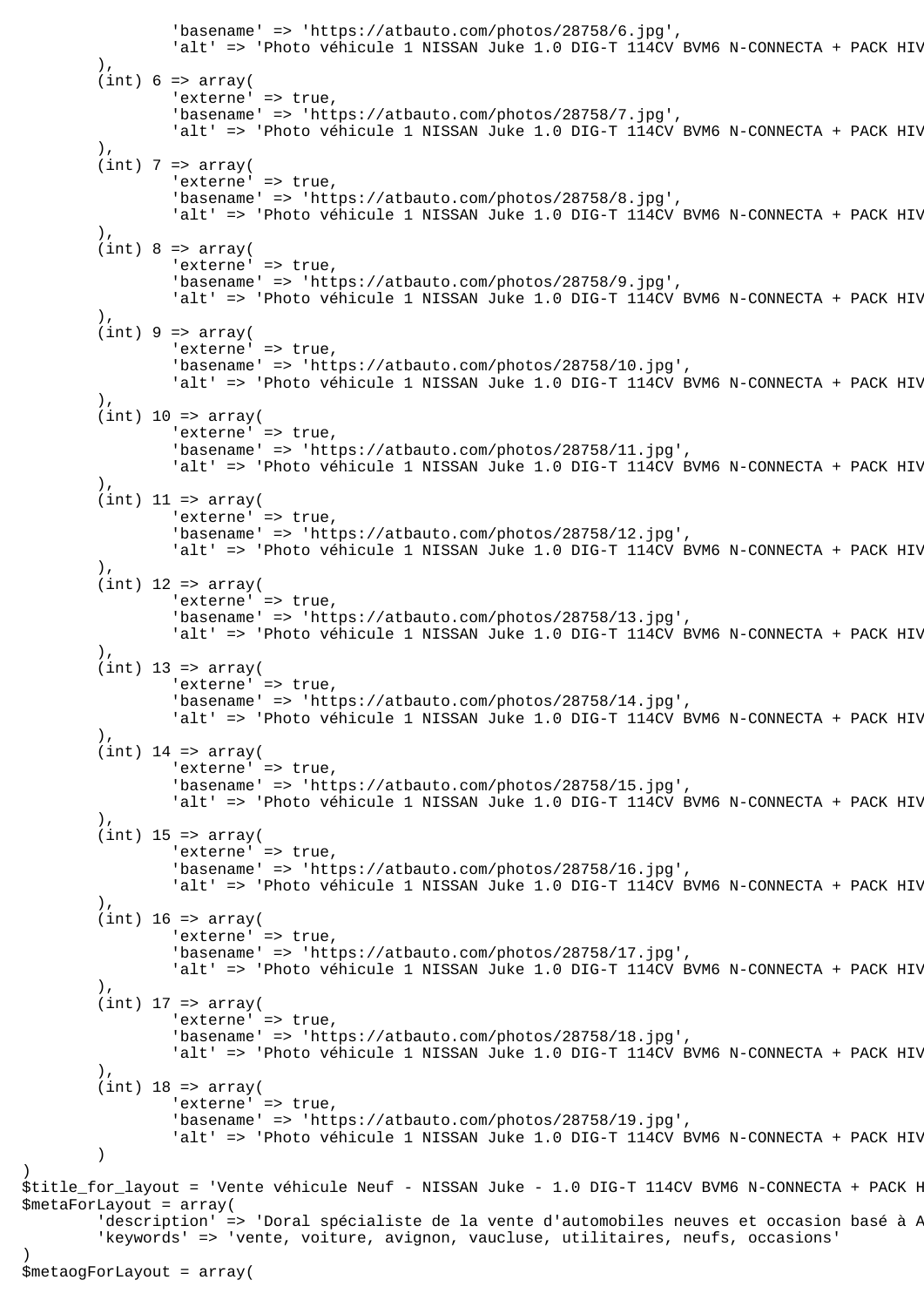```
 'basename' => 'https://atbauto.com/photos/28758/6.jpg',
                'alt' => 'Photo véhicule 1 NISSAN Juke 1.0 DIG-T 114CV BVM6 N-CONNECTA + PACK HIV
         ),
        (int) 6 \Rightarrow array('externe' => true,
                 'basename' => 'https://atbauto.com/photos/28758/7.jpg',
                'alt' => 'Photo véhicule 1 NISSAN Juke 1.0 DIG-T 114CV BVM6 N-CONNECTA + PACK HIV
         ),
        (int) 7 => array('externe' => true,
                 'basename' => 'https://atbauto.com/photos/28758/8.jpg',
                'alt' => 'Photo véhicule 1 NISSAN Juke 1.0 DIG-T 114CV BVM6 N-CONNECTA + PACK HIV
         ),
        (int) 8 \Rightarrow array('externe' => true,
                 'basename' => 'https://atbauto.com/photos/28758/9.jpg',
                'alt' => 'Photo véhicule 1 NISSAN Juke 1.0 DIG-T 114CV BVM6 N-CONNECTA + PACK HIV
         ),
        (int) 9 \Rightarrow array('externe' => true,
                 'basename' => 'https://atbauto.com/photos/28758/10.jpg',
                'alt' => 'Photo véhicule 1 NISSAN Juke 1.0 DIG-T 114CV BVM6 N-CONNECTA + PACK HIV
         ),
        (int) 10 => array('externe' => true,
                 'basename' => 'https://atbauto.com/photos/28758/11.jpg',
                'alt' => 'Photo véhicule 1 NISSAN Juke 1.0 DIG-T 114CV BVM6 N-CONNECTA + PACK HIV
         ),
        (int) 11 => array('externe' => true,
                 'basename' => 'https://atbauto.com/photos/28758/12.jpg',
                'alt' => 'Photo véhicule 1 NISSAN Juke 1.0 DIG-T 114CV BVM6 N-CONNECTA + PACK HIV
         ),
        (int) 12 => array(
                'externe' => true,
                 'basename' => 'https://atbauto.com/photos/28758/13.jpg',
                'alt' => 'Photo véhicule 1 NISSAN Juke 1.0 DIG-T 114CV BVM6 N-CONNECTA + PACK HIV
 ),
        (int) 13 => array('externe' => true,
                 'basename' => 'https://atbauto.com/photos/28758/14.jpg',
                'alt' => 'Photo véhicule 1 NISSAN Juke 1.0 DIG-T 114CV BVM6 N-CONNECTA + PACK HIV
         ),
        (int) 14 => array('externe' => true,
                 'basename' => 'https://atbauto.com/photos/28758/15.jpg',
                'alt' => 'Photo véhicule 1 NISSAN Juke 1.0 DIG-T 114CV BVM6 N-CONNECTA + PACK HIV
         ),
        (int) 15 => array('externe' => true,
                 'basename' => 'https://atbauto.com/photos/28758/16.jpg',
                'alt' => 'Photo véhicule 1 NISSAN Juke 1.0 DIG-T 114CV BVM6 N-CONNECTA + PACK HIV
 ),
        (int) 16 => array(
                'externe' => true,
                 'basename' => 'https://atbauto.com/photos/28758/17.jpg',
                'alt' => 'Photo véhicule 1 NISSAN Juke 1.0 DIG-T 114CV BVM6 N-CONNECTA + PACK HIV
         ),
        (int) 17 => array(
                'externe' => true,
                 'basename' => 'https://atbauto.com/photos/28758/18.jpg',
                'alt' => 'Photo véhicule 1 NISSAN Juke 1.0 DIG-T 114CV BVM6 N-CONNECTA + PACK HIV
 ),
        (int) 18 => array(
                'externe' => true,
                 'basename' => 'https://atbauto.com/photos/28758/19.jpg',
                'alt' => 'Photo véhicule 1 NISSAN Juke 1.0 DIG-T 114CV BVM6 N-CONNECTA + PACK HIV
         )
$title_for_layout = 'Vente véhicule Neuf - NISSAN Juke - 1.0 DIG-T 114CV BVM6 N-CONNECTA + PACK H
$metaForLayout = array(
        'description' => 'Doral spécialiste de la vente d'automobiles neuves et occasion basé à A
         'keywords' => 'vente, voiture, avignon, vaucluse, utilitaires, neufs, occasions'
$metaogForLayout = array(
```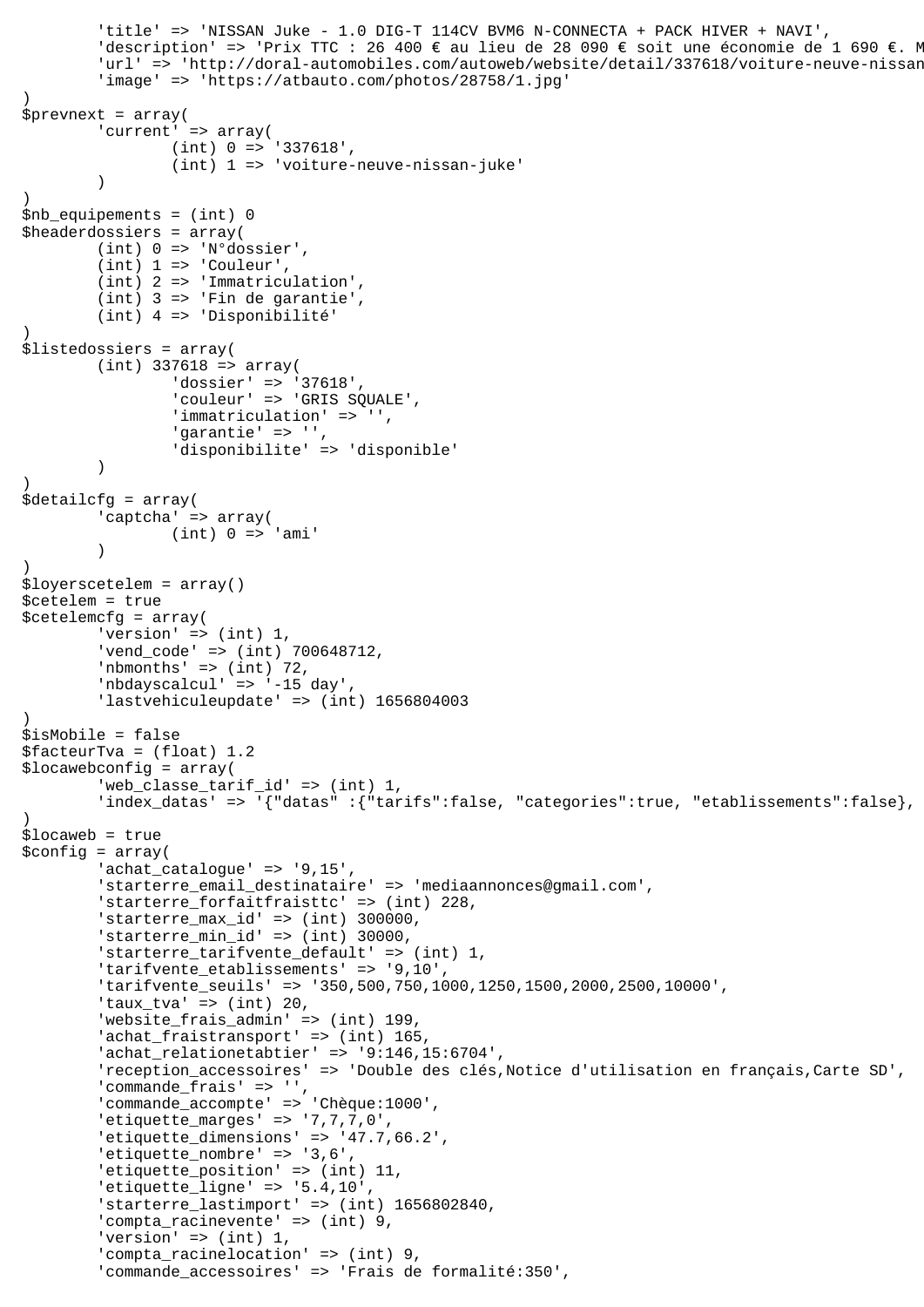```
 'title' => 'NISSAN Juke - 1.0 DIG-T 114CV BVM6 N-CONNECTA + PACK HIVER + NAVI',
        'description' => 'Prix TTC : 26 400 € au lieu de 28 090 € soit une économie de 1 690 €. M
        'url' => 'http://doral-automobiles.com/autoweb/website/detail/337618/voiture-neuve-nissan
         'image' => 'https://atbauto.com/photos/28758/1.jpg'
)
$prevnext = array(
        'current' => array(
                  (int) 0 => '337618',
                  (int) 1 => 'voiture-neuve-nissan-juke'
\overline{\phantom{a}})
$nb_equipements = (int) 0
$headerdossiers = array(
         (int) 0 => 'N°dossier',
        (int) 1 \Rightarrow 'Counter'. (int) 2 => 'Immatriculation',
         (int) 3 => 'Fin de garantie',
         (int) 4 => 'Disponibilité'
)
$listedossiers = array(
        (int) 337618 => array(
                  'dossier' => '37618',
                 'couleur' => 'GRIS SQUALE',
                 'immatriculation' => '',
                  'garantie' => '',
         'disponibilite' => 'disponible'
\overline{\phantom{a}})
$detailcfg = array(
         'captcha' => array(
                (int) 0 => 'ami'\overline{\phantom{a}})
$loyerscetelem = array()
$cetelem = true
$cetelemcfg = array(
         'version' => (int) 1,
         'vend_code' => (int) 700648712,
        'nbmonths' \Rightarrow (int) 72,
         'nbdayscalcul' => '-15 day',
        'lastvehiculeupdate' => (int) 1656804003
)
$isMobile = false
$facteurTva = (float) 1.2
$locawebconfig = array(
         'web_classe_tarif_id' => (int) 1,
        'index datas' => '{"datas" :{"tarifs":false, "categories":true, "etablissements":false},
)
$locaweb = true
$config = array(
         'achat_catalogue' => '9,15',
         'starterre_email_destinataire' => 'mediaannonces@gmail.com',
         'starterre_forfaitfraisttc' => (int) 228,
         'starterre_max_id' => (int) 300000,
        'starterre min id' => (int) 30000,
         'starterre_tarifvente_default' => (int) 1,
         'tarifvente_etablissements' => '9,10',
         'tarifvente_seuils' => '350,500,750,1000,1250,1500,2000,2500,10000',
        'taux_tva' => (int) 20,
         'website_frais_admin' => (int) 199,
        'achat_fraistransport' => (int) 165,
         'achat_relationetabtier' => '9:146,15:6704',
         'reception_accessoires' => 'Double des clés,Notice d'utilisation en français,Carte SD',
        'commande frais' => ''
         'commande_accompte' => 'Chèque:1000',
        'etiquette_marges' => '7, 7, 7, 0',
         'etiquette_dimensions' => '47.7,66.2',
        'etiquette nombre' => '3,6',
        'etiquette position' => (int) 11,
         'etiquette_ligne' => '5.4,10',
         'starterre_lastimport' => (int) 1656802840,
         'compta_racinevente' => (int) 9,
        'version' => (int) 1, 'compta_racinelocation' => (int) 9,
         'commande_accessoires' => 'Frais de formalité:350',
```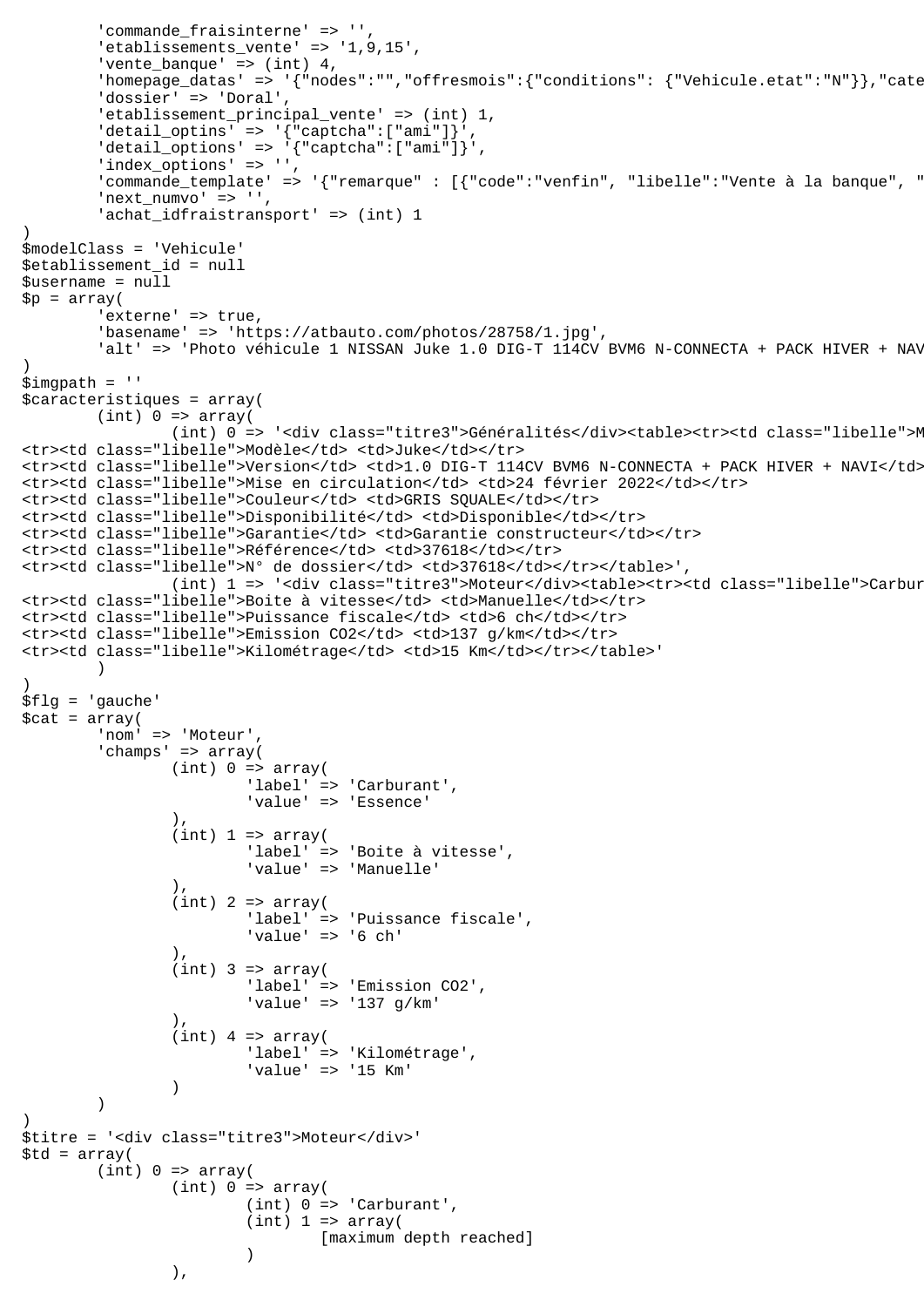```
'commande fraisinterne' => '',
        'etablissements vente' => '1,9,15',
        'vente_banque' => (int) 4,'homepage_datas' => '{"nodes":"","offresmois":{"conditions": {"Vehicule.etat":"N"}},"cate
         'dossier' => 'Doral',
        'etablissement_principal_vente' => (int) 1,
        'detail_optins' => '{\text{``captcha''':['ami'']'}}','delta\_options' => '\{''caption</del>"["ami"]}','index_options' => '',
        commande template' => '{"remarque" : [{"code":"venfin", "libelle":"Vente à la banque", "
        'next_numvo' => '',
        'achat_idfraistransport' => (int) 1
)
$modelClass = 'Vehicule'
$etablissement_id = null
$username = null
$p = array( 'externe' => true,
         'basename' => 'https://atbauto.com/photos/28758/1.jpg',
        'alt' => 'Photo véhicule 1 NISSAN Juke 1.0 DIG-T 114CV BVM6 N-CONNECTA + PACK HIVER + NAV
)
$imgpath = ''
$caracteristiques = array(
        (int) 0 \Rightarrow array((int) 0 => '<div class="titre3">Généralités</div><table><tr>><td class="libelle">M
<tr><td class="libelle">Modèle</td> <td>Juke</td></tr>
<tr><td class="libelle">Version</td> <td>1.0 DIG-T 114CV BVM6 N-CONNECTA + PACK HIVER + NAVI</td></tr>
<tr><td class="libelle">Mise en circulation</td> <td>24 février 2022</td></tr>
<tr><td class="libelle">Couleur</td> <td>GRIS SQUALE</td></tr>
<tr><td class="libelle">Disponibilité</td> <td>Disponible</td></tr>
<tr><td class="libelle">Garantie</td> <td>Garantie constructeur</td></tr>
<tr><td class="libelle">Référence</td> <td>37618</td></tr>
<tr><td class="libelle">N° de dossier</td> <td>37618</td></tr></table>',
                (int) 1 => '<div class="titre3">Moteur</div><table><tr><td class="libelle">Carbur
<tr><td class="libelle">Boite à vitesse</td> <td>Manuelle</td></tr>
<tr><td class="libelle">Puissance fiscale</td> <td>6 ch</td></tr>
<tr><td class="libelle">Emission CO2</td> <td>137 g/km</td></tr>
<tr><td class="libelle">Kilométrage</td> <td>15 Km</td></tr></table>'
\overline{\phantom{a}})
$flg = 'gauche'
$cat = array( 'nom' => 'Moteur',
         'champs' => array(
                (int) 0 \Rightarrow array( 'label' => 'Carburant',
                         'value' => 'Essence'
 ),
                (int) 1 \Rightarrow array( 'label' => 'Boite à vitesse',
                         'value' => 'Manuelle'
 ),
                (int) 2 => array( 'label' => 'Puissance fiscale',
                         'value' => '6 ch'
 ),
                (int) 3 => array( 'label' => 'Emission CO2',
                         'value' => '137 g/km'
 ),
                (int) 4 => array( 'label' => 'Kilométrage',
                 'value' => '15 Km'
 )
\overline{\phantom{a}})
$titre = '<div class="titre3">Moteur</div>'
$td = array((int) 0 \Rightarrow array((int) 0 \Rightarrow array( (int) 0 => 'Carburant',
                        (int) 1 \Rightarrow array( [maximum depth reached]
 )
                 ),
```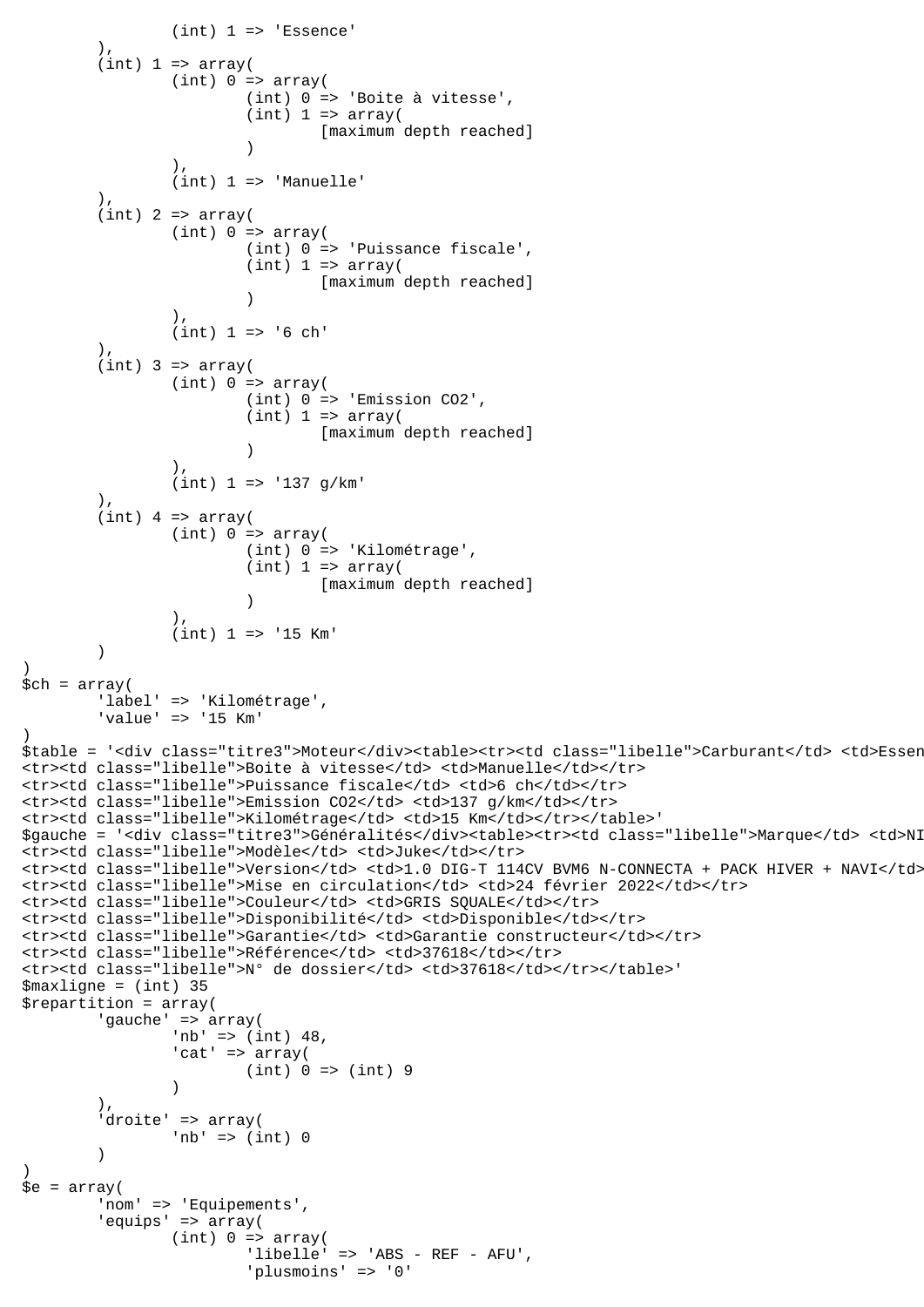```
(int) 1 \Rightarrow 'Essence' ),
        (int) 1 \Rightarrow array((int) 0 \Rightarrow array((int) 0 \Rightarrow 'Boite à vitesse',
                        (int) 1 \Rightarrow array( [maximum depth reached]
 )
 ),
                 (int) 1 => 'Manuelle'
 ),
        (int) 2 => array((int) 0 \Rightarrow array( (int) 0 => 'Puissance fiscale',
                        (int) 1 \Rightarrow array( [maximum depth reached]
 )
 ),
                (int) 1 => '6 ch' ),
        (int) 3 => array(
                (int) 0 \Rightarrow array( (int) 0 => 'Emission CO2',
                        (int) 1 \Rightarrow array( [maximum depth reached]
 )
 ),
                 (int) 1 => '137 g/km'
         ),
        (int) 4 => array((int) 0 \Rightarrow array( (int) 0 => 'Kilométrage',
                        (int) 1 \Rightarrow array([maximum depth reached]
 )
 ),
                 (int) 1 => '15 Km'
\overline{\phantom{a}})
$ch = array( 'label' => 'Kilométrage',
         'value' => '15 Km'
)
$table = '<div class="titre3">Moteur</div><table><tr>><td class="libelle">Carburant</td> <td>Essen
<tr><td class="libelle">Boite à vitesse</td> <td>Manuelle</td></tr>
<tr><td class="libelle">Puissance fiscale</td> <td>6 ch</td></tr>
<tr><td class="libelle">Emission CO2</td> <td>137 g/km</td></tr>
<tr><td class="libelle">Kilométrage</td> <td>15 Km</td></tr></table>'
$qauche = '<div class="titre3">Généralités</div><table><tr>><td class="libelle">Marque</td> <td>NI
<tr>>ttr><td class="libelle">Modèle</td> <td>Juke</td></tr>
<tr><td class="libelle">Version</td> <td>1.0 DIG-T 114CV BVM6 N-CONNECTA + PACK HIVER + NAVI</td></tr>
<tr><td class="libelle">Mise en circulation</td> <td>24 février 2022</td></tr>
<tr><td class="libelle">Couleur</td> <td>GRIS SQUALE</td></tr>
<tr><td class="libelle">Disponibilité</td> <td>Disponible</td></tr>
<tr><td class="libelle">Garantie</td> <td>Garantie constructeur</td></tr>
<tr>>ttr><td class="libelle">Référence</td> <td>37618</td></tr>
<tr><td class="libelle">N° de dossier</td> <td>37618</td></tr></table>'
$maxligne = (int) 35
$repartition = array(
         'gauche' => array(
                 'nb' => (int) 48,
                'cat' => array(
                         (int) 0 => (int) 9
 )
 ),
        'droite' => array(
                'nb' \Rightarrow (int) 0
\overline{\phantom{a}})
\text{se} = \text{array}(
         'nom' => 'Equipements',
         'equips' => array(
                (int) 0 \Rightarrow array( 'libelle' => 'ABS - REF - AFU',
                         'plusmoins' => '0'
```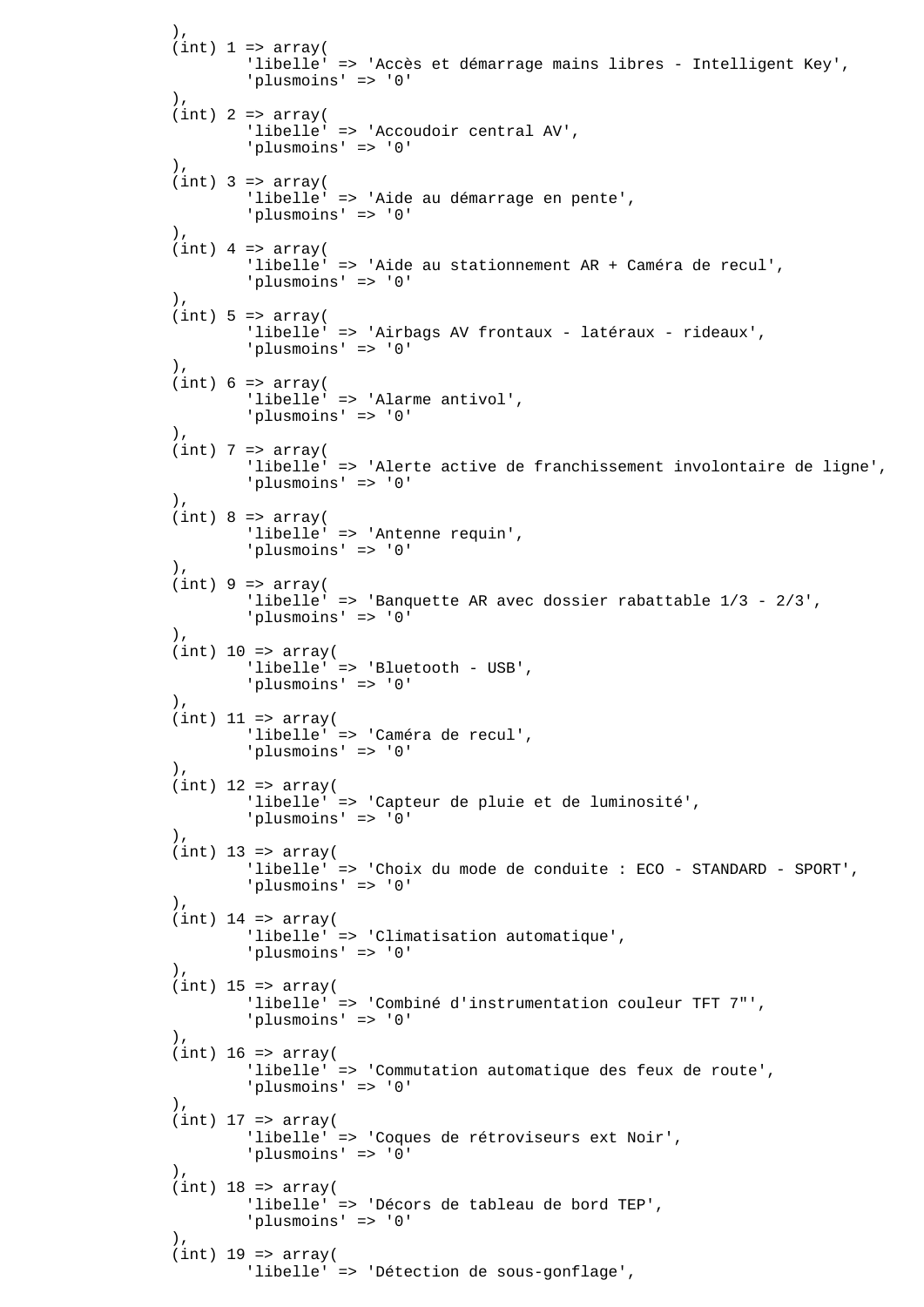```
 ),
               (int) 1 \Rightarrow array( 'libelle' => 'Accès et démarrage mains libres - Intelligent Key',
                       'plusmoins' => '0'
 ),
               (int) 2 => array( 'libelle' => 'Accoudoir central AV',
                       'plusmoins' => '0'
 ),
               (int) 3 => array( 'libelle' => 'Aide au démarrage en pente',
                       'plusmoins' => '0'
 ),
               (int) 4 => array(
                       'libelle' => 'Aide au stationnement AR + Caméra de recul',
                       'plusmoins' => '0'
 ),
               (int) 5 \Rightarrow array( 'libelle' => 'Airbags AV frontaux - latéraux - rideaux',
                       'plusmoins' => '0'
 ),
               (int) 6 \Rightarrow array( 'libelle' => 'Alarme antivol',
                       'plusmoins' => '0'
 ),
               (int) 7 => array( 'libelle' => 'Alerte active de franchissement involontaire de ligne',
                       'plusmoins' => '0'
                ),
               (int) 8 \Rightarrow array( 'libelle' => 'Antenne requin',
                       'plusmoins' => '0'
               ),
               (int) 9 \Rightarrow array( 'libelle' => 'Banquette AR avec dossier rabattable 1/3 - 2/3',
                       'plusmoins' => '0'
               ),
               (int) 10 => array( 'libelle' => 'Bluetooth - USB',
                       'plusmoins' => '0'
 ),
               (int) 11 => array(
                       'libelle' => 'Caméra de recul',
                       'plusmoins' => '0'
                ),
               (int) 12 => array(
                       'libelle' => 'Capteur de pluie et de luminosité',
                       'plusmoins' => '0'
 ),
               (int) 13 => array( 'libelle' => 'Choix du mode de conduite : ECO - STANDARD - SPORT',
                       'plusmoins' => '0'
 ),
               (int) 14 => array( 'libelle' => 'Climatisation automatique',
                       'plusmoins' => '0'
 ),
               (int) 15 => array( 'libelle' => 'Combiné d'instrumentation couleur TFT 7"',
                       'plusmoins' => '0'
 ),
               (int) 16 => array( 'libelle' => 'Commutation automatique des feux de route',
                       'plusmoins' => '0'
\,), \,(int) 17 => array(
                       'libelle' => 'Coques de rétroviseurs ext Noir',
                       'plusmoins' => '0'
 ),
               (int) 18 => array( 'libelle' => 'Décors de tableau de bord TEP',
                       'plusmoins' => '0'
 ),
               (int) 19 => array(
                       'libelle' => 'Détection de sous-gonflage',
```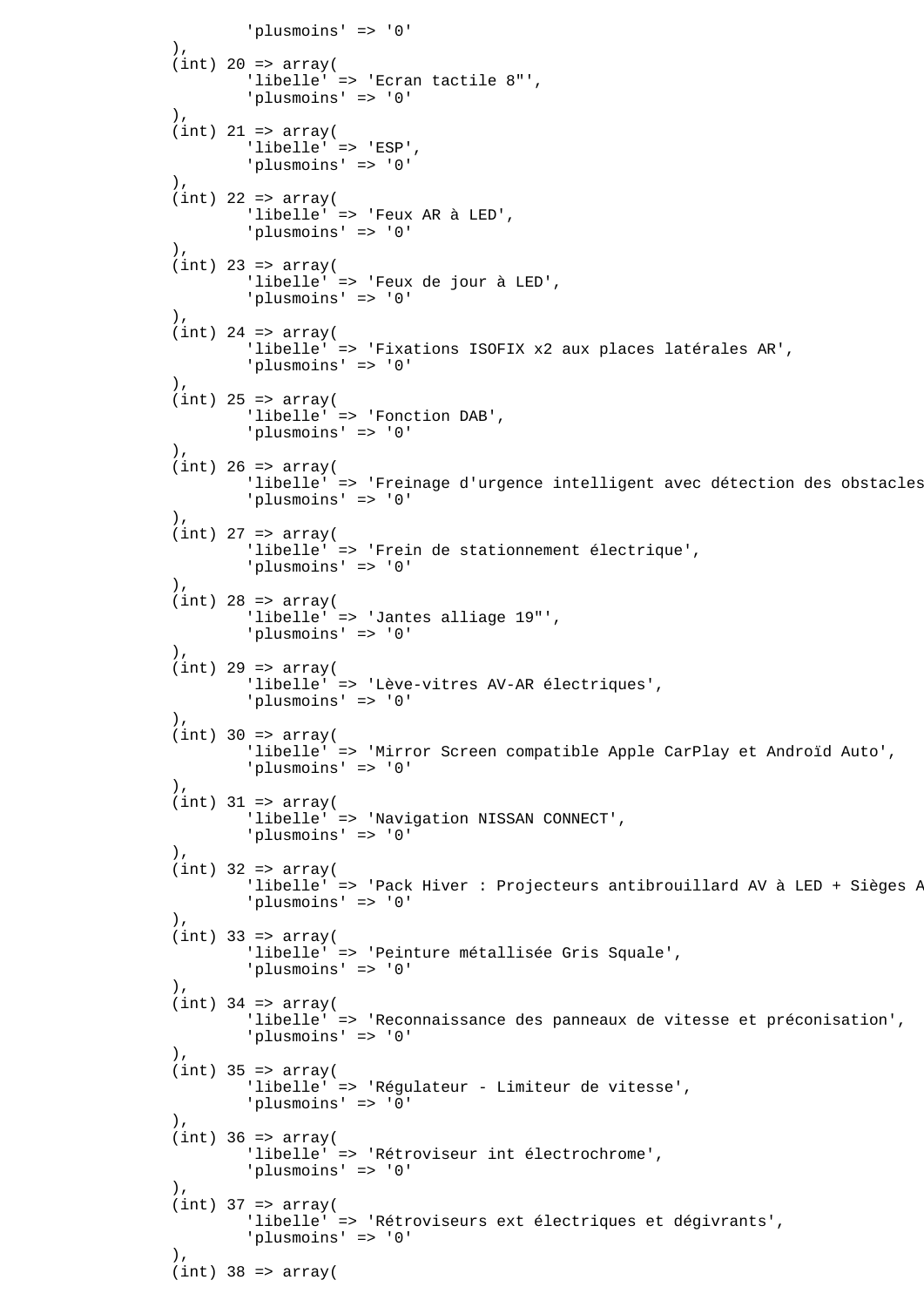```
 'plusmoins' => '0'
 ),
              (int) 20 => array( 'libelle' => 'Ecran tactile 8"',
                      'plusmoins' => '0'
 ),
              (int) 21 => array(
                      'libelle' => 'ESP',
                      'plusmoins' => '0'
              ),
              (int) 22 => array(
                      'libelle' => 'Feux AR à LED',
                      'plusmoins' => '0'
 ),
              (int) 23 => array(
                      'libelle' => 'Feux de jour à LED',
                      'plusmoins' => '0'
 ),
              (int) 24 => array(
                      'libelle' => 'Fixations ISOFIX x2 aux places latérales AR',
                      'plusmoins' => '0'
               ),
              (int) 25 => array('libelle' => 'Fonction DAB',
                      'plusmoins' => '0'
 ),
              (int) 26 => array(
                     'libelle' => 'Freinage d'urgence intelligent avec détection des obstacles
                      'plusmoins' => '0'
 ),
              (int) 27 => array( 'libelle' => 'Frein de stationnement électrique',
                      'plusmoins' => '0'
 ),
              (int) 28 => array( 'libelle' => 'Jantes alliage 19"',
                      'plusmoins' => '0'
 ),
              (int) 29 => array( 'libelle' => 'Lève-vitres AV-AR électriques',
                      'plusmoins' => '0'
 ),
              (int) 30 => array( 'libelle' => 'Mirror Screen compatible Apple CarPlay et Androïd Auto',
                      'plusmoins' => '0'
 ),
              (int) 31 => array(
                      'libelle' => 'Navigation NISSAN CONNECT',
                      'plusmoins' => '0'
 ),
              (int) 32 => array(
                     'libelle' => 'Pack Hiver : Projecteurs antibrouillard AV à LED + Sièges P
                      'plusmoins' => '0'
\,), \,(int) 33 => array( 'libelle' => 'Peinture métallisée Gris Squale',
                      'plusmoins' => '0'
 ),
              (int) 34 => array(
                      'libelle' => 'Reconnaissance des panneaux de vitesse et préconisation',
                      'plusmoins' => '0'
 ),
              (int) 35 => array( 'libelle' => 'Régulateur - Limiteur de vitesse',
                      'plusmoins' => '0'
 ),
              (int) 36 => array( 'libelle' => 'Rétroviseur int électrochrome',
                      'plusmoins' => '0'
\,), \,(int) 37 => array( 'libelle' => 'Rétroviseurs ext électriques et dégivrants',
                      'plusmoins' => '0'
 ),
              (int) 38 => array(
```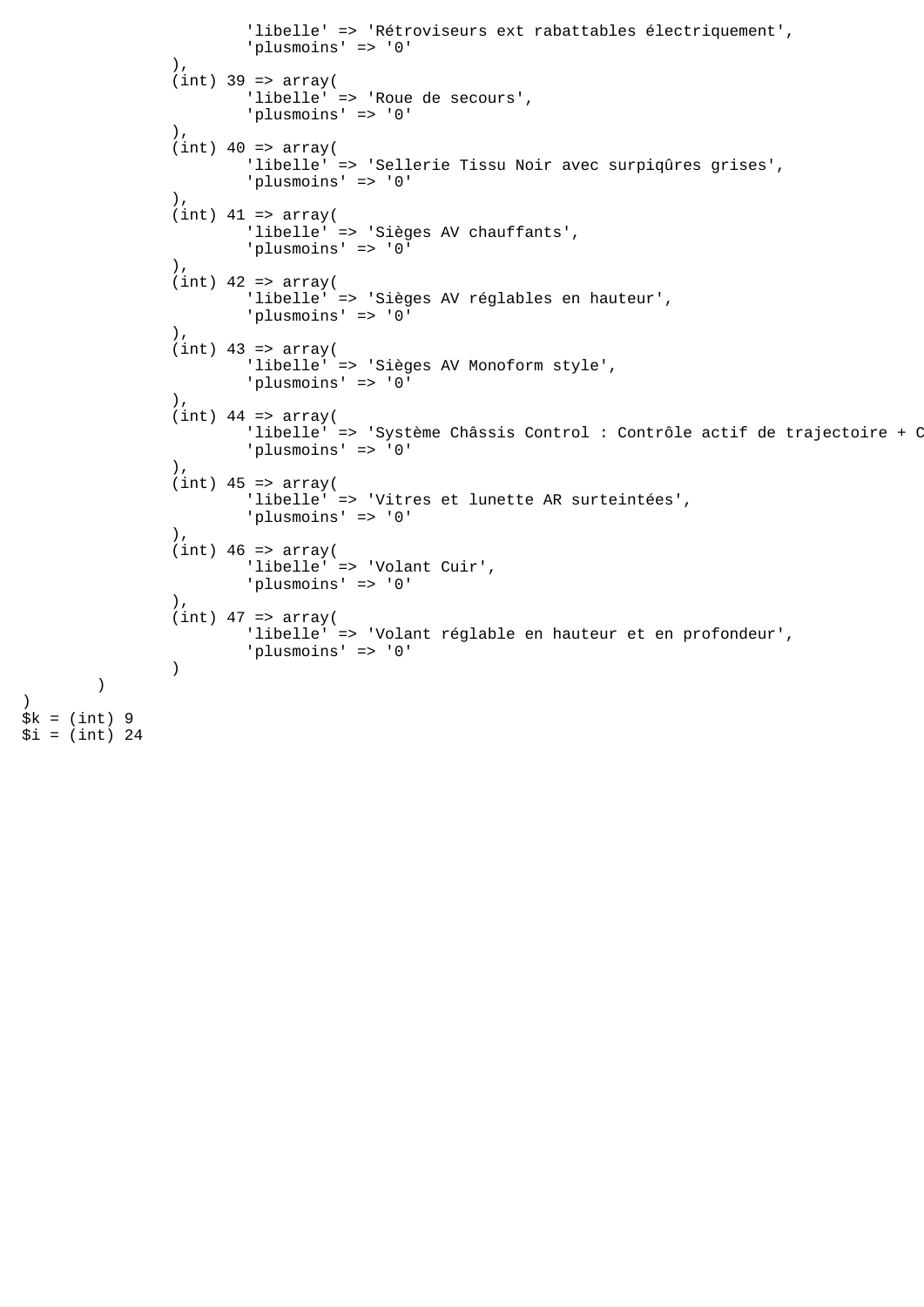```
 'libelle' => 'Rétroviseurs ext rabattables électriquement',
                        'plusmoins' => '0'
 ),
               (int) 39 => array( 'libelle' => 'Roue de secours',
                        'plusmoins' => '0'
 ),
               (int) 40 \Rightarrow array( 'libelle' => 'Sellerie Tissu Noir avec surpiqûres grises',
                        'plusmoins' => '0'
\, ), \,(int) 41 => array(
                        'libelle' => 'Sièges AV chauffants',
                        'plusmoins' => '0'
\, ), \,(int) 42 => array( 'libelle' => 'Sièges AV réglables en hauteur',
                        'plusmoins' => '0'
                ),
               (int) 43 => array(
                        'libelle' => 'Sièges AV Monoform style',
                        'plusmoins' => '0'
                ),
               (int) 44 => array('libelle' => 'Système Châssis Control : Contrôle actif de trajectoire + C
                        'plusmoins' => '0'
                ),
               (int) 45 => array( 'libelle' => 'Vitres et lunette AR surteintées',
                        'plusmoins' => '0'
                ),
               (int) 46 \Rightarrow array( 'libelle' => 'Volant Cuir',
                        'plusmoins' => '0'
                ),
               (int) 47 => array(
                        'libelle' => 'Volant réglable en hauteur et en profondeur',
                'plusmoins' => '0'
)$k = (int) 9$i = (int) 24
```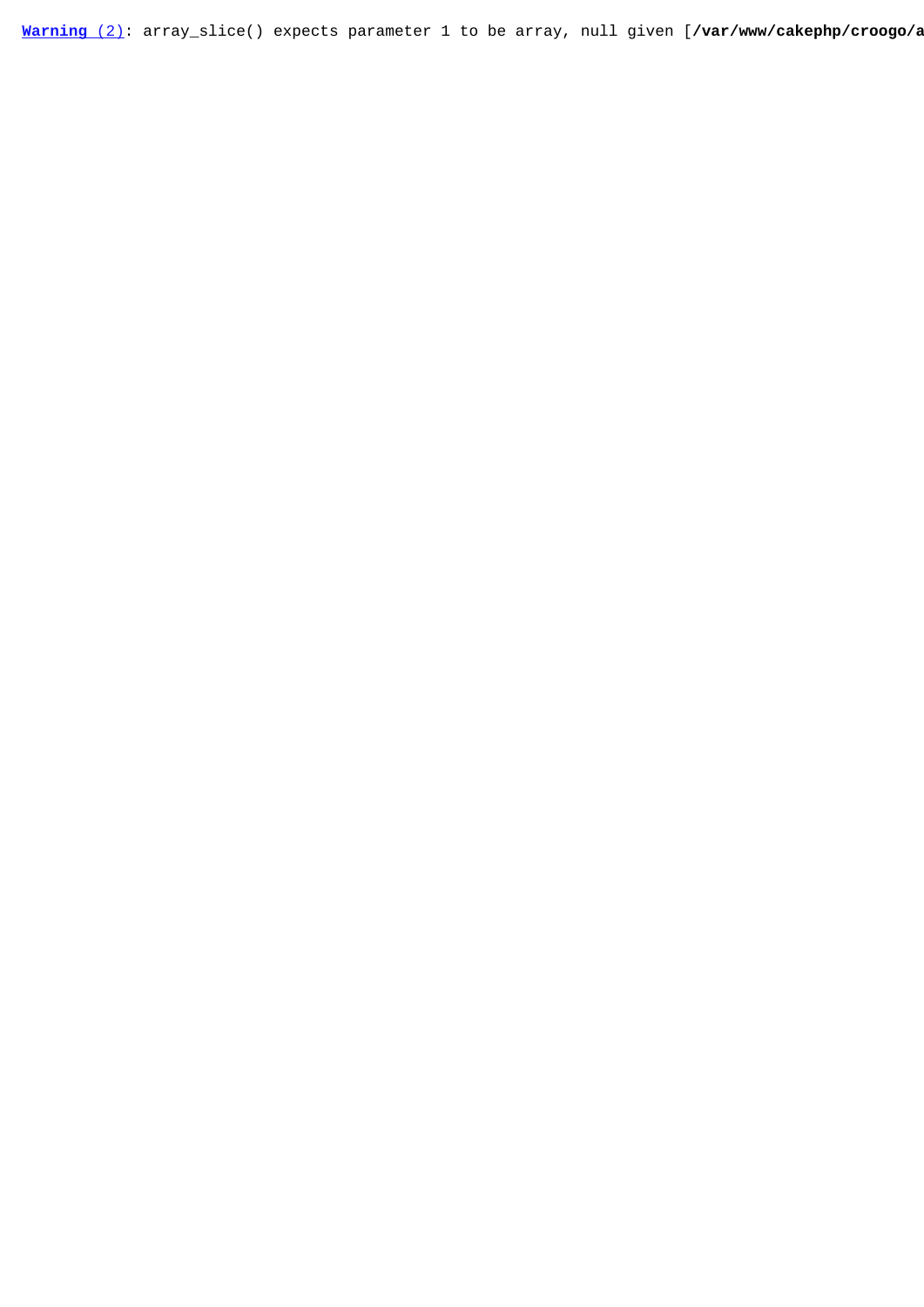[Warning](javascript:void(0);) [\(2\)](javascript:void(0);): array\_slice() expects parameter 1 to be array, null given [/var/www/cakephp/croogo/a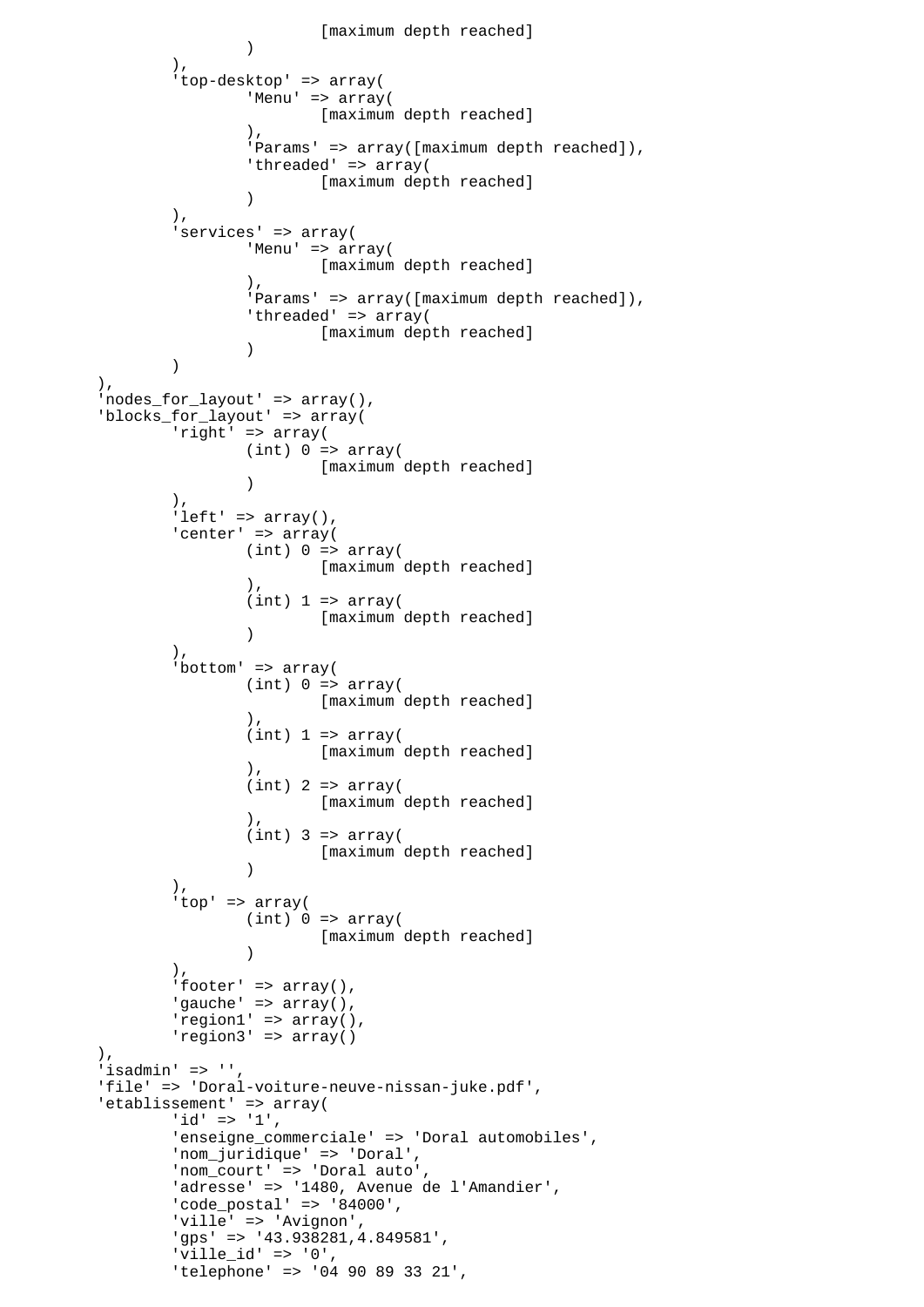```
 [maximum depth reached]
 )
 ),
              'top-desktop' => array(
                     'Menu' => array(
                    [maximum depth reached]<br>).
\,), \,'Params' => array([maximum depth reached]),
                     'threaded' => array(
                            [maximum depth reached]
 )
              ),
              'services' => array(
                    'Menu' => array(
                           [maximum depth reached]
\,), \,'Params' => array([maximum depth reached]),
                    'threaded' => array(
                     [maximum depth reached]
 )
 )
       ),
       'nodes_for_layout' => array(),
       'blocks_for_layout' => array(
             'right' => array((int) 0 \Rightarrow array( [maximum depth reached]
 )
              ),
             'left' => array(),
             'center' => array(
                    (int) 0 \Rightarrow array( [maximum depth reached]
\,), \,(int) 1 \Rightarrow array( [maximum depth reached]
 )
\, ), \,'bottom' => array(
                    (int) 0 \Rightarrow array( [maximum depth reached]
\,), \,(int) 1 \Rightarrow array( [maximum depth reached]
\,), \,(int) 2 => array( [maximum depth reached]
\,), \,(int) 3 => array( [maximum depth reached]
 )
              ),
              'top' => array(
                    (int) 0 \Rightarrow array( [maximum depth reached]
 )
\, ), \, 'footer' => array(),
             'gauche' => array(),
              'region1' => array(),
              'region3' => array()
       ),
       'isadmin' => '',
       'file' => 'Doral-voiture-neuve-nissan-juke.pdf',
      'etablissement' => array(
             'id' => '1',
              'enseigne_commerciale' => 'Doral automobiles',
              'nom_juridique' => 'Doral',
              'nom_court' => 'Doral auto',
             'adresse' => '1480, Avenue de l'Amandier',
              'code_postal' => '84000',
              'ville' => 'Avignon',
              'gps' => '43.938281,4.849581',
 'ville_id' => '0',
 'telephone' => '04 90 89 33 21',
```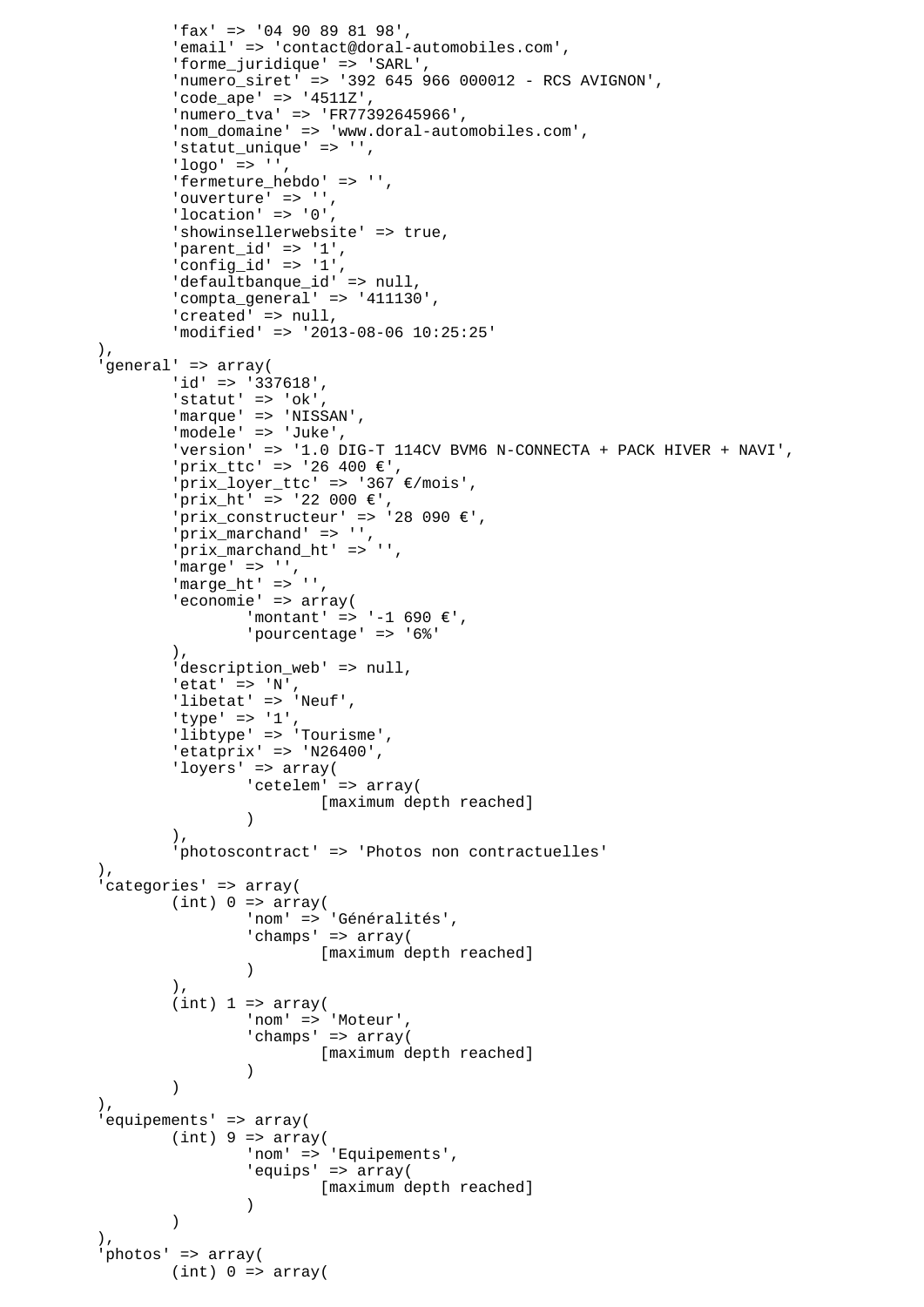```
 'fax' => '04 90 89 81 98',
                'email' => 'contact@doral-automobiles.com',
                'forme_juridique' => 'SARL',
                'numero_siret' => '392 645 966 000012 - RCS AVIGNON',
               'code ape' => '4511Z',
                'numero_tva' => 'FR77392645966',
               'nom domaine' => 'www.doral-automobiles.com',
                'statut_unique' => '',
               'loor' = > '', 'fermeture_hebdo' => '',
               'ouverture' => '',
               'location' => '0' 'showinsellerwebsite' => true,
                'parent_id' => '1',
                'config_id' => '1',
               'defaultbanque id' => null,
                'compta_general' => '411130',
               'created' => null,
                'modified' => '2013-08-06 10:25:25'
        ),
        'general' => array(
               'id' => '337618',
               'statut' => 'ok',
               'marque' => 'NISSAN',
                'modele' => 'Juke',
                'version' => '1.0 DIG-T 114CV BVM6 N-CONNECTA + PACK HIVER + NAVI',
               'prix ttc' => '26 400 \varepsilon',
                'prix_loyer_ttc' => '367 €/mois',
                'prix_ht' => '22 000 €',
               'prix_constructeur' => '28 090 \varepsilon',
                'prix_marchand' => '',
                'prix_marchand_ht' => '',
 'marge' => '',
 'marge_ht' => '',
               'economie' => array(
                       'montant' => '-1 690 €',
                        'pourcentage' => '6%'
               ),
               'description_web' => null,
               'etat' => 'N',
               'libetat' => 'Neuf',
               'type' => '1',
                'libtype' => 'Tourisme',
               'etatprix' => 'N26400',
                'loyers' => array(
                        'cetelem' => array(
                                [maximum depth reached]
 )
\,), \, 'photoscontract' => 'Photos non contractuelles'
        ),
         'categories' => array(
               (int) 0 \Rightarrow array( 'nom' => 'Généralités',
                       'champs' => array(
                               [maximum depth reached]
 )
\, ), \,(int) 1 \Rightarrow array( 'nom' => 'Moteur',
                       'champs' => array(
                               [maximum depth reached]
 )
 )
       ),
         'equipements' => array(
               (int) 9 \Rightarrow array( 'nom' => 'Equipements',
                        'equips' => array(
                               [maximum depth reached]
 )
 )
 ),
         'photos' => array(
               (int) 0 \Rightarrow array(
```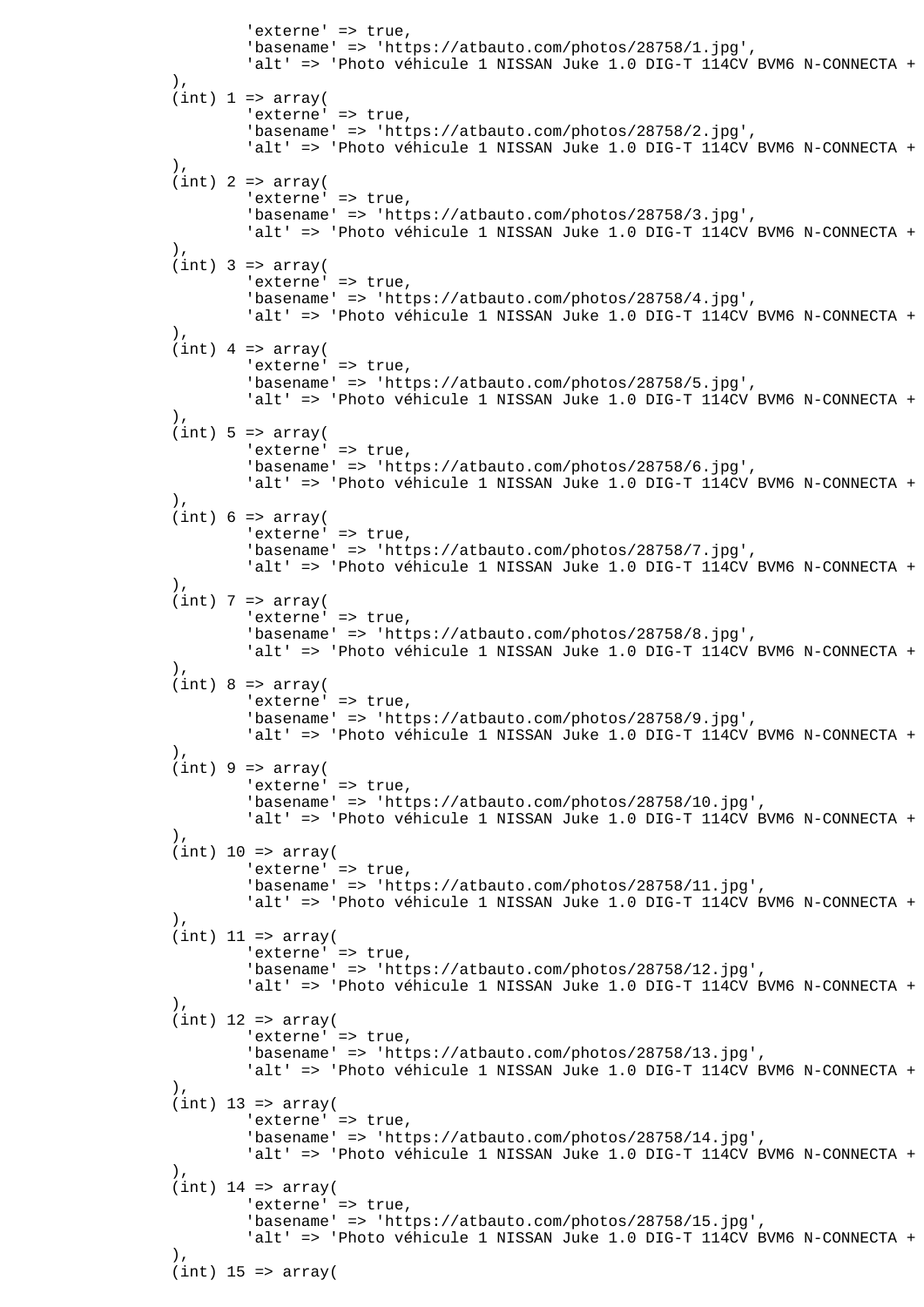```
'externe' => true,
                        'basename' => 'https://atbauto.com/photos/28758/1.jpg',
                       'alt' => 'Photo véhicule 1 NISSAN Juke 1.0 DIG-T 114CV BVM6 N-CONNECTA +
\, ), \,(int) 1 \Rightarrow array('externe' => true,
                        'basename' => 'https://atbauto.com/photos/28758/2.jpg',
                       'alt' => 'Photo véhicule 1 NISSAN Juke 1.0 DIG-T 114CV BVM6 N-CONNECTA +
\, ), \,(int) 2 => array('externe' => true,
                        'basename' => 'https://atbauto.com/photos/28758/3.jpg',
                       'alt' => 'Photo véhicule 1 NISSAN Juke 1.0 DIG-T 114CV BVM6 N-CONNECTA +
\, ), \,(int) 3 => array('externe' => true,
                        'basename' => 'https://atbauto.com/photos/28758/4.jpg',
                       'alt' => 'Photo véhicule 1 NISSAN Juke 1.0 DIG-T 114CV BVM6 N-CONNECTA +
 ),
               (int) 4 => array('externe' => true,
                        'basename' => 'https://atbauto.com/photos/28758/5.jpg',
                       'alt' => 'Photo véhicule 1 NISSAN Juke 1.0 DIG-T 114CV BVM6 N-CONNECTA +
 ),
               (int) 5 \Rightarrow array('externe' => true,
                        'basename' => 'https://atbauto.com/photos/28758/6.jpg',
                       'alt' => 'Photo véhicule 1 NISSAN Juke 1.0 DIG-T 114CV BVM6 N-CONNECTA +
 ),
               (int) 6 \Rightarrow array('externe' => true,
                        'basename' => 'https://atbauto.com/photos/28758/7.jpg',
                       'alt' => 'Photo véhicule 1 NISSAN Juke 1.0 DIG-T 114CV BVM6 N-CONNECTA +
 ),
               (int) 7 => array('externe' => true,
                        'basename' => 'https://atbauto.com/photos/28758/8.jpg',
                       'alt' => 'Photo véhicule 1 NISSAN Juke 1.0 DIG-T 114CV BVM6 N-CONNECTA +
                ),
               (int) 8 \Rightarrow array('externe' => true,
                        'basename' => 'https://atbauto.com/photos/28758/9.jpg',
                       'alt' => 'Photo véhicule 1 NISSAN Juke 1.0 DIG-T 114CV BVM6 N-CONNECTA +
                ),
               (int) 9 \Rightarrow array('externe' => true,
                        'basename' => 'https://atbauto.com/photos/28758/10.jpg',
                       'alt' => 'Photo véhicule 1 NISSAN Juke 1.0 DIG-T 114CV BVM6 N-CONNECTA +
\,), \,(int) 10 => array('externe' => true,
                        'basename' => 'https://atbauto.com/photos/28758/11.jpg',
                       'alt' => 'Photo véhicule 1 NISSAN Juke 1.0 DIG-T 114CV BVM6 N-CONNECTA +
\,), \,(int) 11 => array('externe' => true,
                        'basename' => 'https://atbauto.com/photos/28758/12.jpg',
                       'alt' => 'Photo véhicule 1 NISSAN Juke 1.0 DIG-T 114CV BVM6 N-CONNECTA +
               \lambda,
               (int) 12 => array('externe' => true,
                        'basename' => 'https://atbauto.com/photos/28758/13.jpg',
                       'alt' => 'Photo véhicule 1 NISSAN Juke 1.0 DIG-T 114CV BVM6 N-CONNECTA +
\, ), \,(int) 13 => array('externe' => true,
                        'basename' => 'https://atbauto.com/photos/28758/14.jpg',
                       'alt' => 'Photo véhicule 1 NISSAN Juke 1.0 DIG-T 114CV BVM6 N-CONNECTA +
 ),
               (int) 14 => array('externe' => true,
                        'basename' => 'https://atbauto.com/photos/28758/15.jpg',
                       'alt' => 'Photo véhicule 1 NISSAN Juke 1.0 DIG-T 114CV BVM6 N-CONNECTA +
 ),
               (int) 15 => array(
```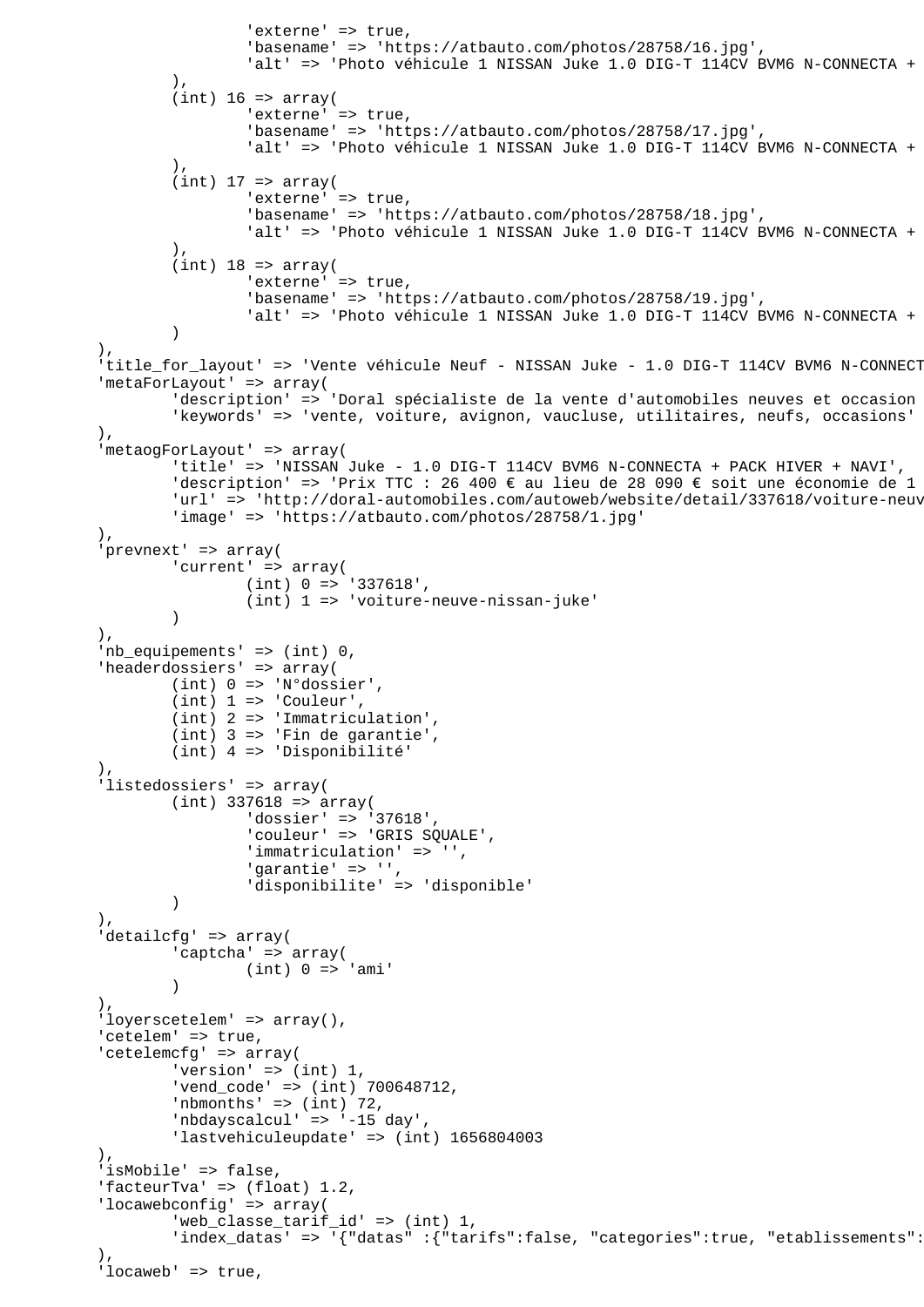```
'externe' => true,
                        'basename' => 'https://atbauto.com/photos/28758/16.jpg',
                       'alt' => 'Photo véhicule 1 NISSAN Juke 1.0 DIG-T 114CV BVM6 N-CONNECTA +
 ),
               (int) 16 => array(
                       'externe' => true,
                        'basename' => 'https://atbauto.com/photos/28758/17.jpg',
                       'alt' => 'Photo véhicule 1 NISSAN Juke 1.0 DIG-T 114CV BVM6 N-CONNECTA +
 ),
               (int) 17 \Rightarrow array('externe' => true,
                        'basename' => 'https://atbauto.com/photos/28758/18.jpg',
                       'alt' => 'Photo véhicule 1 NISSAN Juke 1.0 DIG-T 114CV BVM6 N-CONNECTA +
 ),
               (int) 18 => array(
                       'externe' => true,
                        'basename' => 'https://atbauto.com/photos/28758/19.jpg',
                       'alt' => 'Photo véhicule 1 NISSAN Juke 1.0 DIG-T 114CV BVM6 N-CONNECTA +
) ),
        'title_for_layout' => 'Vente véhicule Neuf - NISSAN Juke - 1.0 DIG-T 114CV BVM6 N-CONNECT
         'metaForLayout' => array(
               'description' => 'Doral spécialiste de la vente d'automobiles neuves et occasion
                'keywords' => 'vente, voiture, avignon, vaucluse, utilitaires, neufs, occasions'
        ),
         'metaogForLayout' => array(
                'title' => 'NISSAN Juke - 1.0 DIG-T 114CV BVM6 N-CONNECTA + PACK HIVER + NAVI',
               'description' => 'Prix TTC : 26 400 € au lieu de 28 090 € soit une économie de 1
               'url' => 'http://doral-automobiles.com/autoweb/website/detail/337618/voiture-neuv
                'image' => 'https://atbauto.com/photos/28758/1.jpg'
        ),
         'prevnext' => array(
               'current' => array(
                       (int) 0 = > '337618', (int) 1 => 'voiture-neuve-nissan-juke'
 )
        ),
        'nb_equipements' => (int) 0,
         'headerdossiers' => array(
               (int) 0 \Rightarrow 'N°dossier',(int) 1 \Rightarrow 'Counter', (int) 2 => 'Immatriculation',
                (int) 3 => 'Fin de garantie',
                (int) 4 => 'Disponibilité'
 ),
        'listedossiers' => array(
               (int) 337618 => array(
 'dossier' => '37618',
 'couleur' => 'GRIS SQUALE',
                        'immatriculation' => '',
                        'garantie' => '',
                        'disponibilite' => 'disponible'
 )
        ),
        'detailcfg' => array(
                'captcha' => array(
                       (int) 0 \Rightarrow 'ami' )
        ),
        'loyerscetelem' => array(),
       'cetelem' => true,
         'cetelemcfg' => array(
                'version' => (int) 1,
               'vend code' => (int) 700648712,
               'nbmonths' \Rightarrow (int) 72,
                'nbdayscalcul' => '-15 day',
                'lastvehiculeupdate' => (int) 1656804003
 ),
       'isMobile' => false,
        'facteurTva' => (float) 1.2,
         'locawebconfig' => array(
                'web_classe_tarif_id' => (int) 1,
               'index_datas' => '{"datas" :{"tarifs":false, "categories":true, "etablissements":
 ),
       'locaweb' => true,
```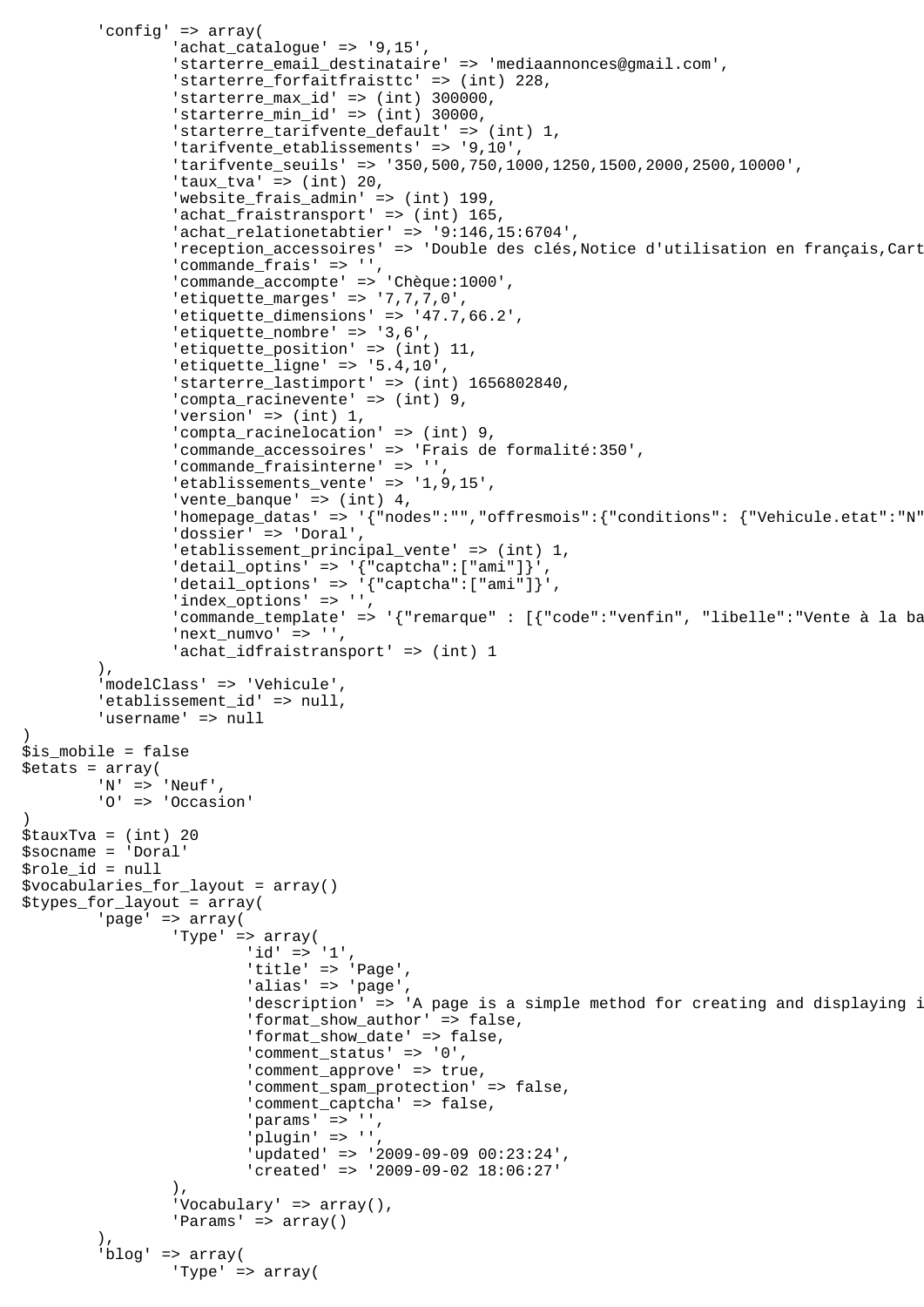```
 'config' => array(
                 'achat catalogue' = > '9,15',
                  'starterre_email_destinataire' => 'mediaannonces@gmail.com',
                  'starterre_forfaitfraisttc' => (int) 228,
                 'starterre max id' => (int) 300000,
                  'starterre_min_id' => (int) 30000,
                  'starterre_tarifvente_default' => (int) 1,
                  'tarifvente_etablissements' => '9,10',
                  'tarifvente_seuils' => '350,500,750,1000,1250,1500,2000,2500,10000',
                 'taux_tva' => (int) 20,
                  'website_frais_admin' => (int) 199,
                 rac{1}{\sqrt{1-\frac{1}{n}}} achat fraistransport' => (int) 165,
                  'achat_relationetabtier' => '9:146,15:6704',
                 'reception_accessoires' => 'Double des clés, Notice d'utilisation en français, Cart
                 'commande frais' => '',
                  'commande_accompte' => 'Chèque:1000',
                  'etiquette_marges' => '7,7,7,0',
                  'etiquette_dimensions' => '47.7,66.2',
                  'etiquette_nombre' => '3,6',
                 'etiquette_position' => (int) 11,
                  'etiquette_ligne' => '5.4,10',
                  'starterre_lastimport' => (int) 1656802840,
                  'compta_racinevente' => (int) 9,
                 'version' \Rightarrow (int) 1,
                  'compta_racinelocation' => (int) 9,
                  'commande_accessoires' => 'Frais de formalité:350',
                  'commande_fraisinterne' => '',
                  'etablissements_vente' => '1,9,15',
                 'vente_banque' => (int) 4,
                 'homepage_datas' => '{"nodes":"","offresmois":{"conditions": {"Vehicule.etat":"N"
                  'dossier' => 'Doral',
                  'etablissement_principal_vente' => (int) 1,
                 'detail_optins' => '\{\text{``captcha''':['ami'']}\}''deltai\_options' => '\{ "captcha":['ami"]\}',
                  'index_options' => '',
                 'commande_template' => '{"remarque" : [{"code":"venfin", "libelle":"Vente à la ba
                  'next_numvo' => '',
                  'achat_idfraistransport' => (int) 1
         ),
         'modelClass' => 'Vehicule',
        'etablissement id' => null,
         'username' => null
$is_mobile = false
$etats = array(
         'N' => 'Neuf',
         'O' => 'Occasion'
$tauxTva = (int) 20
$socname = 'Doral'
$role_id = null
$vocabularies_for_layout = array()
$types_for_layout = array(
         'page' => array(
                  'Type' => array(
                         'id' => '1',
                          'title' => 'Page',
                         'alias' => 'page',
                         'description' => 'A page is a simple method for creating and displaying i
                          'format_show_author' => false,
                          'format_show_date' => false,
                          'comment_status' => '0',
                          'comment_approve' => true,
                          'comment_spam_protection' => false,
                          'comment_captcha' => false,
                         'params' = > ',
                         'plugin' => ''
                          'updated' => '2009-09-09 00:23:24',
                          'created' => '2009-09-02 18:06:27'
\,), \,'Vocabulary' => array(),
                 'Params' => array()
 ),
         'blog' => array(
                 'Type' => array(
```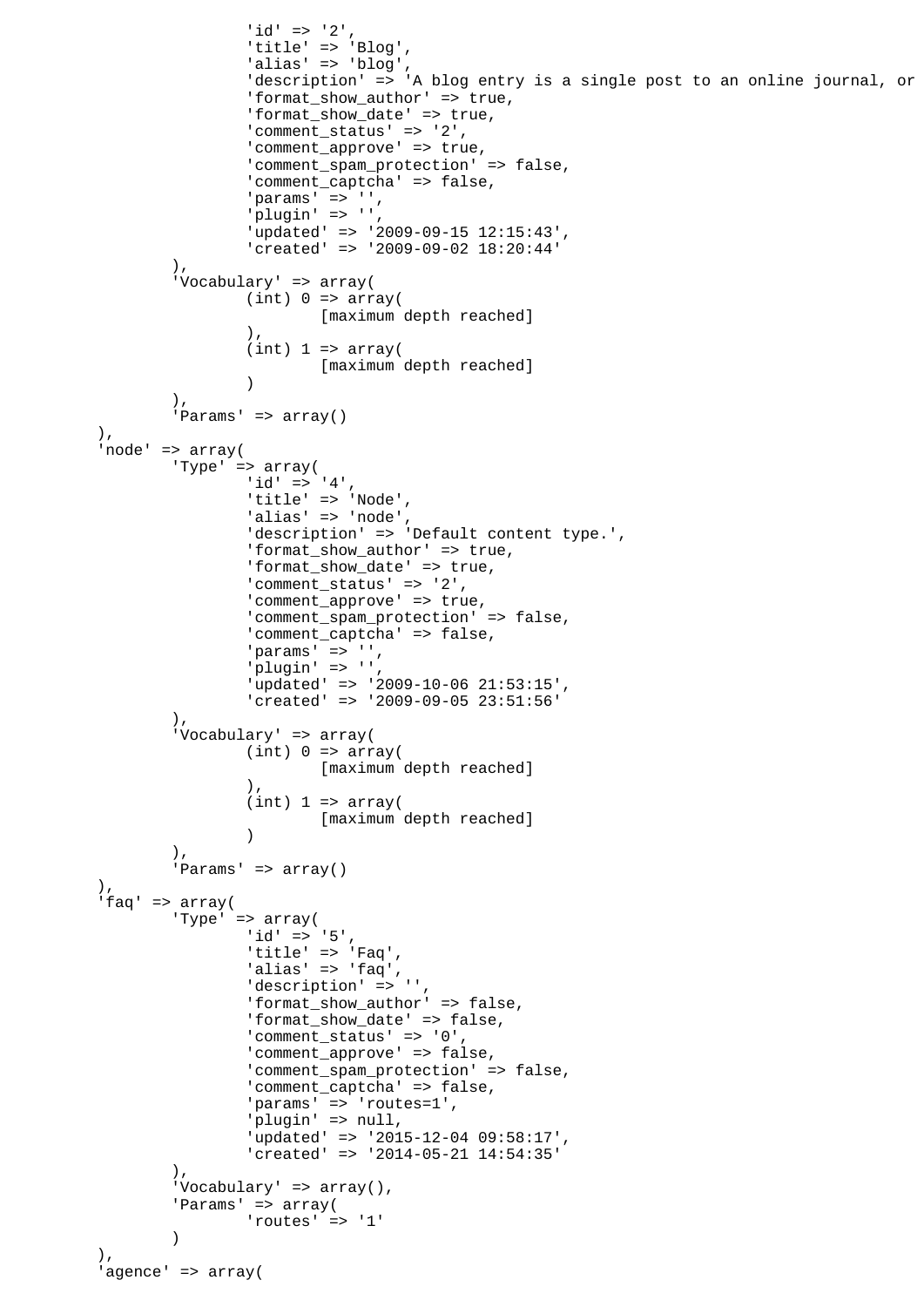```
'id' => '2',
                        'title' => 'Blog',
                       'alias' => 'blog',
                       description' => 'A blog entry is a single post to an online journal, or
                       'format show author' => true,
                        'format_show_date' => true,
                        'comment_status' => '2',
                       'comment_approve' => true,
                        'comment_spam_protection' => false,
                        'comment_captcha' => false,
                       'params' \Rightarrow '',
                        'plugin' => '',
                        'updated' => '2009-09-15 12:15:43',
                        'created' => '2009-09-02 18:20:44'
 ),
                'Vocabulary' => array(
                       (int) 0 \Rightarrow array( [maximum depth reached]
\,), \,(int) 1 \Rightarrow array( [maximum depth reached]
 )
 ),
                'Params' => array()
        ),
        'node' => array(
                'Type' => array(
                       'id' => '4',
                       'title' => 'Node',
                       'alias' => 'node',
                        'description' => 'Default content type.',
                        'format_show_author' => true,
                        'format_show_date' => true,
                       'comment_status' => '2',
                       'comment_approve' => true,
                        'comment_spam_protection' => false,
                        'comment_captcha' => false,
                       'params' \Rightarrow '',
                        'plugin' => '',
                        'updated' => '2009-10-06 21:53:15',
                        'created' => '2009-09-05 23:51:56'
                ),
                'Vocabulary' => array(
                      (int) 0 \Rightarrow array( [maximum depth reached]
\,), \,(int) 1 \Rightarrow array( [maximum depth reached]
 )
 ),
                'Params' => array()
        ),
        'faq' => array(
                'Type' => array(
                       'id' => '5',
                        'title' => 'Faq',
 'alias' => 'faq',
 'description' => '',
                        'format_show_author' => false,
                        'format_show_date' => false,
                        'comment_status' => '0',
                        'comment_approve' => false,
                        'comment_spam_protection' => false,
                        'comment_captcha' => false,
                       'params' => 'routes=1',
                        'plugin' => null,
                        'updated' => '2015-12-04 09:58:17',
                        'created' => '2014-05-21 14:54:35'
 ),
               'Vocabulary' => array(),
               'Params' => array(
                       'routes' => '1'
 )
       \lambda.
        'agence' => array(
```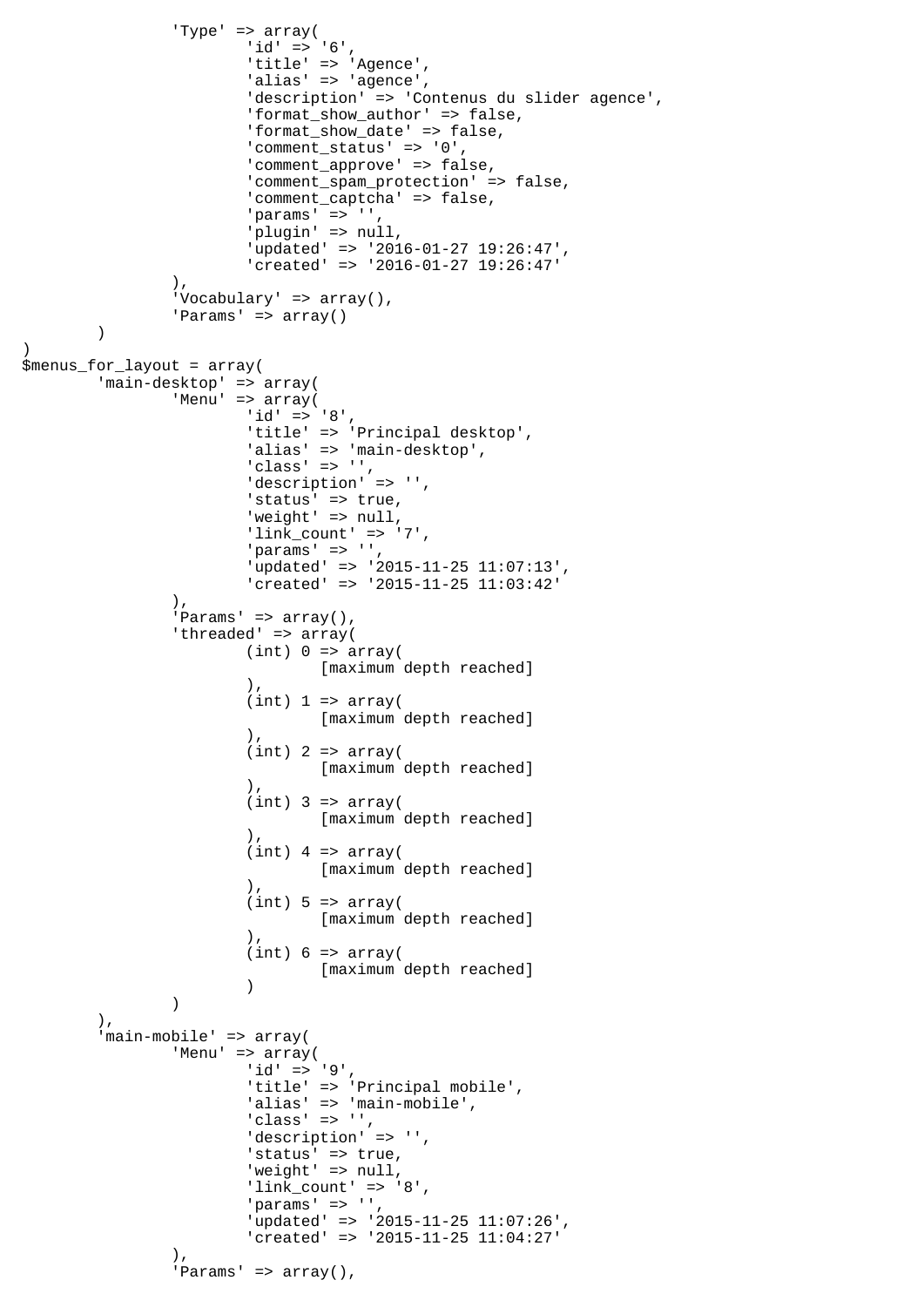```
 'Type' => array(
                     'id' => '6',
                      'title' => 'Agence',
                     'alias' => 'agence',
                      'description' => 'Contenus du slider agence',
                      'format_show_author' => false,
                      'format_show_date' => false,
 'comment_status' => '0',
 'comment_approve' => false,
                      'comment_spam_protection' => false,
 'comment_captcha' => false,
 'params' => '',
                      'plugin' => null,
                      'updated' => '2016-01-27 19:26:47',
                      'created' => '2016-01-27 19:26:47'
 ),
              'Vocabulary' => array(),
              'Params' => array()
\overline{\phantom{a}})
$menus_for_layout = array(
 'main-desktop' => array(
 'Menu' => array(
                     'id' => '8',
                     'title' => 'Principal desktop',
                     'alias' => 'main-desktop',
                     'class' => ',
                     'description' => '',
                     'status' => true,
                     'weight' => null,
                     'link_count' => '7',
                      'params' => '',
                      'updated' => '2015-11-25 11:07:13',
                      'created' => '2015-11-25 11:03:42'
               ),
              'Params' => array(),
              'threaded' => array(
                     (int) 0 \Rightarrow array( [maximum depth reached]
\,), \,(int) 1 \Rightarrow array( [maximum depth reached]
\,), \,(int) 2 => array( [maximum depth reached]
\,), \,(int) 3 => array( [maximum depth reached]
\,), \,(int) 4 => array([maximum depth reached]<br>().
\,), \,(int) 5 \Rightarrow array( [maximum depth reached]
\,), \,(int) 6 \Rightarrow array( [maximum depth reached]
 )
 )
        ),
        'main-mobile' => array(
 'Menu' => array(
id' = > '9', 'title' => 'Principal mobile',
                     'alias' => 'main-mobile',
                      'class' => '',
                     'description' => '',
                     'status' => true,
                     'weight' => null,
                     'link_count' => '8',
                     'params' => '',
                      'updated' => '2015-11-25 11:07:26',
                      'created' => '2015-11-25 11:04:27'
 ),
              'Params' => array(),
```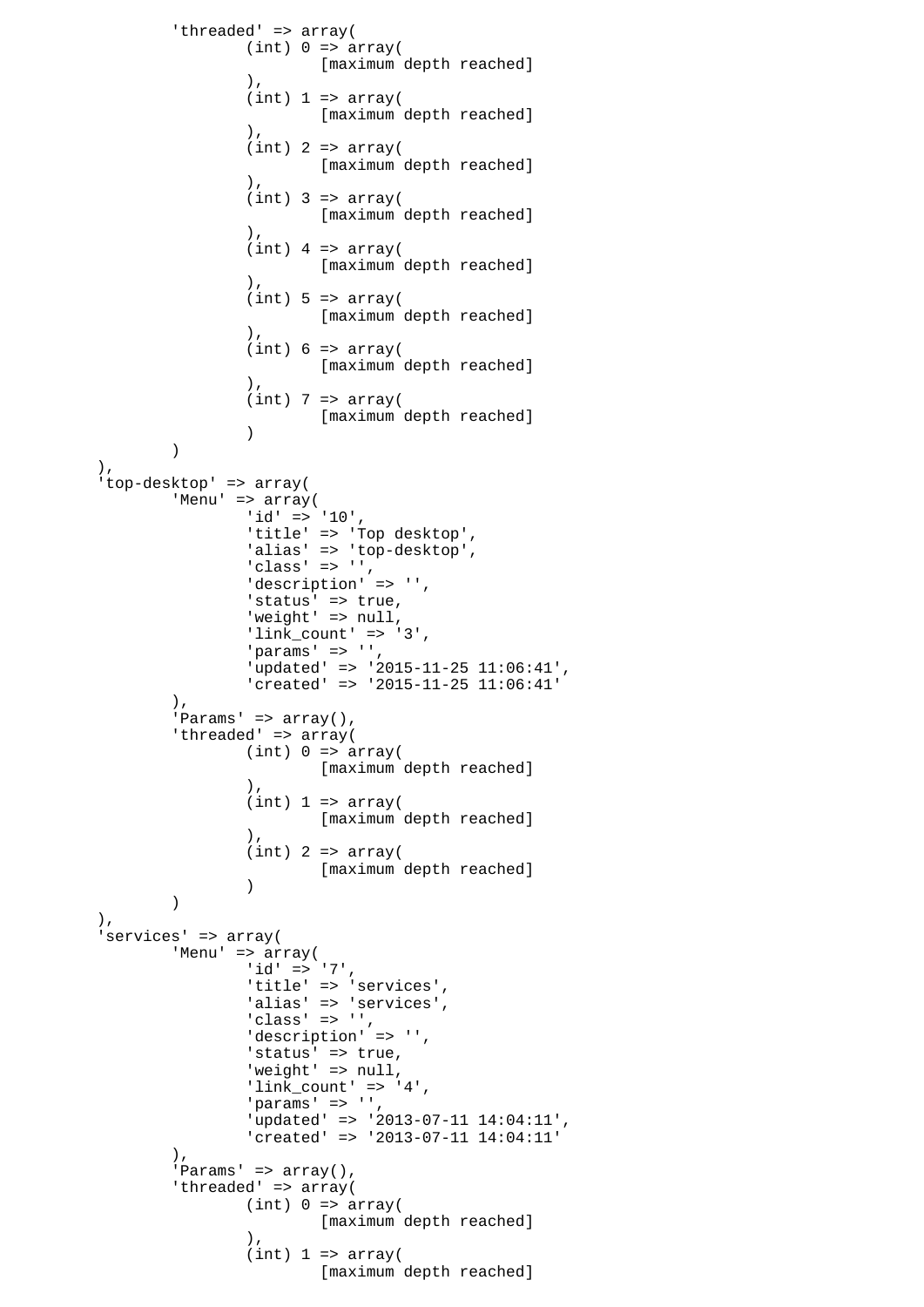```
 'threaded' => array(
                   (int) 0 \Rightarrow array( [maximum depth reached]
\,), \,(int) 1 \Rightarrow array( [maximum depth reached]
\,), \,(int) 2 => array( [maximum depth reached]
\,), \,(int) 3 => array([maximum depth reached]
\,), \,(int) 4 => array( [maximum depth reached]
\,), \,(int) 5 \Rightarrow array( [maximum depth reached]
\,), \,(int) 6 \Rightarrow array([maximum depth reached]<br>).
\,), \,(int) 7 => array( [maximum depth reached]
 )
 )
       ),
       'top-desktop' => array(
             'Menu' => array(
                   'id' => '10',
                   'title' => 'Top desktop',
                   'alias' => 'top-desktop',
 'class' => '',
 'description' => '',
 'status' => true,
'weight' => null,
                    'link_count' => '3',
                   'params' => '',
                    'updated' => '2015-11-25 11:06:41',
                    'created' => '2015-11-25 11:06:41'
             ),
            'Params' => array(),
            'threaded' => array(
                   (int) 0 \Rightarrow array( [maximum depth reached]
\,), \,(int) 1 \Rightarrow array( [maximum depth reached]
\,), \,(int) 2 => array([maximum depth reached]<br>)
 )
 )
       ),
       'services' => array(
             'Menu' => array(
                   'id' => '7',
                   'title' => 'services',
                   'alias' => 'services',
 'class' => '',
 'description' => '',
 'status' => true,
'weight' => null,
                   'link count' => '4',
                   'params' => ' 'updated' => '2013-07-11 14:04:11',
                    'created' => '2013-07-11 14:04:11'
 ),
            'Params' => array(),
            'threaded' => array(
                   (int) 0 \Rightarrow array( [maximum depth reached]
\,), \,(int) 1 \Rightarrow array( [maximum depth reached]
```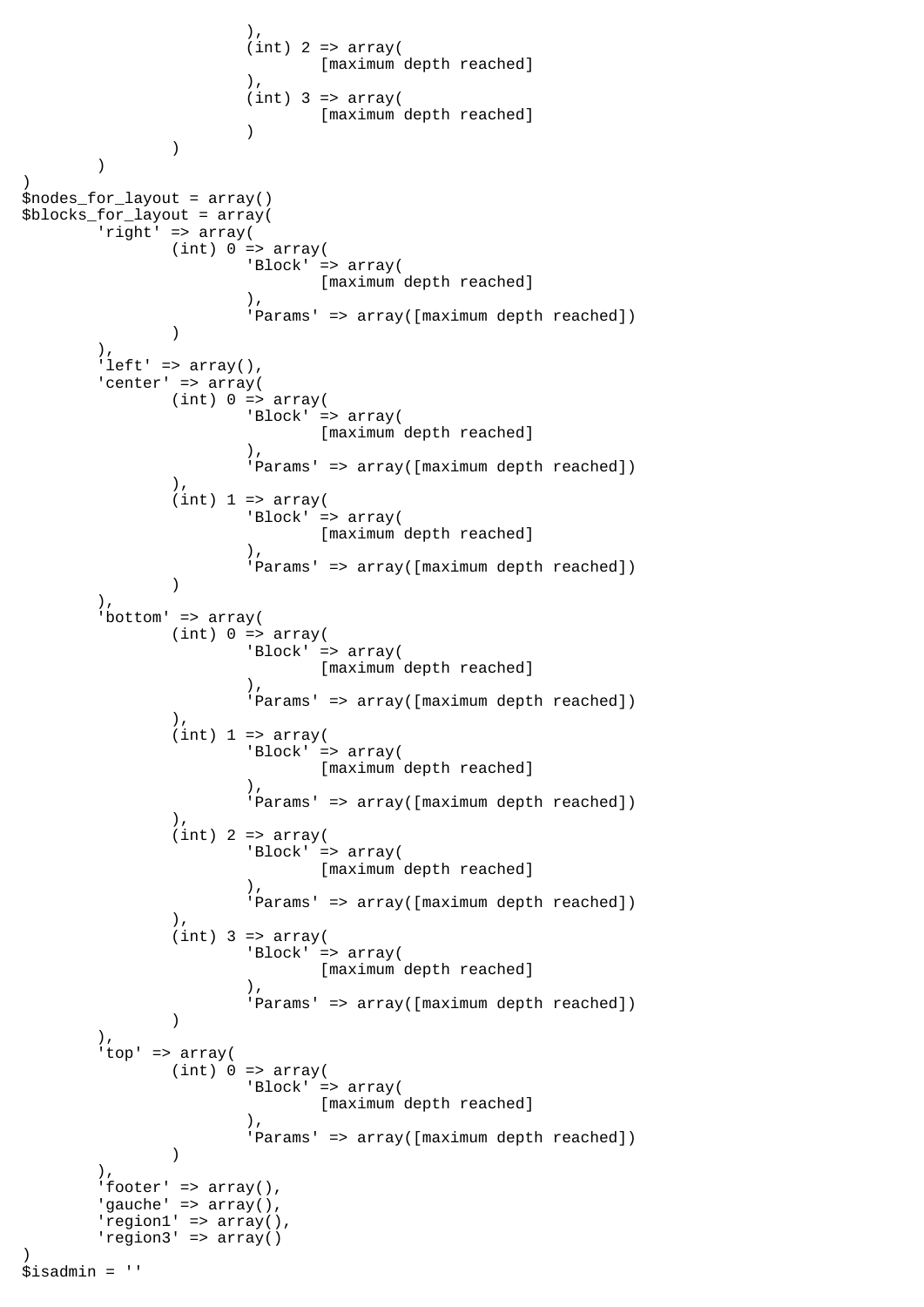```
\,), \,(int) 2 => array( [maximum depth reached]
\,), \,(int) 3 => array( [maximum depth reached]
 )
)\overline{\phantom{a}})
$nodes_for_layout = array()
\overline{\text{S}}blocks_for_layout = array(
        'right' => array(
              (int) 0 \Rightarrow array( 'Block' => array(
                             [maximum depth reached]
\,), \, 'Params' => array([maximum depth reached])
) ),
       'left' => array(),
       'center' => array(
              (int) 0 \Rightarrow array( 'Block' => array(
                             [maximum depth reached]
\,), \, 'Params' => array([maximum depth reached])
 ),
              (int) 1 \Rightarrow array( 'Block' => array(
                     [maximum depth reached]<br>().
\,), \, 'Params' => array([maximum depth reached])
) ),
       'bottom' => array(
              (int) 0 \Rightarrow array( 'Block' => array(
                             [maximum depth reached]
\,), \, 'Params' => array([maximum depth reached])
               ),
              (int) 1 \Rightarrow array( 'Block' => array(
                             [maximum depth reached]
\,), \, 'Params' => array([maximum depth reached])
 ),
              (int) 2 => array( 'Block' => array(
                     [maximum depth reached]<br>).
\,), \, 'Params' => array([maximum depth reached])
\,), \,(int) 3 => array( 'Block' => array(
                             [maximum depth reached]
\,), \, 'Params' => array([maximum depth reached])
) ),
        'top' => array(
              (int) 0 \Rightarrow array( 'Block' => array(
                             [maximum depth reached]
\,), \, 'Params' => array([maximum depth reached])
 )
        ),
       'footer' => array(),
       'gauche' => array(),
       'region1' => array(),
        'region3' => array()
)
$isadmin = ''
```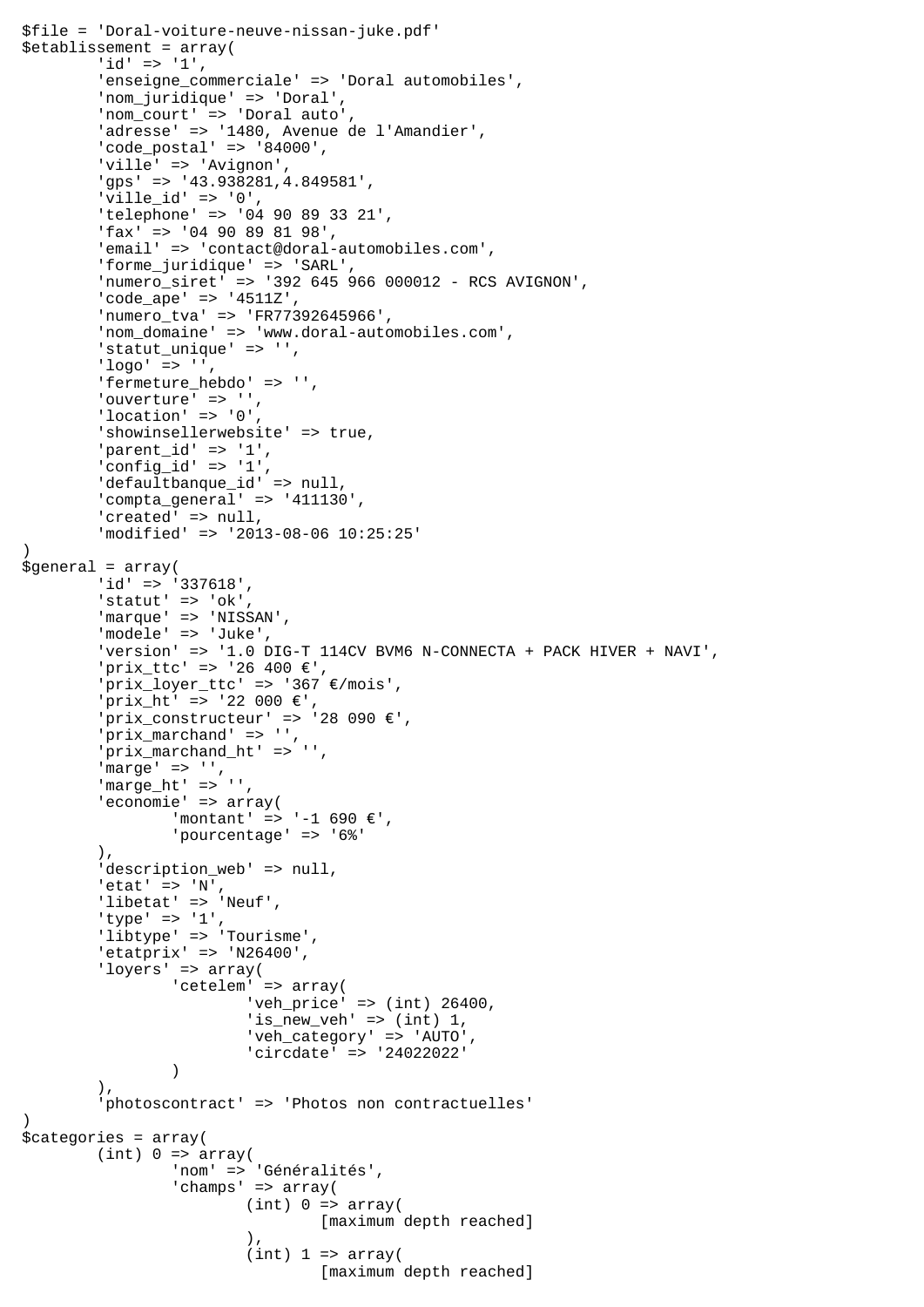```
$file = 'Doral-voiture-neuve-nissan-juke.pdf'
$etablissement = array(
         'id' => '1',
         'enseigne_commerciale' => 'Doral automobiles',
         'nom_juridique' => 'Doral',
         'nom_court' => 'Doral auto',
         'adresse' => '1480, Avenue de l'Amandier',
         'code_postal' => '84000',
         'ville' => 'Avignon',
         'gps' => '43.938281,4.849581',
        'ville_id' => '0',
         'telephone' => '04 90 89 33 21',
         'fax' => '04 90 89 81 98',
         'email' => 'contact@doral-automobiles.com',
         'forme_juridique' => 'SARL',
         'numero_siret' => '392 645 966 000012 - RCS AVIGNON',
         'code_ape' => '4511Z',
         'numero_tva' => 'FR77392645966',
         'nom_domaine' => 'www.doral-automobiles.com',
         'statut_unique' => '',
        'loor = > '', 'fermeture_hebdo' => '',
'ouverture' => '',
 'location' => '0',
        'showinsellerwebsite' => true,
         'parent_id' => '1',
        \overline{\text{config}} id' => '1',
         'defaultbanque_id' => null,
         'compta_general' => '411130',
        'created' => null,
         'modified' => '2013-08-06 10:25:25'
\lambda$general = array(
        'id' => '337618',
        'statut' => 'ok',
        'marque' => 'NISSAN',
         'modele' => 'Juke',
         'version' => '1.0 DIG-T 114CV BVM6 N-CONNECTA + PACK HIVER + NAVI',
         'prix_ttc' => '26 400 €',
         'prix_loyer_ttc' => '367 €/mois',
        'prix ht' => '22 000 €',
        'prix_constructeur' => '28 090 \varepsilon',
         'prix_marchand' => '',
         'prix_marchand_ht' => '',
        'marge' => '',
         'marge_ht' => '',
         'economie' => array(
                  'montant' => '-1 690 €',
                  'pourcentage' => '6%'
         ),
        'description_web' => null,
        'etat' => 'N',
        'libetat' => 'Neuf',
         'type' => '1',
         'libtype' => 'Tourisme',
         'etatprix' => 'N26400',
         'loyers' => array(
                 'cetelem' => array(
                          'veh_price' => (int) 26400,
                          'is_new_veh' => (int) 1,
                           'veh_category' => 'AUTO',
                           'circdate' => '24022022'
 )
         ),
         'photoscontract' => 'Photos non contractuelles'
)
$categories = array(
        (int) 0 \Rightarrow array('nom' => 'Généralités',
                  'champs' => array(
                         (int) 0 \Rightarrow array( [maximum depth reached]
\,), \,(int) 1 \Rightarrow array( [maximum depth reached]
```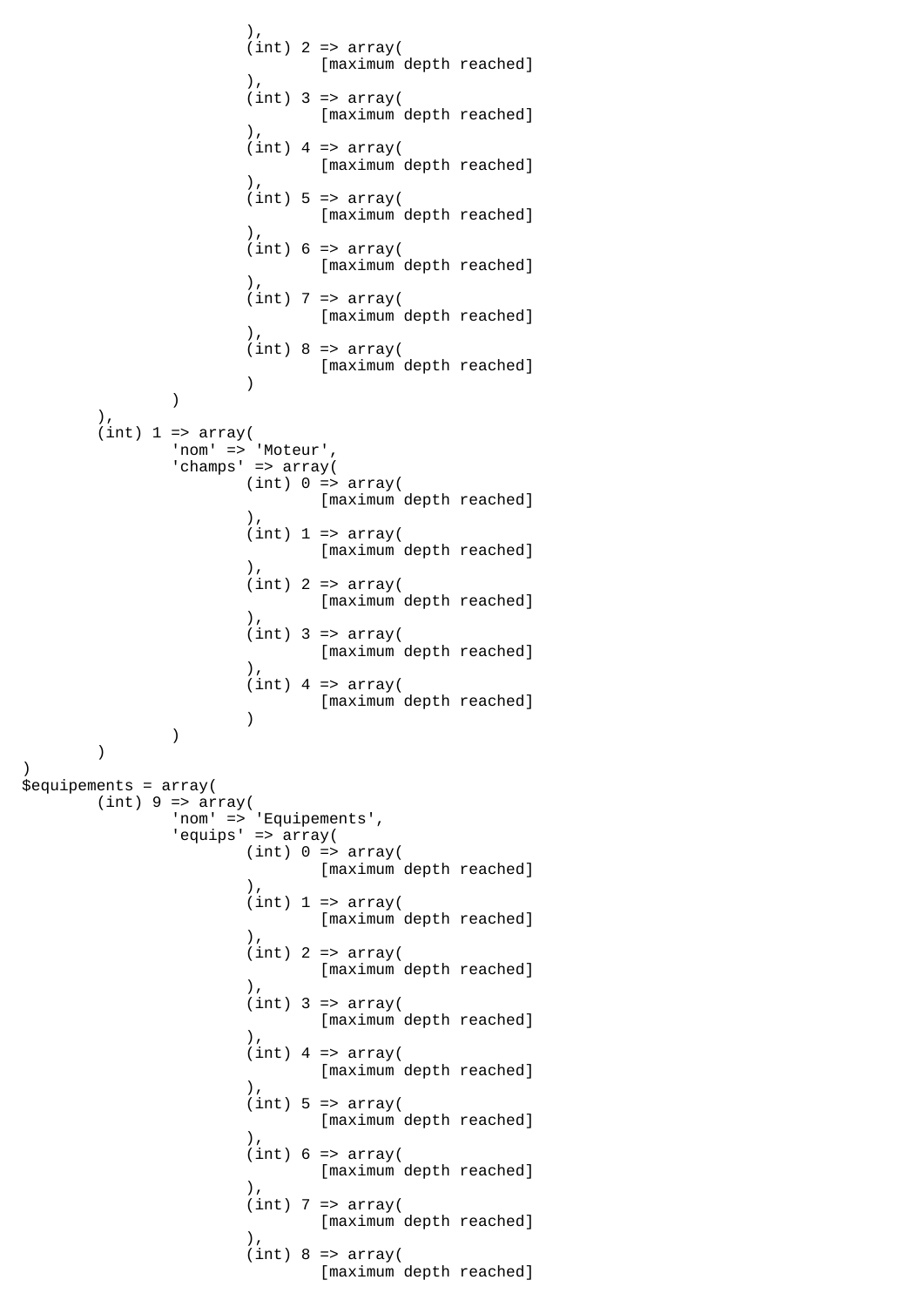```
\,), \,(int) 2 => array(
                          [maximum depth reached]
\,), \,(int) 3 => array( [maximum depth reached]
\,), \,(int) 4 => array( [maximum depth reached]
\,), \,(int) 5 \Rightarrow array( [maximum depth reached]
\,), \,(int) 6 \Rightarrow array( [maximum depth reached]
\,), \,(int) 7 => array(
                         [maximum depth reached]
\,), \,(int) 8 \Rightarrow array([maximum depth reached]<br>)
 )
) ),
      (int) 1 \Rightarrow array( 'nom' => 'Moteur',
             'champs' => array(
                  (int) 0 \Rightarrow array( [maximum depth reached]
\,), \,(int) 1 \Rightarrow array( [maximum depth reached]
\,), \,(int) 2 => array( [maximum depth reached]
\,), \,(int) 3 => array([maximum depth reached]<br>(
\,), \,(int) 4 => array( [maximum depth reached]
 )
 )
       )
)
$equipements = array(
      (int) 9 \Rightarrow array( 'nom' => 'Equipements',
 'equips' => array(
                  (int) 0 \Rightarrow array( [maximum depth reached]
\,), \,(int) 1 \Rightarrow array( [maximum depth reached]
\,), \,(int) 2 => array( [maximum depth reached]
\,), \,(int) 3 => array( [maximum depth reached]
\,), \,(int) 4 => array( [maximum depth reached]
\,), \,(int) 5 => array(
                          [maximum depth reached]
\,), \,(int) 6 \Rightarrow array( [maximum depth reached]
\,), \,(int) 7 => array( [maximum depth reached]
\,), \,(int) 8 \Rightarrow array( [maximum depth reached]
```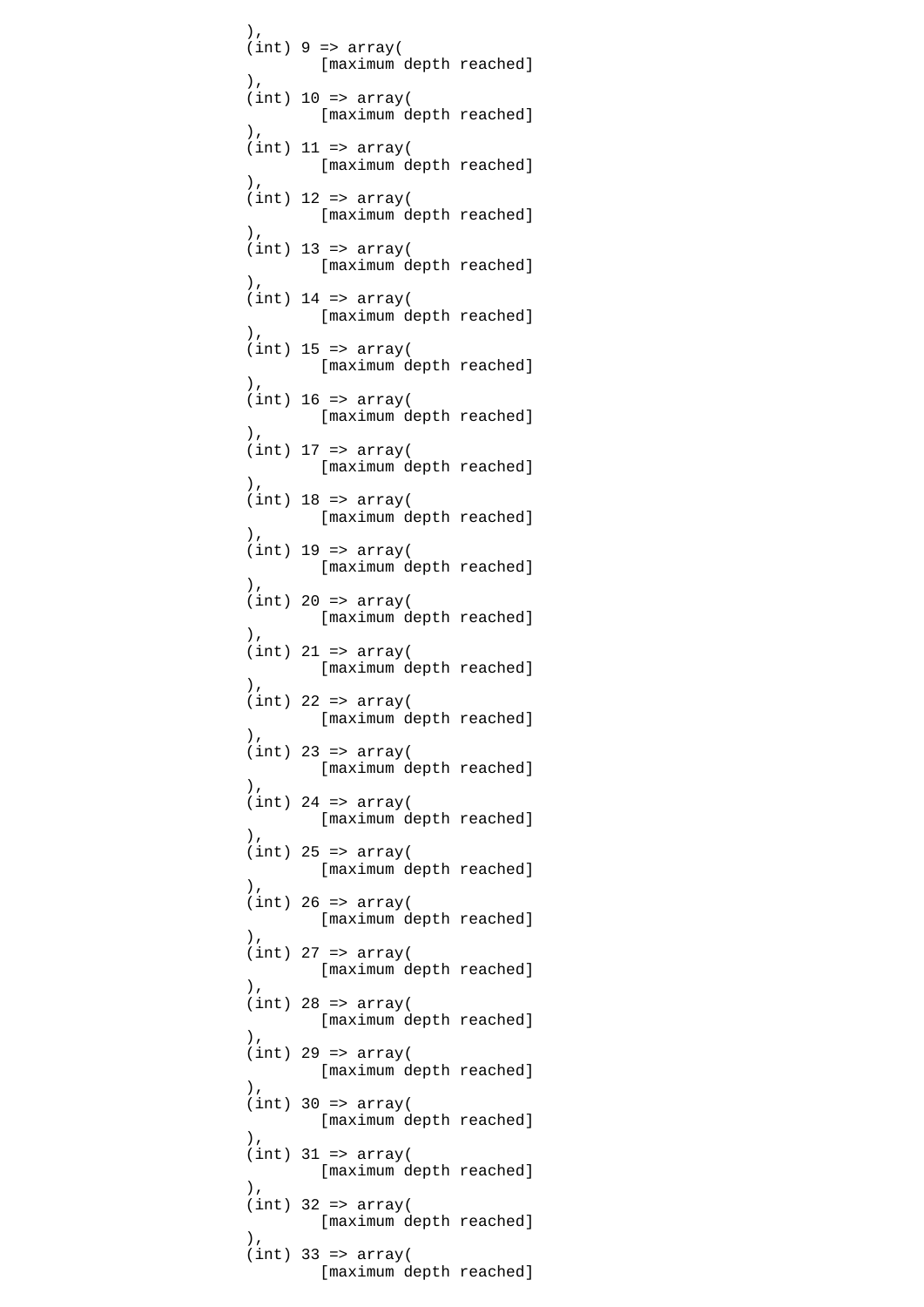```
\,), \,(int) 9 => array(
                        [maximum depth reached]
\,), \,(int) 10 \Rightarrow array([maximum depth reached]<br>).
\,), \,(int) 11 => array( [maximum depth reached]
\,), \,(int) 12 => array(
                       [maximum depth reached]
\,), \,(int) 13 => array( [maximum depth reached]
\,), \,(int) 14 => array( [maximum depth reached]
\,), \,(int) 15 => array(
                 [maximum depth reached]<br>).
\,), \,(int) 16 => array( [maximum depth reached]
\,), \,(int) 17 => array(
                       [maximum depth reached]
\,), \,(int) 18 => array( [maximum depth reached]
\,), \,(int) 19 => array( [maximum depth reached]
\,), \,(int) 20 => array( [maximum depth reached]
\,), \,(int) 21 => array( [maximum depth reached]
\,), \,(int) 22 => array(
                        [maximum depth reached]
\,), \,(int) 23 => array( [maximum depth reached]
\,), \,(int) 24 => array([maximum depth reached]<br>),
\,), \,(int) 25 => array( [maximum depth reached]
\,), \,(int) 26 => array( [maximum depth reached]
\,), \,(int) 27 => array(
                        [maximum depth reached]
\,), \,(int) 28 => array( [maximum depth reached]
\,), \,(int) 29 => array( [maximum depth reached]
\,), \,(int) 30 => array( [maximum depth reached]
\,), \,(int) 31 => array(
                        [maximum depth reached]
\,), \,(int) 32 => array(
                        [maximum depth reached]
\,), \,(int) 33 => array(
                        [maximum depth reached]
```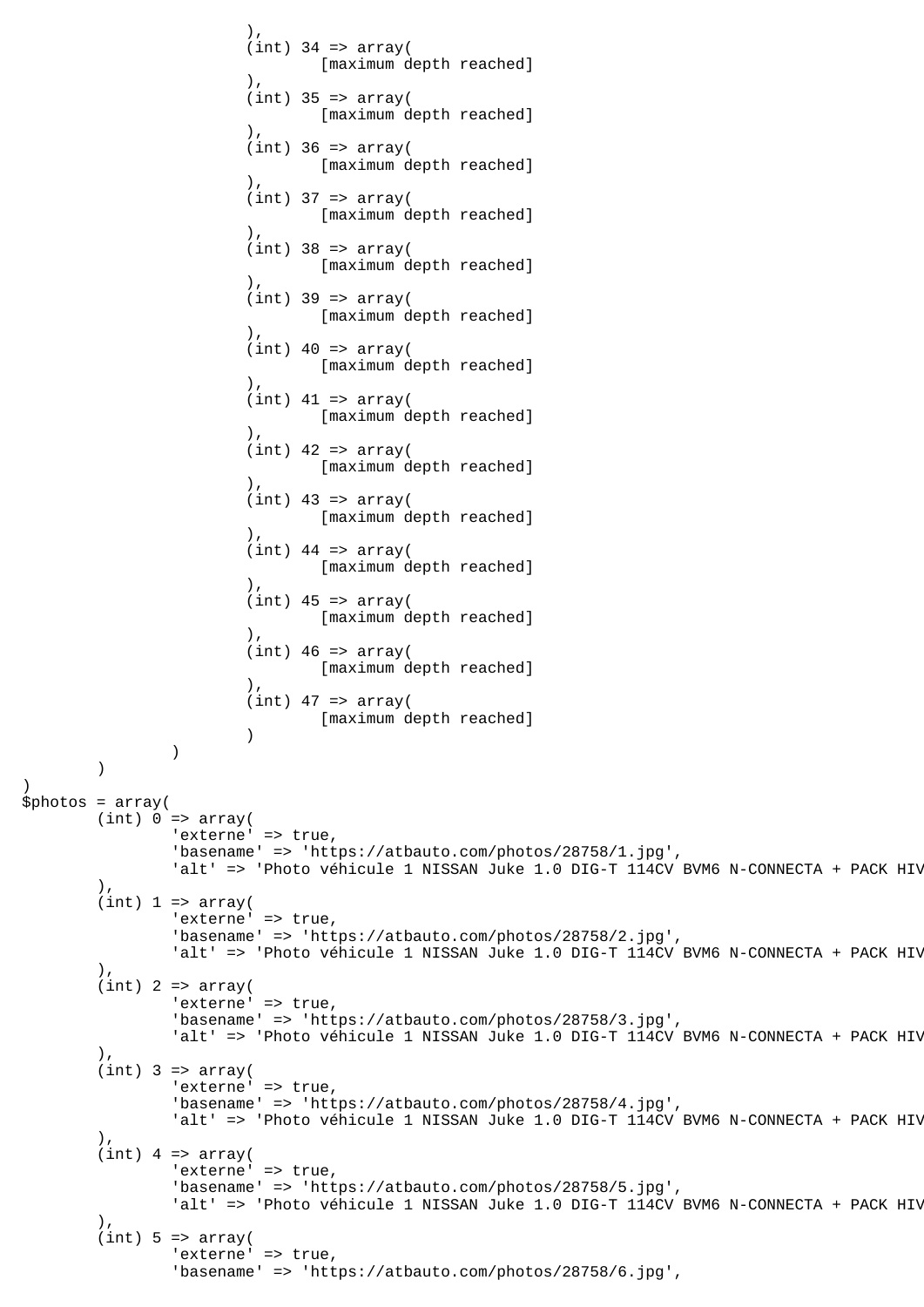```
\,), \,(int) 34 => array(
                             [maximum depth reached]
\,), \,(int) 35 => array(
                             [maximum depth reached]
\,), \,(int) 36 => array(
                             [maximum depth reached]
\,), \,(int) 37 => array( [maximum depth reached]
\,), \,(int) 38 => array( [maximum depth reached]
\,), \,(int) 39 => array( [maximum depth reached]
\,), \,(int) 40 \Rightarrow array( [maximum depth reached]
\,), \,(int) 41 => array( [maximum depth reached]
\,), \,(int) 42 => array( [maximum depth reached]
\,), \,(int) 43 => array( [maximum depth reached]
\,), \,(int) 44 => array( [maximum depth reached]
\,), \,(int) 45 => array( [maximum depth reached]
\,), \,(int) 46 => array( [maximum depth reached]
\,), \,(int) 47 => array(
                             [maximum depth reached]
 )
) )
)
$photos = array(
       (int) 0 \Rightarrow array('externe' => true,
               'basename' => 'https://atbauto.com/photos/28758/1.jpg',
              'alt' => 'Photo véhicule 1 NISSAN Juke 1.0 DIG-T 114CV BVM6 N-CONNECTA + PACK HIV
        ),
       (int) 1 \Rightarrow array('externe' => true,
               'basename' => 'https://atbauto.com/photos/28758/2.jpg',
              'alt' => 'Photo véhicule 1 NISSAN Juke 1.0 DIG-T 114CV BVM6 N-CONNECTA + PACK HIV
        ),
       (int) 2 \Rightarrow array('externe' => true,
               'basename' => 'https://atbauto.com/photos/28758/3.jpg',
              'alt' => 'Photo véhicule 1 NISSAN Juke 1.0 DIG-T 114CV BVM6 N-CONNECTA + PACK HIV
        ),
       (int) 3 => array('externe' => true,
               'basename' => 'https://atbauto.com/photos/28758/4.jpg',
              'alt' => 'Photo véhicule 1 NISSAN Juke 1.0 DIG-T 114CV BVM6 N-CONNECTA + PACK HIV
 ),
       (int) 4 => array(
              'externe' => true,
               'basename' => 'https://atbauto.com/photos/28758/5.jpg',
              'alt' => 'Photo véhicule 1 NISSAN Juke 1.0 DIG-T 114CV BVM6 N-CONNECTA + PACK HIV
        ),
       (int) 5 \Rightarrow array('externe' => true,
               'basename' => 'https://atbauto.com/photos/28758/6.jpg',
```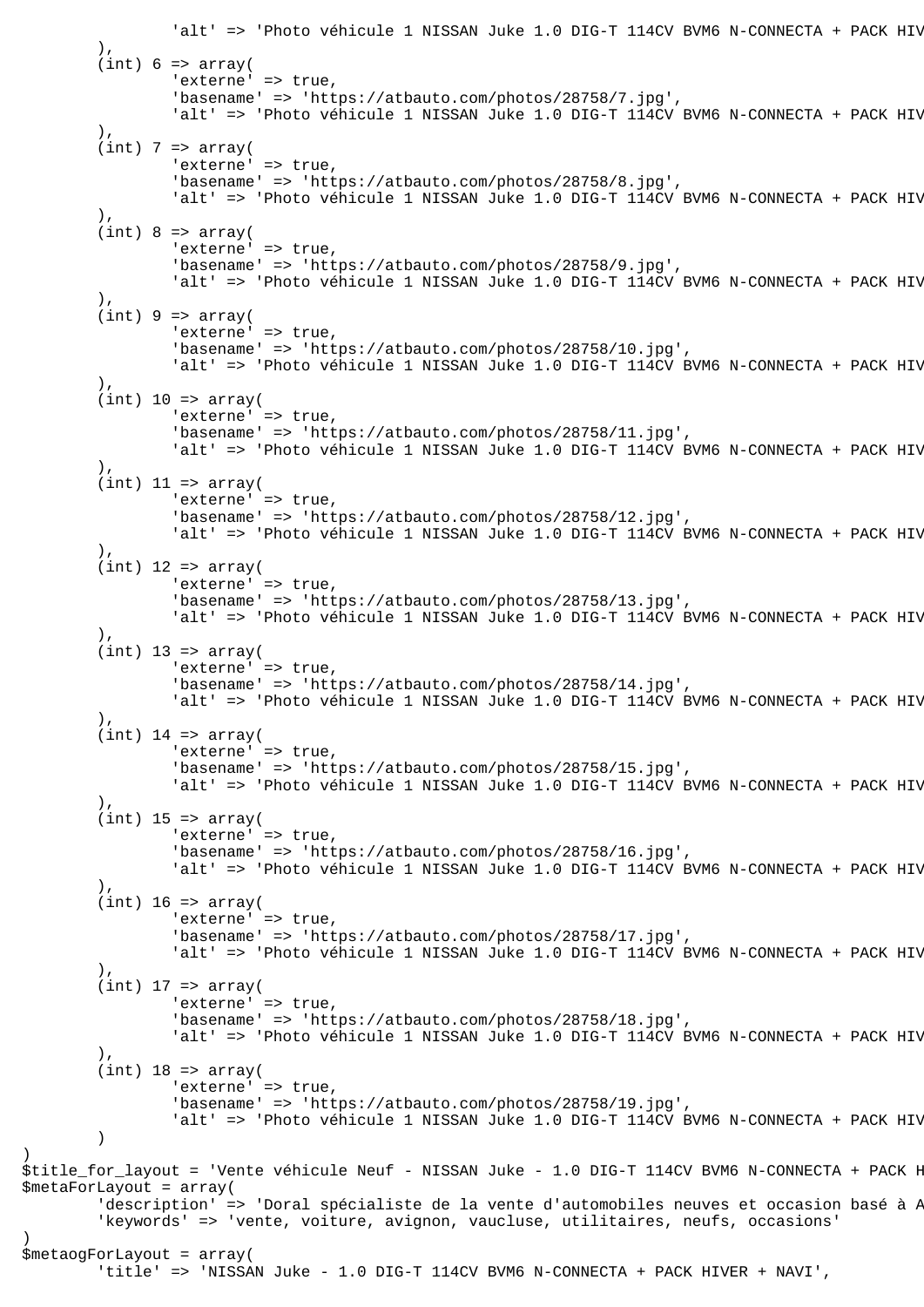```
'alt' => 'Photo véhicule 1 NISSAN Juke 1.0 DIG-T 114CV BVM6 N-CONNECTA + PACK HIV
         ),
        (int) 6 \Rightarrow array('externe' => true,
                 'basename' => 'https://atbauto.com/photos/28758/7.jpg',
                'alt' => 'Photo véhicule 1 NISSAN Juke 1.0 DIG-T 114CV BVM6 N-CONNECTA + PACK HIV
         ),
        (int) 7 => array('externe' => true,
                 'basename' => 'https://atbauto.com/photos/28758/8.jpg',
                'alt' => 'Photo véhicule 1 NISSAN Juke 1.0 DIG-T 114CV BVM6 N-CONNECTA + PACK HIV
         ),
        (int) 8 \Rightarrow array('externe' => true,
                 'basename' => 'https://atbauto.com/photos/28758/9.jpg',
                'alt' => 'Photo véhicule 1 NISSAN Juke 1.0 DIG-T 114CV BVM6 N-CONNECTA + PACK HIV
         ),
        (int) 9 \Rightarrow array('externe' => true,
                 'basename' => 'https://atbauto.com/photos/28758/10.jpg',
                'alt' => 'Photo véhicule 1 NISSAN Juke 1.0 DIG-T 114CV BVM6 N-CONNECTA + PACK HIV
         ),
        (int) 10 => array('externe' => true,
                 'basename' => 'https://atbauto.com/photos/28758/11.jpg',
                'alt' => 'Photo véhicule 1 NISSAN Juke 1.0 DIG-T 114CV BVM6 N-CONNECTA + PACK HIV
         ),
        (int) 11 => array('externe' => true,
                 'basename' => 'https://atbauto.com/photos/28758/12.jpg',
                'alt' => 'Photo véhicule 1 NISSAN Juke 1.0 DIG-T 114CV BVM6 N-CONNECTA + PACK HIV
         ),
        (int) 12 => array(
                'externe' => true,
                  'basename' => 'https://atbauto.com/photos/28758/13.jpg',
                'alt' => 'Photo véhicule 1 NISSAN Juke 1.0 DIG-T 114CV BVM6 N-CONNECTA + PACK HIV
         ),
        (int) 13 => array(
                'externe' => true,
                 'basename' => 'https://atbauto.com/photos/28758/14.jpg',
                'alt' => 'Photo véhicule 1 NISSAN Juke 1.0 DIG-T 114CV BVM6 N-CONNECTA + PACK HIV
        \lambda.
        (int) 14 => array(
                'externe' => true,
                 'basename' => 'https://atbauto.com/photos/28758/15.jpg',
                'alt' => 'Photo véhicule 1 NISSAN Juke 1.0 DIG-T 114CV BVM6 N-CONNECTA + PACK HIV
        \lambda.
        (int) 15 => array(
                'externe' => true,
                 'basename' => 'https://atbauto.com/photos/28758/16.jpg',
                'alt' => 'Photo véhicule 1 NISSAN Juke 1.0 DIG-T 114CV BVM6 N-CONNECTA + PACK HIV
         ),
        (int) 16 => array(
                'externe' => true,
                 'basename' => 'https://atbauto.com/photos/28758/17.jpg',
                'alt' => 'Photo véhicule 1 NISSAN Juke 1.0 DIG-T 114CV BVM6 N-CONNECTA + PACK HIV
         ),
        (int) 17 => array(
                'externe' => true,
                 'basename' => 'https://atbauto.com/photos/28758/18.jpg',
                'alt' => 'Photo véhicule 1 NISSAN Juke 1.0 DIG-T 114CV BVM6 N-CONNECTA + PACK HIV
         ),
        (int) 18 => array('externe' => true,
                 'basename' => 'https://atbauto.com/photos/28758/19.jpg',
                'alt' => 'Photo véhicule 1 NISSAN Juke 1.0 DIG-T 114CV BVM6 N-CONNECTA + PACK HIV
         )
$title for layout = 'Vente véhicule Neuf - NISSAN Juke - 1.0 DIG-T 114CV BVM6 N-CONNECTA + PACK H
$metaForLayout = array(
        'description' => 'Doral spécialiste de la vente d'automobiles neuves et occasion basé à P
         'keywords' => 'vente, voiture, avignon, vaucluse, utilitaires, neufs, occasions'
$metaogForLayout = array(
         'title' => 'NISSAN Juke - 1.0 DIG-T 114CV BVM6 N-CONNECTA + PACK HIVER + NAVI',
```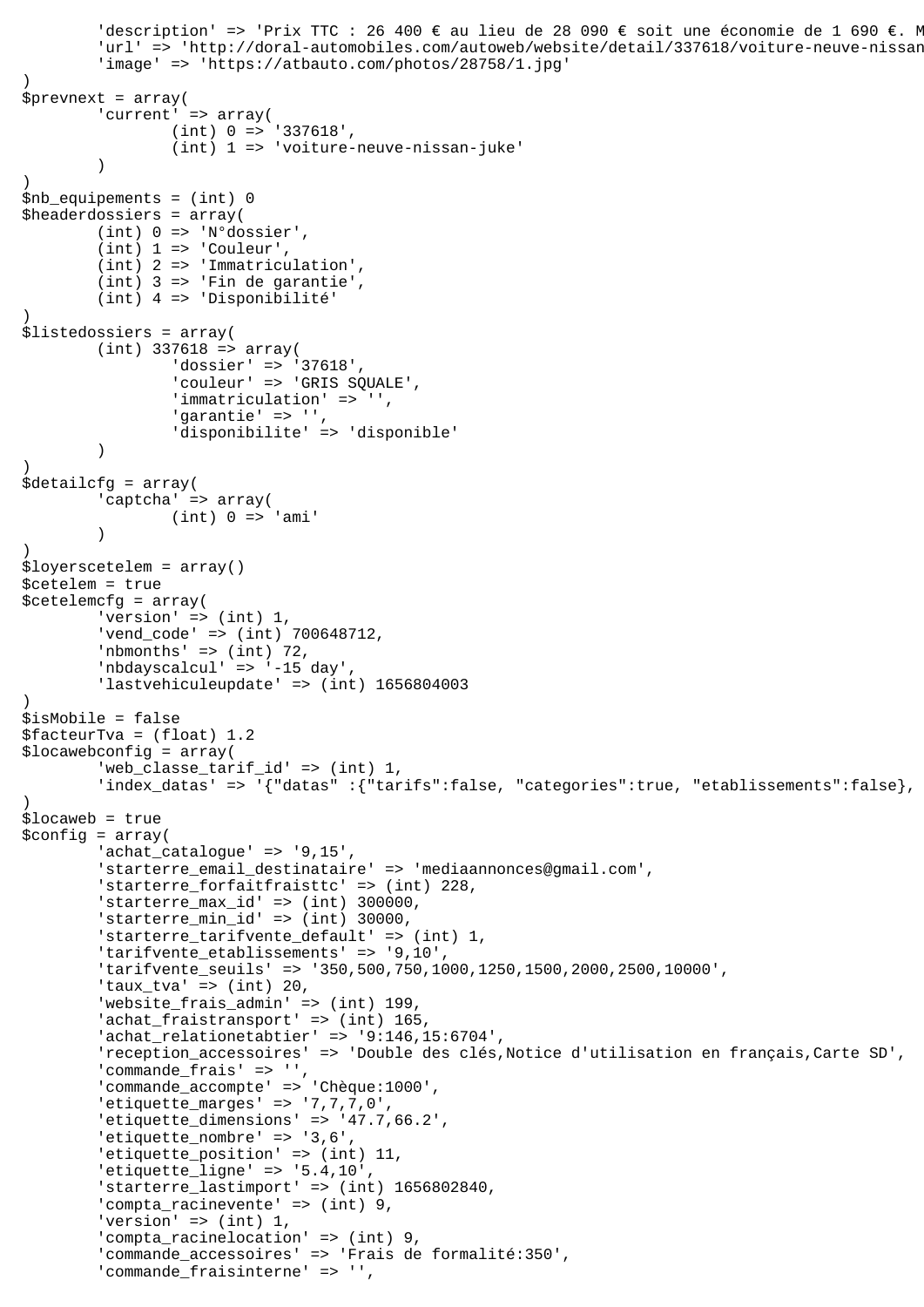```
'description' => 'Prix TTC : 26 400 € au lieu de 28 090 € soit une économie de 1 690 €. M
        'url' => 'http://doral-automobiles.com/autoweb/website/detail/337618/voiture-neuve-nissan
         'image' => 'https://atbauto.com/photos/28758/1.jpg'
)
$prevnext = array(
        'current' => array(
                  (int) 0 => '337618',
                  (int) 1 => 'voiture-neuve-nissan-juke'
\overline{\phantom{a}})
$nb_equipements = (int) 0
$headerdossiers = array(
         (int) 0 => 'N°dossier',
        (int) 1 \Rightarrow 'Counter'. (int) 2 => 'Immatriculation',
         (int) 3 => 'Fin de garantie',
         (int) 4 => 'Disponibilité'
)
$listedossiers = array(
        (int) 337618 => array(
                 'dossier' => '37618',
                  'couleur' => 'GRIS SQUALE',
                  'immatriculation' => '',
                  'garantie' => '',
                  'disponibilite' => 'disponible'
         )
\lambda$detailcfg = array(
         'captcha' => array(
                 (int) 0 \Rightarrow 'ami'\overline{\phantom{a}}\lambda$loyerscetelem = array()
$cetelem = true
$cetelemcfg = array(
        'version' => (int) 1, 'vend_code' => (int) 700648712,
        'nbmonths' => (int) 72,
         'nbdayscalcul' => '-15 day',
         'lastvehiculeupdate' => (int) 1656804003
)
$isMobile = false
$facteurTva = (float) 1.2
$locawebconfig = array(
         'web_classe_tarif_id' => (int) 1,
        'index_datas' => '{"datas" :{"tarifs":false, "categories":true, "etablissements":false},
)
$locaweb = true
$config = array(
         'achat_catalogue' => '9,15',
         'starterre_email_destinataire' => 'mediaannonces@gmail.com',
         'starterre_forfaitfraisttc' => (int) 228,
         'starterre_max_id' => (int) 300000,
        'starterre min id' => (int) 30000,
        'starterre tarifvente default' => (int) 1,
         'tarifvente_etablissements' => '9,10',
         'tarifvente_seuils' => '350,500,750,1000,1250,1500,2000,2500,10000',
        'taux_tva' => (int) 20,
         'website_frais_admin' => (int) 199,
        'achat_fraistransport' => (int) 165,
         'achat_relationetabtier' => '9:146,15:6704',
         'reception_accessoires' => 'Double des clés,Notice d'utilisation en français,Carte SD',
        'commande_frais' => ''
         'commande_accompte' => 'Chèque:1000',
         'etiquette_marges' => '7,7,7,0',
         'etiquette_dimensions' => '47.7,66.2',
         'etiquette_nombre' => '3,6',
        'etiquette position' => (int) 11,
        'etiquette ligne' => '5.4,10',
         'starterre_lastimport' => (int) 1656802840,
         'compta_racinevente' => (int) 9,
         'version' => (int) 1,
         'compta_racinelocation' => (int) 9,
         'commande_accessoires' => 'Frais de formalité:350',
         'commande_fraisinterne' => '',
```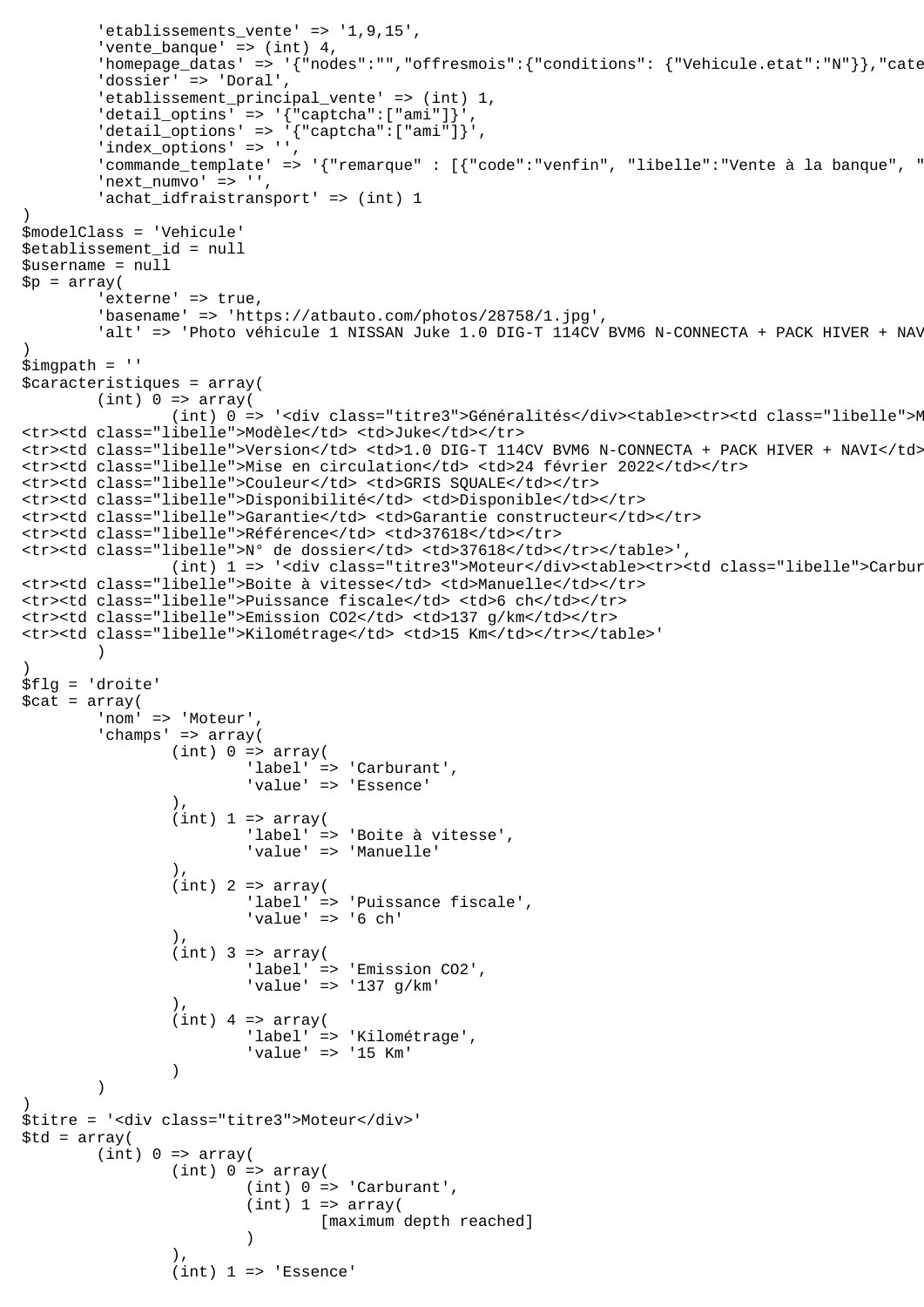```
 'etablissements_vente' => '1,9,15',
        'vente banque' => (int) 4,
        'homepage_datas' => '{"nodes":"","offresmois":{"conditions": {"Vehicule.etat":"N"}},"cate
        'dossier' => 'Doral'
        'etablissement principal vente' => (int) 1,
        'detail_optins' => '{"captcha":["ami"]}'
        'delta1\_options' => '\{''caption': ['amu'']\}'','index_options' => ''
        " commande template' => '{"remarque" : [{"code":"venfin", "libelle":"Vente à la banque", "
        'next_numvo' => '',
        'achat_idfraistransport' => (int) 1
)
$modelClass = 'Vehicule'
$etablissement_id = null
$username = null
$p = array('externe' => true,
         'basename' => 'https://atbauto.com/photos/28758/1.jpg',
        'alt' => 'Photo véhicule 1 NISSAN Juke 1.0 DIG-T 114CV BVM6 N-CONNECTA + PACK HIVER + NAV
)
$imgpath = ''
$caracteristiques = array(
        (int) 0 \Rightarrow array((int) 0 => '<div class="titre3">Généralités</div><table><tr><td class="libelle">N
<tr>>td class="libelle">Modèle</td> <td>Juke</td></tr>
<tr><td class="libelle">Version</td> <td>1.0 DIG-T 114CV BVM6 N-CONNECTA + PACK HIVER + NAVI</td></tr>
<tr><td class="libelle">Mise en circulation</td> <td>24 février 2022</td></tr>
<tr><td class="libelle">Couleur</td> <td>GRIS SQUALE</td></tr>
<tr><td class="libelle">Disponibilité</td> <td>Disponible</td></tr>
<tr><td class="libelle">Garantie</td> <td>Garantie constructeur</td></tr>
<tr><td class="libelle">Référence</td> <td>37618</td></tr>
<tr><td class="libelle">N° de dossier</td> <td>37618</td></tr></table>',
                (int) 1 => '<div class="titre3">Moteur</div><table><tr>><td class="libelle">Carbur
<tr><td class="libelle">Boite à vitesse</td> <td>Manuelle</td></tr>
<tr><td class="libelle">Puissance fiscale</td> <td>6 ch</td></tr>
<tr><td class="libelle">Emission CO2</td> <td>137 g/km</td></tr>
<tr><td class="libelle">Kilométrage</td> <td>15 Km</td></tr></table>'
\overline{\phantom{a}}\lambda$flg = 'droite'
$cat = array( 'nom' => 'Moteur',
         'champs' => array(
                (int) 0 \Rightarrow array( 'label' => 'Carburant',
                         'value' => 'Essence'
 ),
                (int) 1 \Rightarrow array( 'label' => 'Boite à vitesse',
                         'value' => 'Manuelle'
 ),
                (int) 2 => array( 'label' => 'Puissance fiscale',
                         'value' => '6 ch'
 ),
                (int) 3 => array( 'label' => 'Emission CO2',
                         'value' => '137 g/km'
 ),
                (int) 4 => array( 'label' => 'Kilométrage',
                          'value' => '15 Km'
 )
\overline{\phantom{a}})
$titre = '<div class="titre3">Moteur</div>'
$td = array((int) 0 \Rightarrow array((int) 0 \Rightarrow array( (int) 0 => 'Carburant',
                        (int) 1 \Rightarrow array( [maximum depth reached]
 )
 ),
                (int) 1 \Rightarrow 'Essence'
```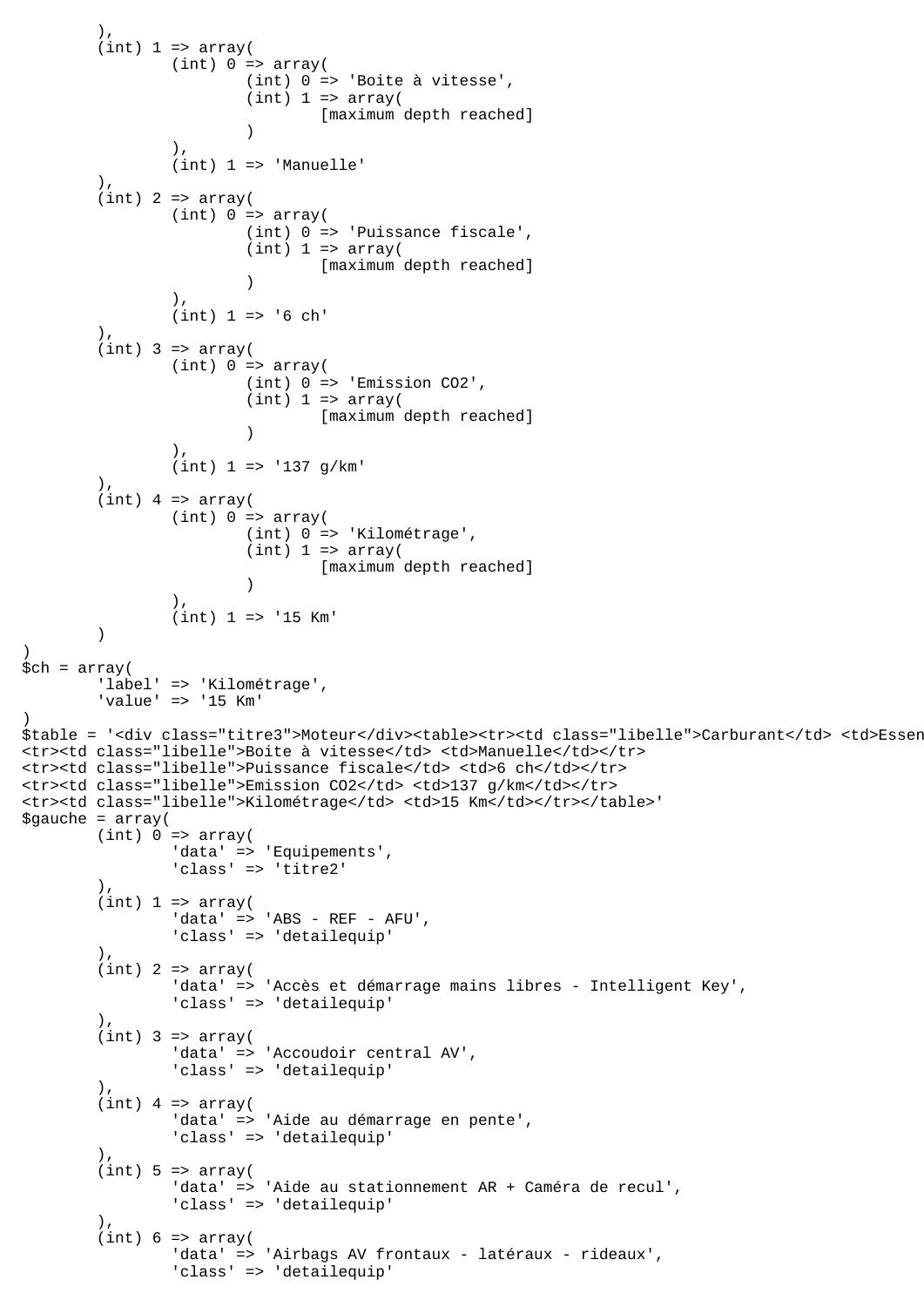```
 ),
        (int) 1 \Rightarrow array((int) 0 \Rightarrow array( (int) 0 => 'Boite à vitesse',
                        (int) 1 \Rightarrow array( [maximum depth reached]
 )
 ),
                 (int) 1 => 'Manuelle'
        \lambda.
        (int) 2 => array((int) 0 => array(
                         (int) 0 => 'Puissance fiscale',
                        (int) 1 \Rightarrow array( [maximum depth reached]
 )
 ),
                (int) 1 => '6 ch' ),
        (int) 3 => array((int) 0 \Rightarrow array( (int) 0 => 'Emission CO2',
                        (int) 1 \Rightarrow array( [maximum depth reached]
 )
 ),
                 (int) 1 => '137 g/km'
         ),
        (int) 4 => array((int) 0 \Rightarrow array( (int) 0 => 'Kilométrage',
                        (int) 1 \Rightarrow array( [maximum depth reached]
 )
 ),
        (int) 1 => '15 Km'\overline{\phantom{a}})
$ch = array( 'label' => 'Kilométrage',
         'value' => '15 Km'
)
$table = '<div class="titre3">Moteur</div><table><tr>><td class="libelle">Carburant</td> <td>Essen
<tr><td class="libelle">Boite à vitesse</td> <td>Manuelle</td></tr>
<tr><td class="libelle">Puissance fiscale</td> <td>6 ch</td></tr>
<tr><td class="libelle">Emission CO2</td> <td>137 g/km</td></tr>
<tr><td class="libelle">Kilométrage</td> <td>15 Km</td></tr></table>'
space = array((int) 0 \Rightarrow array( 'data' => 'Equipements',
 'class' => 'titre2'
        ),
        (int) 1 \Rightarrow array('data' => 'ABS - REF - AFU',
                 'class' => 'detailequip'
         ),
        (int) 2 => array( 'data' => 'Accès et démarrage mains libres - Intelligent Key',
                 'class' => 'detailequip'
         ),
        (int) 3 => array('data' => 'Accoudoir central AV',
                 'class' => 'detailequip'
         ),
        (int) 4 => array('data' => 'Aide au démarrage en pente',
                 'class' => 'detailequip'
        ).
        (int) 5 \Rightarrow array( 'data' => 'Aide au stationnement AR + Caméra de recul',
                 'class' => 'detailequip'
         ),
        (int) 6 \Rightarrow array('data' => 'Airbags AV frontaux - latéraux - rideaux',
                 'class' => 'detailequip'
```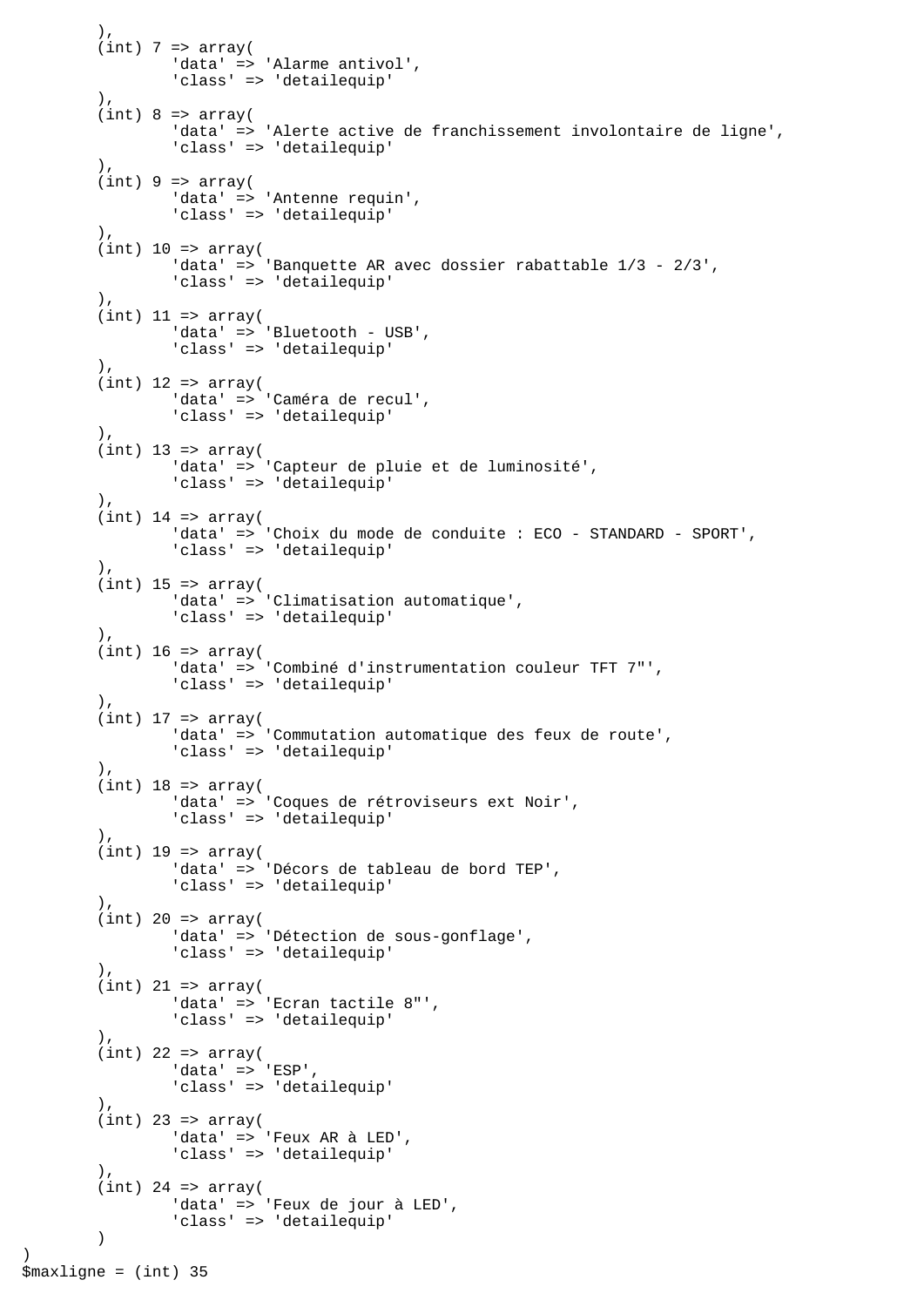```
(int) 7 => array( 'data' => 'Alarme antivol',
                 'class' => 'detailequip'
         ),
        (int) 8 \Rightarrow array( 'data' => 'Alerte active de franchissement involontaire de ligne',
                 'class' => 'detailequip'
         ),
        (int) 9 \Rightarrow array( 'data' => 'Antenne requin',
                 'class' => 'detailequip'
         ),
        (int) 10 => array(
                'data' => 'Banquette AR avec dossier rabattable 1/3 - 2/3',
                 'class' => 'detailequip'
        ),
        (int) 11 => array(
                'data' => 'Bluetooth - USB',
                 'class' => 'detailequip'
         ),
        (int) 12 => array(
 'data' => 'Caméra de recul',
 'class' => 'detailequip'
         ),
        (int) 13 => array( 'data' => 'Capteur de pluie et de luminosité',
                 'class' => 'detailequip'
         ),
        (int) 14 => array('data' => 'Choix du mode de conduite : ECO - STANDARD - SPORT',
                 'class' => 'detailequip'
         ),
        (int) 15 => array(
                 'data' => 'Climatisation automatique',
                 'class' => 'detailequip'
        ),
        (int) 16 => array(
                 'data' => 'Combiné d'instrumentation couleur TFT 7"',
                 'class' => 'detailequip'
        \lambda.
        (int) 17 => array(
                 'data' => 'Commutation automatique des feux de route',
                 'class' => 'detailequip'
         ),
        (int) 18 => array('data' => 'Coques de rétroviseurs ext Noir',
                 'class' => 'detailequip'
         ),
        (int) 19 => array('data' => 'Décors de tableau de bord TEP',
                 'class' => 'detailequip'
 ),
        (int) 20 => array(
                 'data' => 'Détection de sous-gonflage',
                 'class' => 'detailequip'
         ),
        (int) 21 => array('data' => 'Ecran tactile 8"',
                 'class' => 'detailequip'
         ),
        (int) 22 => array('data' => 'ESP',
                 'class' => 'detailequip'
        \left( \right)(int) 23 => array(
                'data' => 'Feux AR à LED',
                 'class' => 'detailequip'
        \lambda.
        (int) 24 => array('data' => 'Feux de jour à LED',
                 'class' => 'detailequip'
         )
```
 $)$ .

)

\$maxligne = (int) 35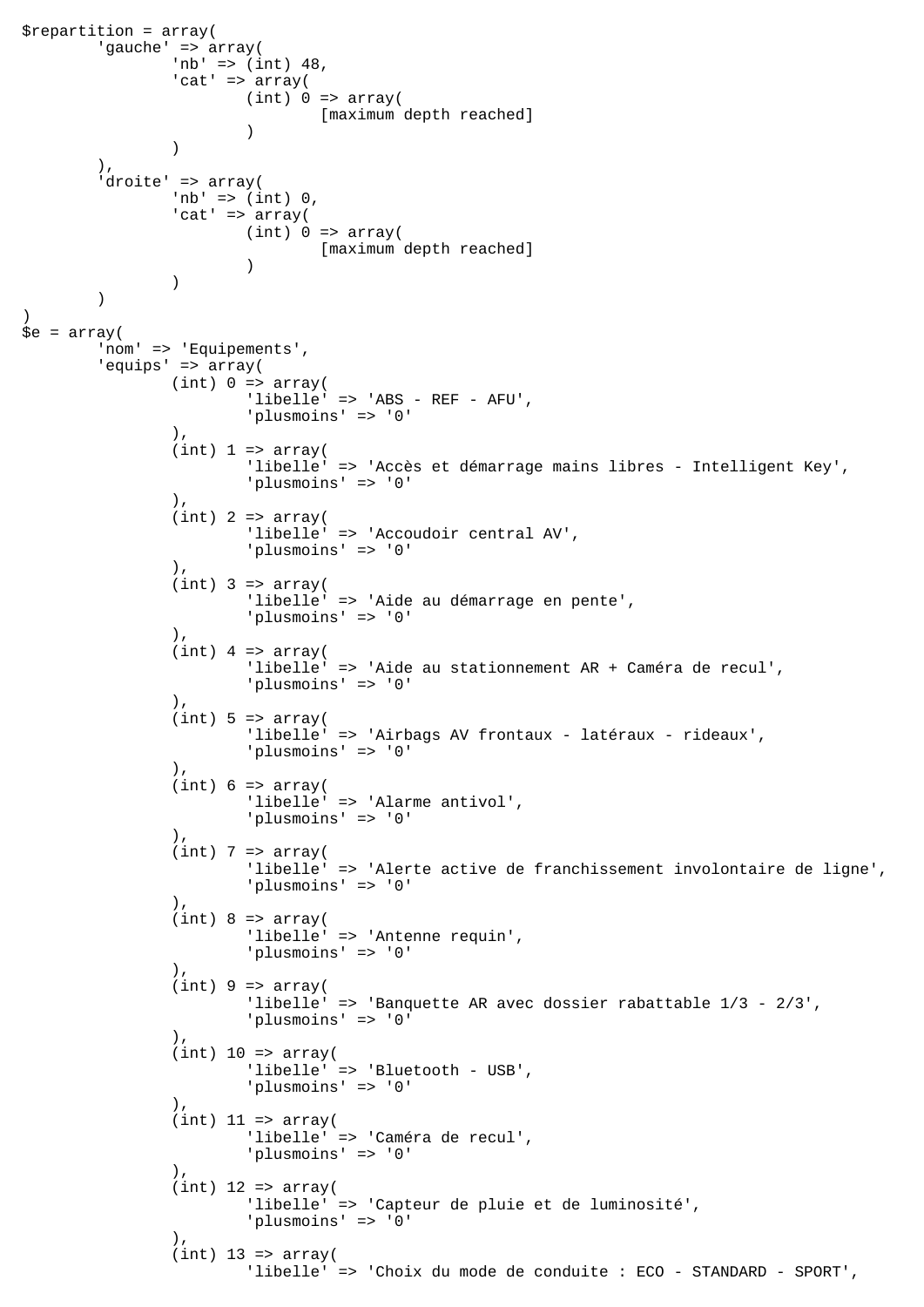```
$repartition = array(
         'gauche' => array(
               'nb' => (int) 48,
               'cat' => array(
                       (int) 0 \Rightarrow array( [maximum depth reached]
 )
) ),
         'droite' => array(
                'nb' => (int) 0, 'cat' => array(
                       (int) 0 \Rightarrow array( [maximum depth reached]
 )
 )
\overline{\phantom{a}})
\text{se} = \arctan(\theta) 'nom' => 'Equipements',
         'equips' => array(
               (int) 0 \Rightarrow array( 'libelle' => 'ABS - REF - AFU',
                         'plusmoins' => '0'
 ),
                (int) 1 \Rightarrow array( 'libelle' => 'Accès et démarrage mains libres - Intelligent Key',
                        'plusmoins' => '0'
                 ),
                (int) 2 => array( 'libelle' => 'Accoudoir central AV',
                        'plusmoins' => '0'
                ),
                (int) 3 => array( 'libelle' => 'Aide au démarrage en pente',
                         'plusmoins' => '0'
                ),
                (int) 4 => array( 'libelle' => 'Aide au stationnement AR + Caméra de recul',
                         'plusmoins' => '0'
 ),
                (int) 5 \Rightarrow array( 'libelle' => 'Airbags AV frontaux - latéraux - rideaux',
                         'plusmoins' => '0'
                 ),
                (int) 6 \Rightarrow array( 'libelle' => 'Alarme antivol',
                         'plusmoins' => '0'
                 ),
                (int) 7 => array( 'libelle' => 'Alerte active de franchissement involontaire de ligne',
                         'plusmoins' => '0'
 ),
                (int) 8 \Rightarrow array( 'libelle' => 'Antenne requin',
                         'plusmoins' => '0'
 ),
                (int) 9 \Rightarrow array( 'libelle' => 'Banquette AR avec dossier rabattable 1/3 - 2/3',
                         'plusmoins' => '0'
 ),
                (int) 10 => array( 'libelle' => 'Bluetooth - USB',
                         'plusmoins' => '0'
\,), \,(int) 11 => array(
                         'libelle' => 'Caméra de recul',
                         'plusmoins' => '0'
 ),
                (int) 12 => array( 'libelle' => 'Capteur de pluie et de luminosité',
                         'plusmoins' => '0'
 ),
                (int) 13 => array(
                        'libelle' => 'Choix du mode de conduite : ECO - STANDARD - SPORT',
```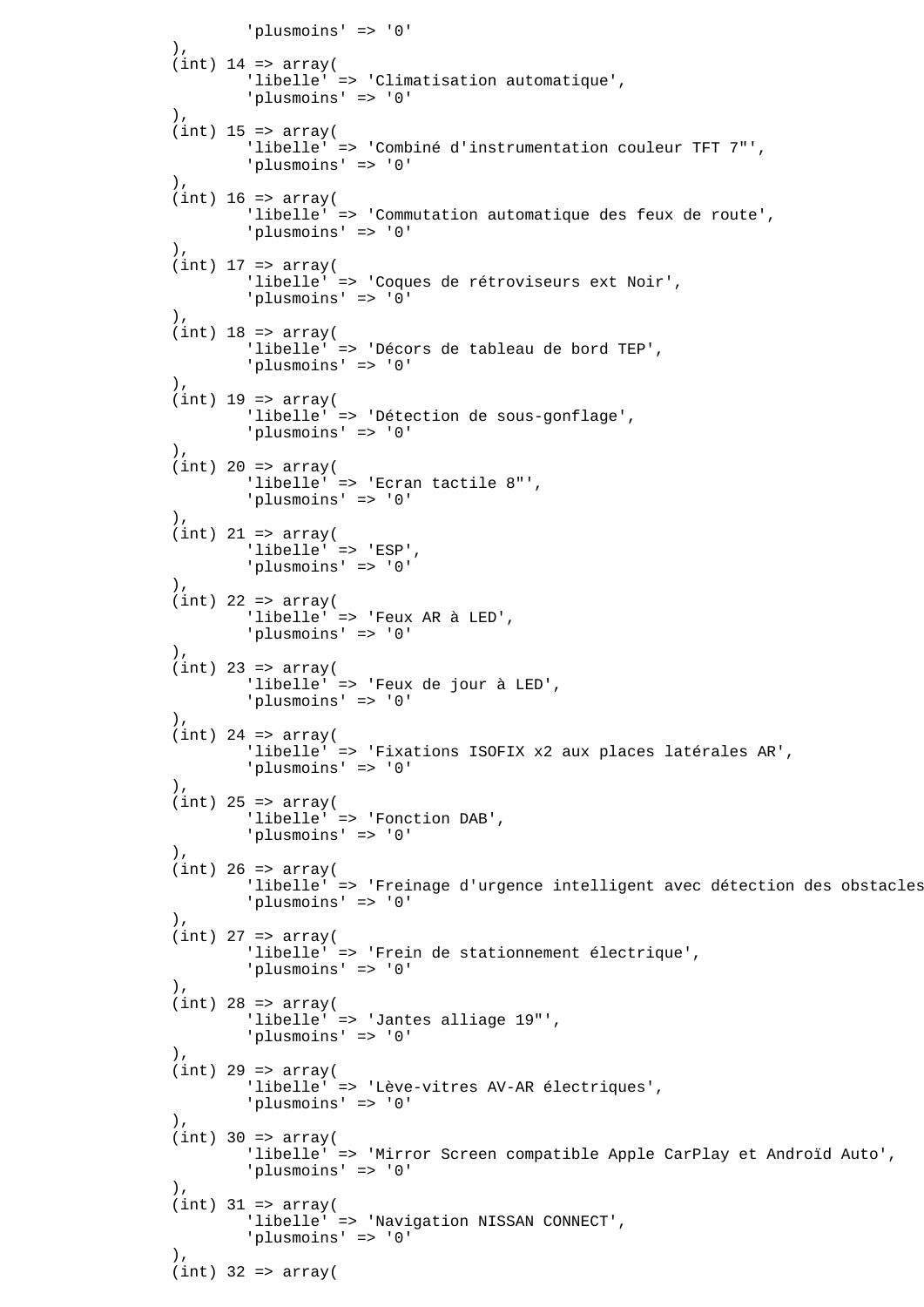```
'plusmoins' => '0'),
 ),
              (int) 14 => array(
                       'libelle' => 'Climatisation automatique',
                       'plusmoins' => '0'
 ),
              (int) 15 => array(
                       'libelle' => 'Combiné d'instrumentation couleur TFT 7"',
                       'plusmoins' => '0'
              ),
              (int) 16 \Rightarrow array( 'libelle' => 'Commutation automatique des feux de route',
                       'plusmoins' => '0'
 ),
              (int) 17 \Rightarrow array( 'libelle' => 'Coques de rétroviseurs ext Noir',
                       'plusmoins' => '0'
 ),
              (int) 18 => array(
                      'libelle' => 'Décors de tableau de bord TEP'.
                       'plusmoins' => '0'
               ),
              (int) 19 => array( 'libelle' => 'Détection de sous-gonflage',
                       'plusmoins' => '0'
 ),
              (int) 20 => array( 'libelle' => 'Ecran tactile 8"',
                       'plusmoins' => '0'
 ),
              (int) 21 => array(
                       'libelle' => 'ESP',
                       'plusmoins' => '0'
 ),
              (int) 22 => array( 'libelle' => 'Feux AR à LED',
                       'plusmoins' => '0'
 ),
              (int) 23 => array(
                       'libelle' => 'Feux de jour à LED',
                       'plusmoins' => '0'
 ),
              (int) 24 => array( 'libelle' => 'Fixations ISOFIX x2 aux places latérales AR',
                       'plusmoins' => '0'
               ),
              (int) 25 => array(
                       'libelle' => 'Fonction DAB',
                       'plusmoins' => '0'
 ),
              (int) 26 => array(
                     'libelle' => 'Freinage d'urgence intelligent avec détection des obstacles
                       'plusmoins' => '0'
\,), \,(int) 27 => array( 'libelle' => 'Frein de stationnement électrique',
                       'plusmoins' => '0'
 ),
              (int) 28 => array(
                       'libelle' => 'Jantes alliage 19"',
                       'plusmoins' => '0'
 ),
              (int) 29 => array( 'libelle' => 'Lève-vitres AV-AR électriques',
                       'plusmoins' => '0'
 ),
              (int) 30 => array( 'libelle' => 'Mirror Screen compatible Apple CarPlay et Androïd Auto',
                       'plusmoins' => '0'
\,), \,(int) 31 => array( 'libelle' => 'Navigation NISSAN CONNECT',
                       'plusmoins' => '0'
 ),
              (int) 32 => array(
```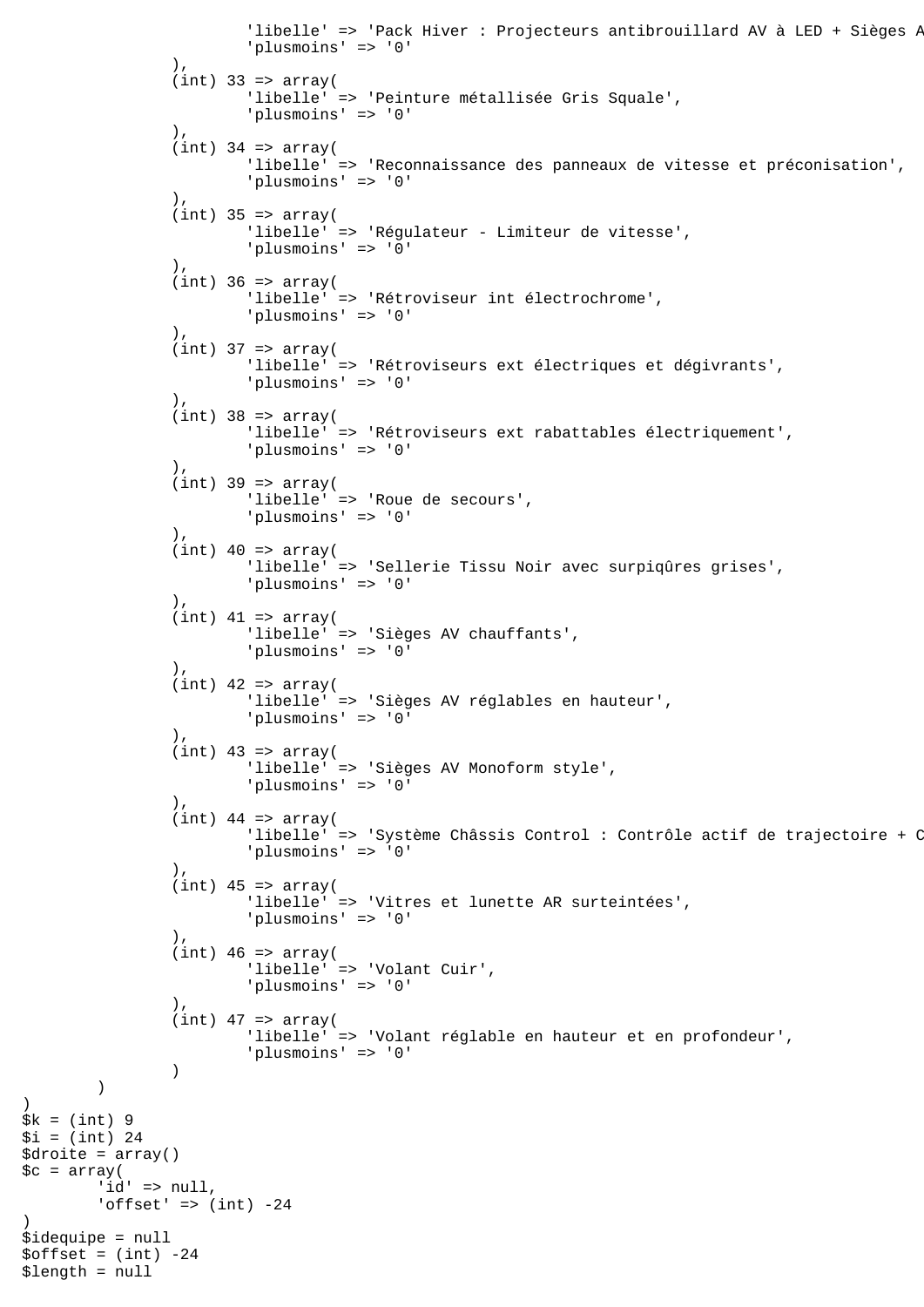```
'libelle' => 'Pack Hiver : Projecteurs antibrouillard AV à LED + Sièges P
                        'plusmoins' => '0'
 ),
               (int) 33 => array(
                        'libelle' => 'Peinture métallisée Gris Squale',
                        'plusmoins' => '0'
 ),
               (int) 34 => array( 'libelle' => 'Reconnaissance des panneaux de vitesse et préconisation',
                        'plusmoins' => '0'
 ),
               (int) 35 => array('libelle' => 'Régulateur - Limiteur de vitesse',
                        'plusmoins' => '0'
 ),
               (int) 36 => array(
                       'libelle' => 'Rétroviseur int électrochrome',
                        'plusmoins' => '0'
 ),
               (int) 37 => array(
                        'libelle' => 'Rétroviseurs ext électriques et dégivrants',
                        'plusmoins' => '0'
                ),
               (int) 38 => array( 'libelle' => 'Rétroviseurs ext rabattables électriquement',
               'plusmoins' => '0'),
 ),
               (int) 39 => array( 'libelle' => 'Roue de secours',
                       'plusmoins' => '0'
                ),
               (int) 40 \Rightarrow array( 'libelle' => 'Sellerie Tissu Noir avec surpiqûres grises',
                        'plusmoins' => '0'
\, ), \,(int) 41 => array(
                        'libelle' => 'Sièges AV chauffants',
                        'plusmoins' => '0'
                ),
               (int) 42 => array( 'libelle' => 'Sièges AV réglables en hauteur',
                        'plusmoins' => '0'
\, ), \,(int) 43 => array( 'libelle' => 'Sièges AV Monoform style',
                        'plusmoins' => '0'
\, ), \,(int) 44 => array('libelle' => 'Système Châssis Control : Contrôle actif de trajectoire + C
                        'plusmoins' => '0'
\, ), \,(int) 45 => array(
                        'libelle' => 'Vitres et lunette AR surteintées',
                        'plusmoins' => '0'
 ),
               (int) 46 => array( 'libelle' => 'Volant Cuir',
                        'plusmoins' => '0'
                ),
               (int) 47 => array( 'libelle' => 'Volant réglable en hauteur et en profondeur',
                        'plusmoins' => '0'
 )
$k = (int) 9$i = (int) 24$droite = array()
\zeta = array(
       'id' => null,'offset' => (int) -24$idequipe = null
$offset = (int) -24$length = null
```
)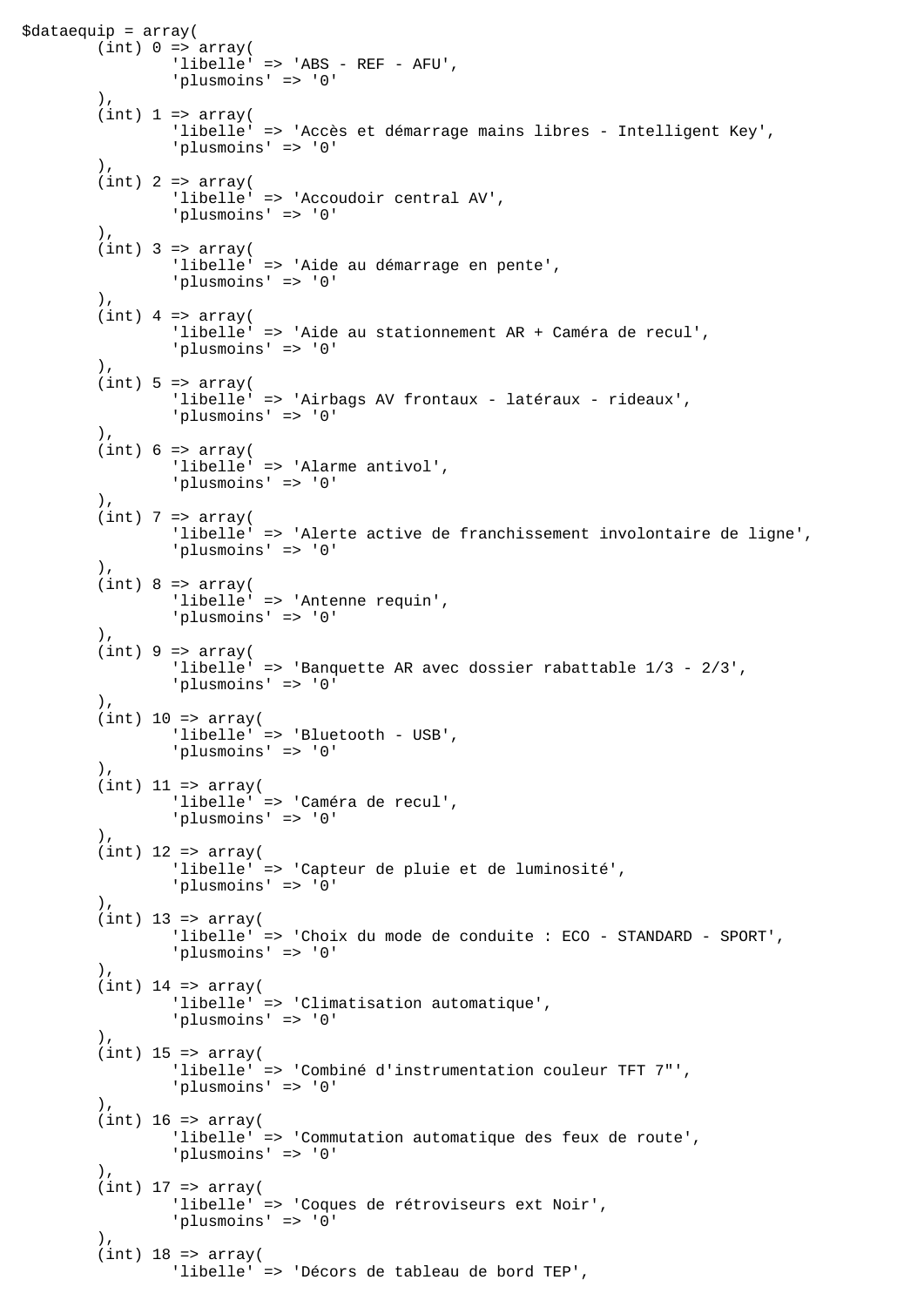```
$dataequip = array(
        (int) 0 \Rightarrow array( 'libelle' => 'ABS - REF - AFU',
                  'plusmoins' => '0'
        \lambda.
        (int) 1 \Rightarrow array( 'libelle' => 'Accès et démarrage mains libres - Intelligent Key',
                  'plusmoins' => '0'
         ),
        (int) 2 => array( 'libelle' => 'Accoudoir central AV',
                  'plusmoins' => '0'
         ),
        (int) 3 => array( 'libelle' => 'Aide au démarrage en pente',
                  'plusmoins' => '0'
         ),
         (int) 4 => array( 'libelle' => 'Aide au stationnement AR + Caméra de recul',
                  'plusmoins' => '0'
         ),
         (int) 5 \Rightarrow array('libelle' => 'Airbags AV frontaux - latéraux - rideaux',
                  'plusmoins' => '0'
         ),
         (int) 6 \Rightarrow array( 'libelle' => 'Alarme antivol',
                  'plusmoins' => '0'
         ),
        (int) 7 => array( 'libelle' => 'Alerte active de franchissement involontaire de ligne',
                  'plusmoins' => '0'
         ),
         (int) 8 \Rightarrow array( 'libelle' => 'Antenne requin',
                  'plusmoins' => '0'
         ),
         (int) 9 \Rightarrow array( 'libelle' => 'Banquette AR avec dossier rabattable 1/3 - 2/3',
                  'plusmoins' => '0'
        ),
         (int) 10 => array(
                  'libelle' => 'Bluetooth - USB',
                  'plusmoins' => '0'
         ),
        (int) 11 => array( 'libelle' => 'Caméra de recul',
                  'plusmoins' => '0'
         ),
        (int) 12 => array( 'libelle' => 'Capteur de pluie et de luminosité',
                  'plusmoins' => '0'
 ),
        (int) 13 => array( 'libelle' => 'Choix du mode de conduite : ECO - STANDARD - SPORT',
                  'plusmoins' => '0'
         ),
        (int) 14 => array( 'libelle' => 'Climatisation automatique',
                  'plusmoins' => '0'
        ),
        (int) 15 => array( 'libelle' => 'Combiné d'instrumentation couleur TFT 7"',
                  'plusmoins' => '0'
         ),
        (int) 16 => array(
                  'libelle' => 'Commutation automatique des feux de route',
                  'plusmoins' => '0'
        \lambda.
        (int) 17 => array( 'libelle' => 'Coques de rétroviseurs ext Noir',
                  'plusmoins' => '0'
        \lambda(int) 18 => array(
                  'libelle' => 'Décors de tableau de bord TEP',
```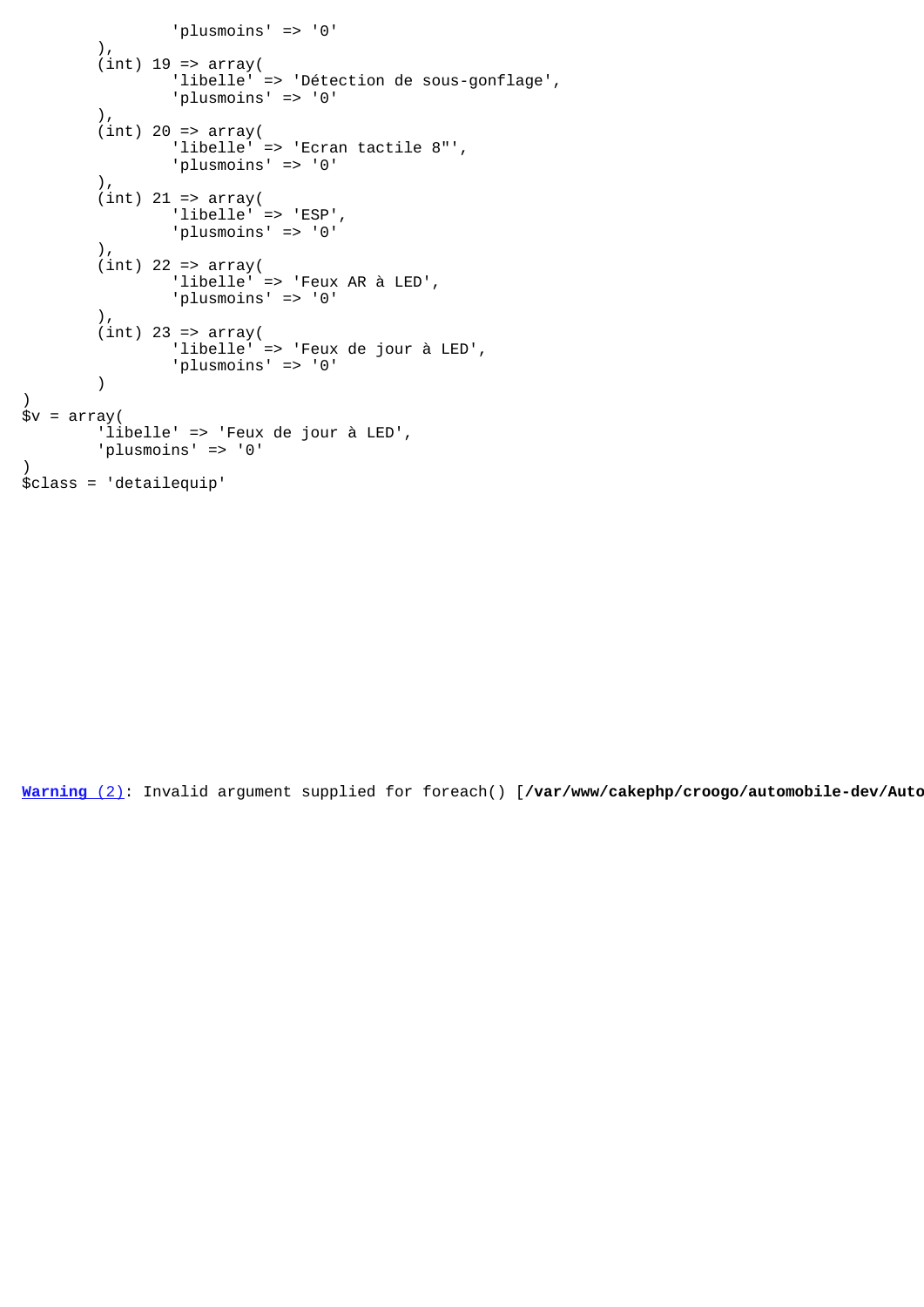```
 'plusmoins' => '0'
        ),
 (int) 19 => array(
 'libelle' => 'Détection de sous-gonflage',
                 'plusmoins' => '0'
         ),
        (int) 20 => array(
                 'libelle' => 'Ecran tactile 8"',
                 'plusmoins' => '0'
         ),
        (int) 21 => array(
                 'libelle' => 'ESP',
                 'plusmoins' => '0'
         ),
        (int) 22 => array( 'libelle' => 'Feux AR à LED',
                 'plusmoins' => '0'
         ),
        (int) 23 => array(
                 'libelle' => 'Feux de jour à LED',
                 'plusmoins' => '0'
         )
)
$v = array( 'libelle' => 'Feux de jour à LED',
         'plusmoins' => '0'
)
$class = 'detailequip'
```
[Warning](javascript:void(0);) [\(2\)](javascript:void(0);): Invalid argument supplied for foreach() [/var/www/cakephp/croogo/automobile-dev/Auto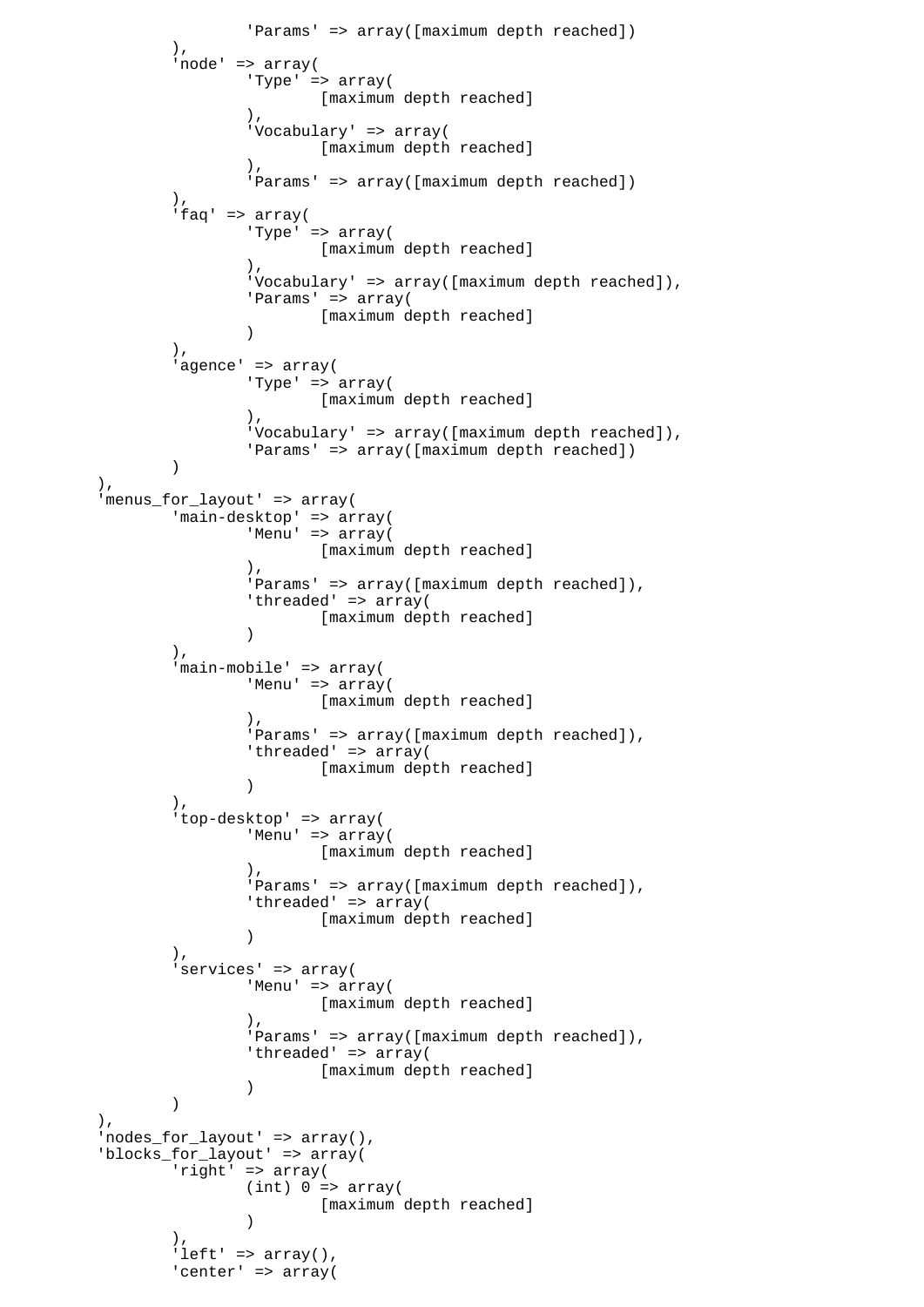```
 'Params' => array([maximum depth reached])
 ),
              'node' => array(
                    'Type' => array(
                           [maximum depth reached]
\,), \, 'Vocabulary' => array(
                           [maximum depth reached]
\,), \, 'Params' => array([maximum depth reached])
\, ), \,'faq' => array(
                    'Type' => array(
                           [maximum depth reached]
\,), \, 'Vocabulary' => array([maximum depth reached]),
                    'Params' => array(
                          [maximum depth reached]
 )
\, ), \, 'agence' => array(
                    'Type' => array(
                           [maximum depth reached]
\,), \, 'Vocabulary' => array([maximum depth reached]),
              'Params' => array([maximum depth reached])
 )
       ),
       'menus_for_layout' => array(
              'main-desktop' => array(
                   'Menu' => array(
                          [maximum depth reached]
\,), \, 'Params' => array([maximum depth reached]),
                   'threaded' => array(
                   [maximum depth reached]<br>)
 )
              ),
              'main-mobile' => array(
                   'Menu' => array(
                           [maximum depth reached]
\,), \, 'Params' => array([maximum depth reached]),
                   'threaded' => array(
                           [maximum depth reached]
 )
\, ), \, 'top-desktop' => array(
                   'Menu' => array(
                           [maximum depth reached]
\,), \,'Params' => array([maximum depth reached]),
                   'threaded' => array(
                           [maximum depth reached]
 )
              ),
              'services' => array(
                    'Menu' => array(
                           [maximum depth reached]
\,), \, 'Params' => array([maximum depth reached]),
                   'threaded' => array(
                    [maximum depth reached]
 )
) ),
       'nodes_for_layout' => array(),
      'blocks for layout' => array(
              'right' => array(
                   (int) 0 \Rightarrow array( [maximum depth reached]
 )
\, ), \,'left' => array(),
             'center' => array(
```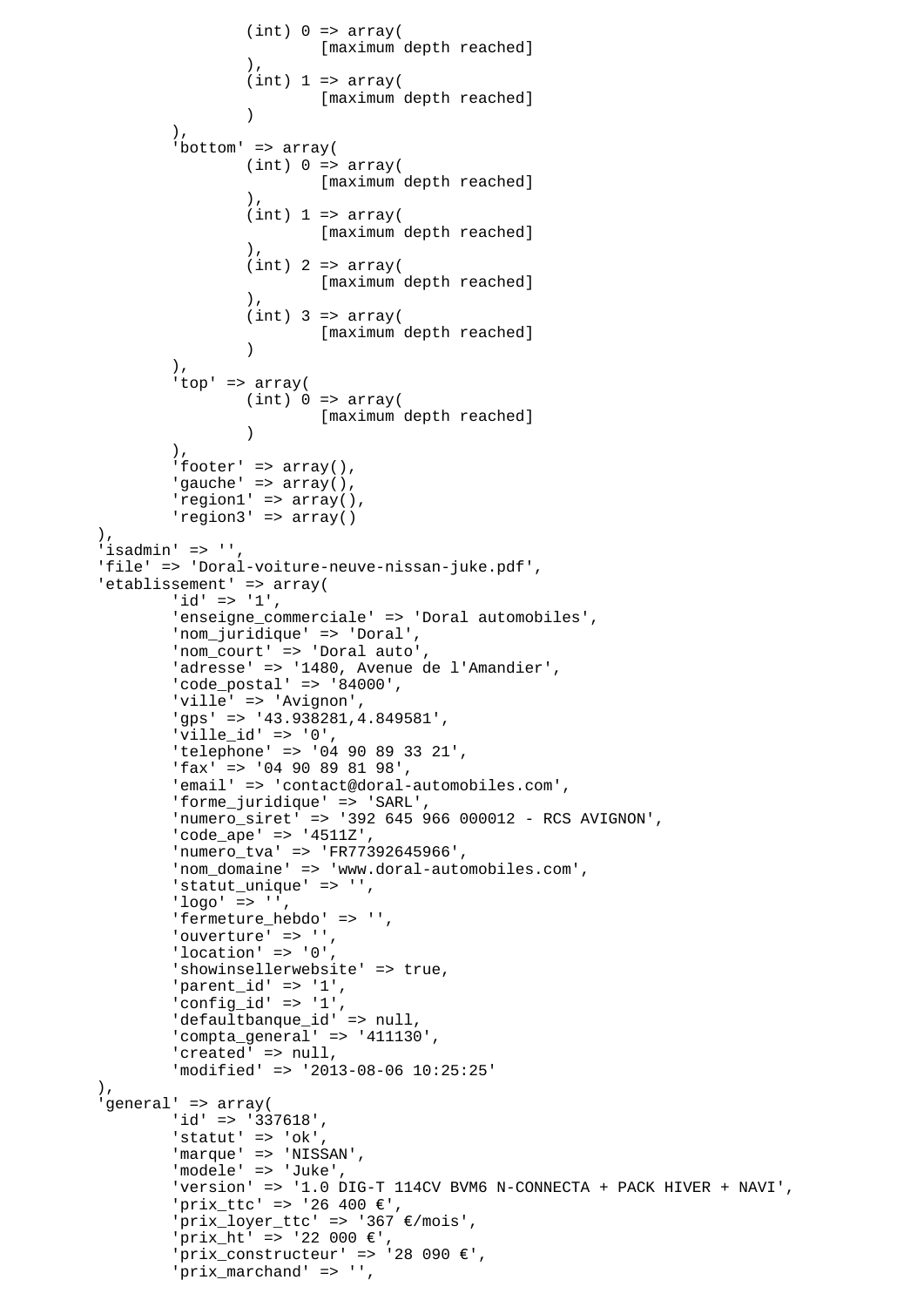```
(int) 0 \Rightarrow array( [maximum depth reached]
\,), \,(int) 1 \Rightarrow array( [maximum depth reached]
 )
 ),
               'bottom' => array(
                      (int) 0 \Rightarrow array( [maximum depth reached]
\,), \,(int) 1 \Rightarrow array( [maximum depth reached]
\,), \,(int) 2 => array( [maximum depth reached]
\,), \,(int) 3 => array([maximum depth reached]
 )
 ),
                'top' => array(
                      (int) 0 \Rightarrow array( [maximum depth reached]
 )
 ),
               'footer' => array(),
               'gauche' => array(),
                'region1' => array(),
                'region3' => array()
        ),
       'isadmin' \Rightarrow '',
        'file' => 'Doral-voiture-neuve-nissan-juke.pdf',
       'etablissement' => array(
               'id' => '1',
                'enseigne_commerciale' => 'Doral automobiles',
                'nom_juridique' => 'Doral',
                'nom_court' => 'Doral auto',
                'adresse' => '1480, Avenue de l'Amandier',
                'code_postal' => '84000',
                'ville' => 'Avignon',
                'gps' => '43.938281,4.849581',
               'ville_id' => '0',
                'telephone' => '04 90 89 33 21',
                'fax' => '04 90 89 81 98',
                'email' => 'contact@doral-automobiles.com',
                'forme_juridique' => 'SARL',
 'numero_siret' => '392 645 966 000012 - RCS AVIGNON',
 'code_ape' => '4511Z',
                'numero_tva' => 'FR77392645966',
                'nom_domaine' => 'www.doral-automobiles.com',
                'statut_unique' => '',
               'loor' => ',
               'fermeture hebdo' => '',
               'ouverture' => '',
                'location' => '0',
                'showinsellerwebsite' => true,
                'parent_id' => '1',
               'config_id' => '1', 'defaultbanque_id' => null,
                'compta_general' => '411130',
               'created' => null,
                'modified' => '2013-08-06 10:25:25'
       ),
        'general' => array(
                'id' => '337618',
               'statut' => 'ok',
                'marque' => 'NISSAN',
                'modele' => 'Juke',
                'version' => '1.0 DIG-T 114CV BVM6 N-CONNECTA + PACK HIVER + NAVI',
                'prix_ttc' => '26 400 €',
                'prix_loyer_ttc' => '367 €/mois',
               'prix_ht' => '22 000 €'
               'prix_constructeur' => '28 090 \varepsilon',
                'prix_marchand' => '',
```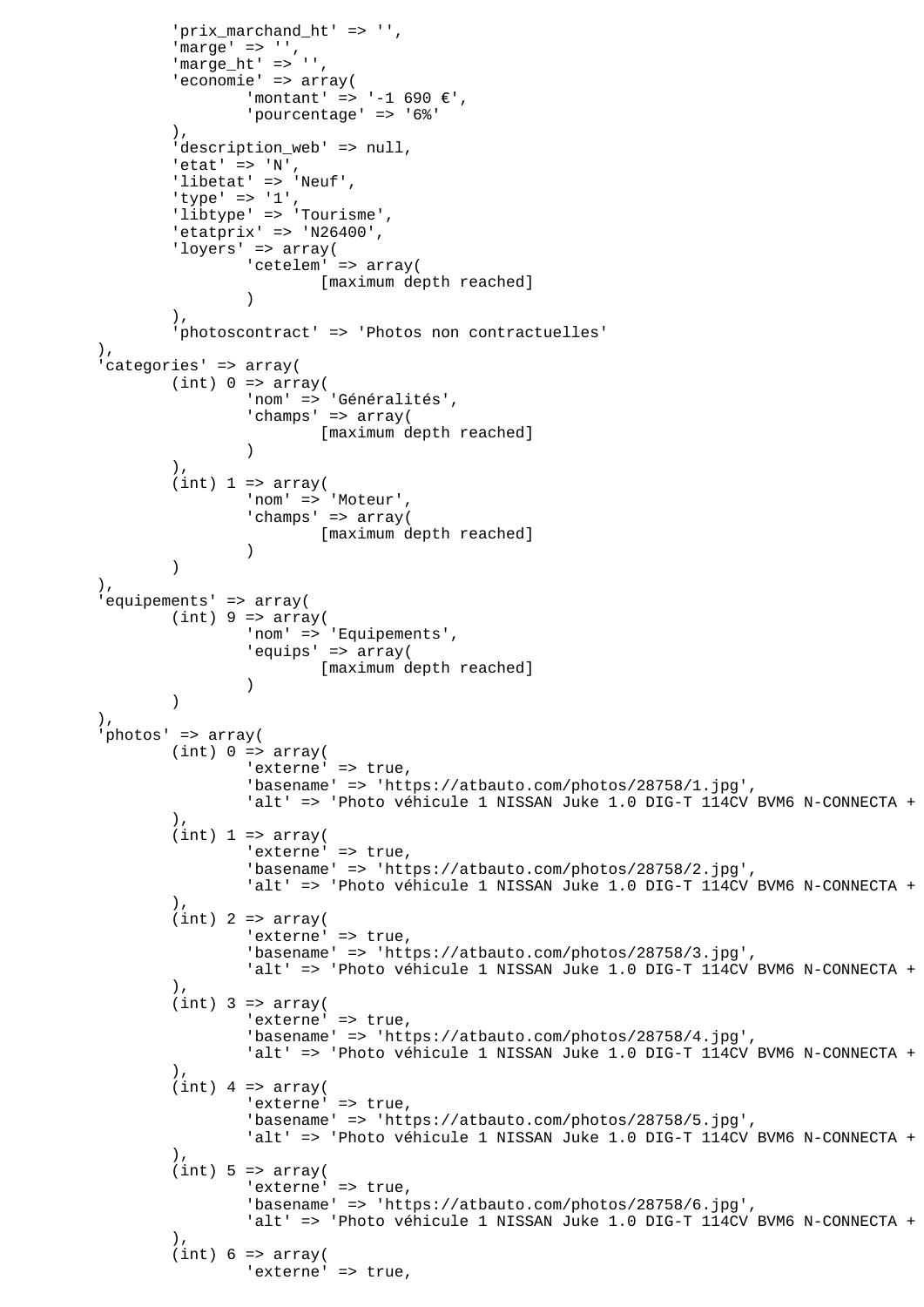```
 'prix_marchand_ht' => '',
               'marge' => '',
              'marge_ht' => '',
              'economie' => array(
                     'montant' => '-1 690 €',
                      'pourcentage' => '6%'
               ),
              'description_web' => null,
'etat' => 'N',
 'libetat' => 'Neuf',
 'type' => '1',
 'libtype' => 'Tourisme',
              'etatprix' => 'N26400',
               'loyers' => array(
                      'cetelem' => array(
                             [maximum depth reached]
 )
 ),
               'photoscontract' => 'Photos non contractuelles'
        ),
        'categories' => array(
              (int) 0 \Rightarrow array( 'nom' => 'Généralités',
 'champs' => array(
                             [maximum depth reached]
 )
 ),
              (int) 1 \Rightarrow array( 'nom' => 'Moteur',
                      'champs' => array(
                      [maximum depth reached]
 )
) ),
        'equipements' => array(
              (int) 9 \Rightarrow array('nom' => 'Equipements',
                      'equips' => array(
                             [maximum depth reached]
 )
 )
       ),
        'photos' => array(
              (int) 0 \Rightarrow array('externe' => true,
                      'basename' => 'https://atbauto.com/photos/28758/1.jpg',
                     'alt' => 'Photo véhicule 1 NISSAN Juke 1.0 DIG-T 114CV BVM6 N-CONNECTA +
 ),
              (int) 1 \Rightarrow array('externe' => true,
                      'basename' => 'https://atbauto.com/photos/28758/2.jpg',
                     'alt' => 'Photo véhicule 1 NISSAN Juke 1.0 DIG-T 114CV BVM6 N-CONNECTA +
 ),
              (int) 2 => array('externe' => true,
                      'basename' => 'https://atbauto.com/photos/28758/3.jpg',
                     'alt' => 'Photo véhicule 1 NISSAN Juke 1.0 DIG-T 114CV BVM6 N-CONNECTA +
 ),
              (int) 3 => array('externe' => true,
                      'basename' => 'https://atbauto.com/photos/28758/4.jpg',
                     'alt' => 'Photo véhicule 1 NISSAN Juke 1.0 DIG-T 114CV BVM6 N-CONNECTA +
 ),
              (int) 4 => array(
                     'externe' => true,
                      'basename' => 'https://atbauto.com/photos/28758/5.jpg',
                     'alt' => 'Photo véhicule 1 NISSAN Juke 1.0 DIG-T 114CV BVM6 N-CONNECTA +
 ),
              (int) 5 \Rightarrow array('externe' => true,
                      'basename' => 'https://atbauto.com/photos/28758/6.jpg',
                     'alt' => 'Photo véhicule 1 NISSAN Juke 1.0 DIG-T 114CV BVM6 N-CONNECTA +
 ),
              (int) 6 \Rightarrow array('externe' => true,
```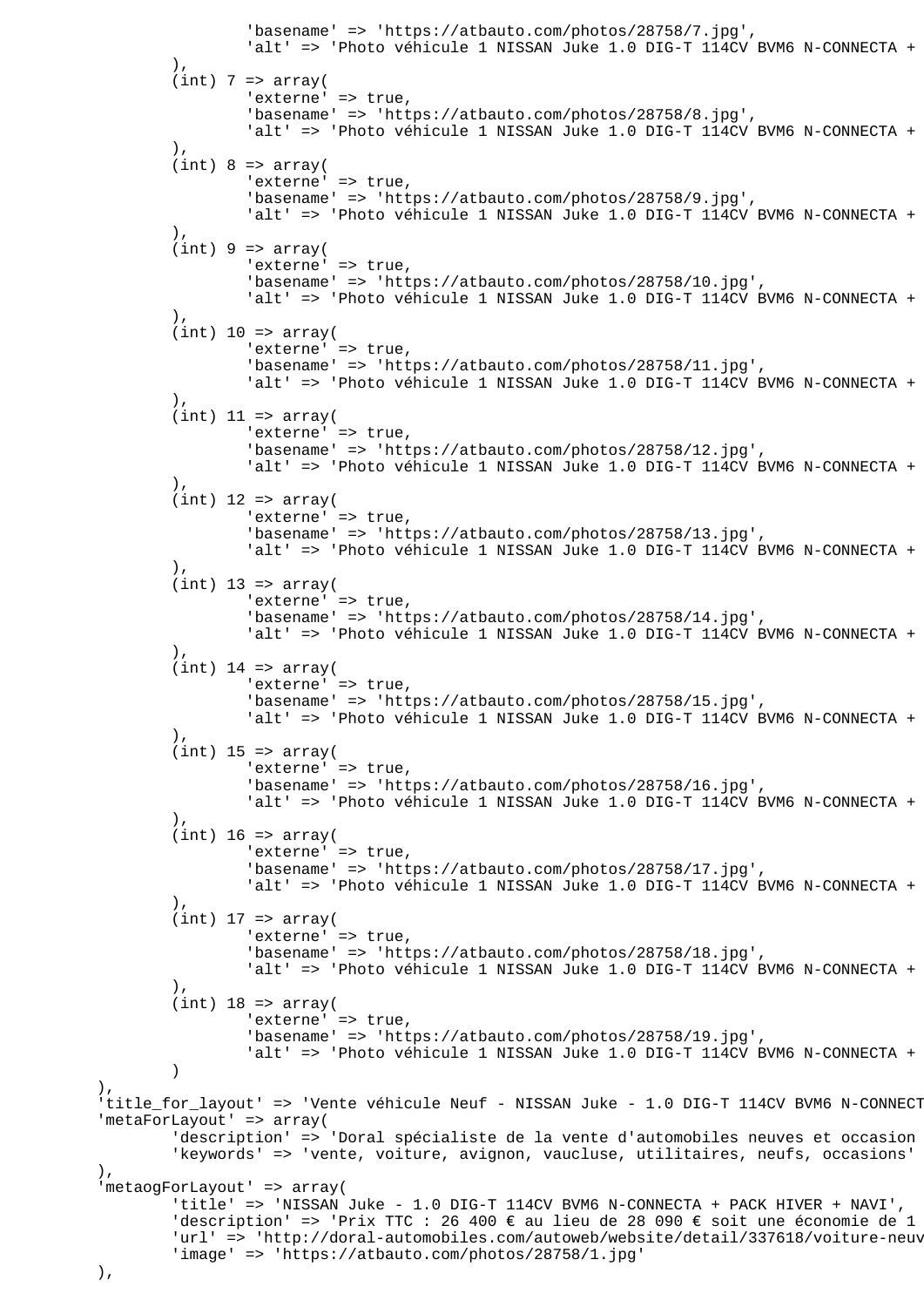```
 'basename' => 'https://atbauto.com/photos/28758/7.jpg',
                       'alt' => 'Photo véhicule 1 NISSAN Juke 1.0 DIG-T 114CV BVM6 N-CONNECTA +
 ),
               (int) 7 => array('externe' => true,
                        'basename' => 'https://atbauto.com/photos/28758/8.jpg',
                       'alt' => 'Photo véhicule 1 NISSAN Juke 1.0 DIG-T 114CV BVM6 N-CONNECTA +
 ),
               ),<br>(int) 8 => array(
                       'externe' = true,
                        'basename' => 'https://atbauto.com/photos/28758/9.jpg',
                       'alt' => 'Photo véhicule 1 NISSAN Juke 1.0 DIG-T 114CV BVM6 N-CONNECTA +
 ),
               (int) 9 \Rightarrow array('externe' => true,
                        'basename' => 'https://atbauto.com/photos/28758/10.jpg',
                       'alt' => 'Photo véhicule 1 NISSAN Juke 1.0 DIG-T 114CV BVM6 N-CONNECTA +
 ),
               (int) 10 \Rightarrow array('externe' => true,
                        'basename' => 'https://atbauto.com/photos/28758/11.jpg',
                       'alt' => 'Photo véhicule 1 NISSAN Juke 1.0 DIG-T 114CV BVM6 N-CONNECTA +
 ),
               (int) 11 => array(
                       'externe' => true,
                        'basename' => 'https://atbauto.com/photos/28758/12.jpg',
                       'alt' => 'Photo véhicule 1 NISSAN Juke 1.0 DIG-T 114CV BVM6 N-CONNECTA +
 ),
               (int) 12 => array(
                       'externe' => true,
                        'basename' => 'https://atbauto.com/photos/28758/13.jpg',
                       'alt' => 'Photo véhicule 1 NISSAN Juke 1.0 DIG-T 114CV BVM6 N-CONNECTA +
\,), \,(int) 13 => array(
                       'externe' => true,
                        'basename' => 'https://atbauto.com/photos/28758/14.jpg',
                       'alt' => 'Photo véhicule 1 NISSAN Juke 1.0 DIG-T 114CV BVM6 N-CONNECTA +
 ),
               (int) 14 => array('externe' => true,
                        'basename' => 'https://atbauto.com/photos/28758/15.jpg',
                       'alt' => 'Photo véhicule 1 NISSAN Juke 1.0 DIG-T 114CV BVM6 N-CONNECTA +
                ),
               (int) 15 => array('externe' => true,
                        'basename' => 'https://atbauto.com/photos/28758/16.jpg',
                       'alt' => 'Photo véhicule 1 NISSAN Juke 1.0 DIG-T 114CV BVM6 N-CONNECTA +
 ),
               (int) 16 => array('externe' => true,
                        'basename' => 'https://atbauto.com/photos/28758/17.jpg',
                       'alt' => 'Photo véhicule 1 NISSAN Juke 1.0 DIG-T 114CV BVM6 N-CONNECTA +
 ),
               (int) 17 \Rightarrow array('externe' => true,
                        'basename' => 'https://atbauto.com/photos/28758/18.jpg',
                       'alt' => 'Photo véhicule 1 NISSAN Juke 1.0 DIG-T 114CV BVM6 N-CONNECTA +
 ),
               (int) 18 => array(
                       'externe' => true,
                        'basename' => 'https://atbauto.com/photos/28758/19.jpg',
                       'alt' => 'Photo véhicule 1 NISSAN Juke 1.0 DIG-T 114CV BVM6 N-CONNECTA +
 )
       'title_for_layout' => 'Vente véhicule Neuf - NISSAN Juke - 1.0 DIG-T 114CV BVM6 N-CONNECT
        'metaForLayout' => array(
               'description' => 'Doral spécialiste de la vente d'automobiles neuves et occasion
                'keywords' => 'vente, voiture, avignon, vaucluse, utilitaires, neufs, occasions'
        'metaogForLayout' => array(
                'title' => 'NISSAN Juke - 1.0 DIG-T 114CV BVM6 N-CONNECTA + PACK HIVER + NAVI',
               'description' => 'Prix TTC : 26 400 € au lieu de 28 090 € soit une économie de 1
               'url' => 'http://doral-automobiles.com/autoweb/website/detail/337618/voiture-neuv
                'image' => 'https://atbauto.com/photos/28758/1.jpg'
```
),

 $)$ ,

),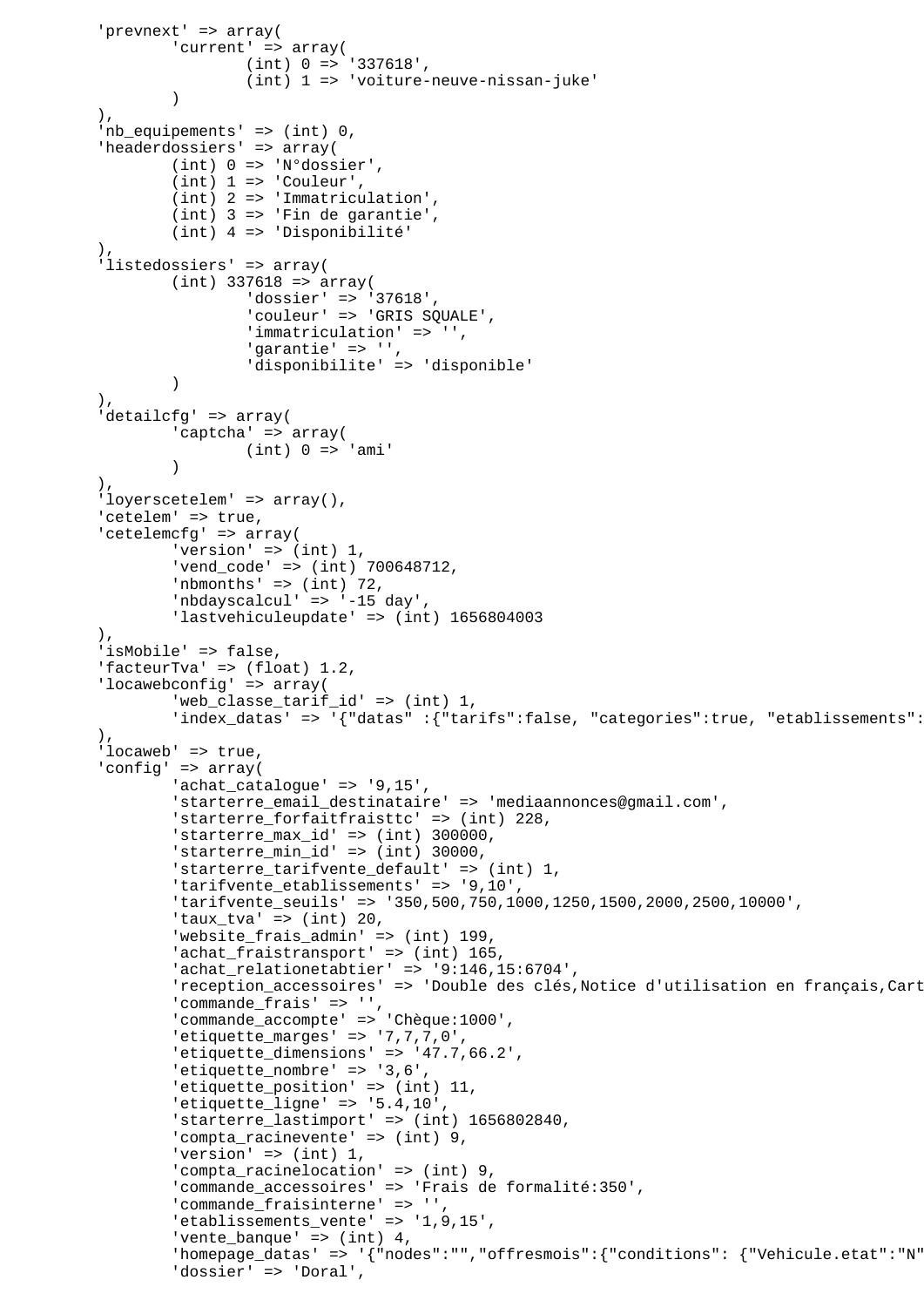```
 'prevnext' => array(
                'current' => array(
                         (int) 0 => '337618',
                         (int) 1 => 'voiture-neuve-nissan-juke'
 )
        ),
         'nb_equipements' => (int) 0,
        'headerdossiers' => array(
                 (int) 0 => 'N°dossier',
                (int) 1 \Rightarrow 'Counter', (int) 2 => 'Immatriculation',
                (int) 3 => 'Fin de garantie',
                 (int) 4 => 'Disponibilité'
 ),
         'listedossiers' => array(
               (int) 337618 => array(
                         'dossier' => '37618',
                         'couleur' => 'GRIS SQUALE',
                         'immatriculation' => '',
                         'garantie' => '',
                         'disponibilite' => 'disponible'
 )
         ),
        'detailcfg' => array(
                'captcha' => array(
                (int) 0 => 'ami' )
        ),
        'loyerscetelem' => array(),
        'cetelem' => true,
         'cetelemcfg' => array(
                'version' => (int) 1,
                 'vend_code' => (int) 700648712,
                'nbmonths' \Rightarrow (int) 72,
                 'nbdayscalcul' => '-15 day',
                 'lastvehiculeupdate' => (int) 1656804003
        ),
         'isMobile' => false,
         'facteurTva' => (float) 1.2,
         'locawebconfig' => array(
                 'web_classe_tarif_id' => (int) 1,
                'index datas' => '{"datas" :{"tarifs":false, "categories":true, "etablissements":
         ),
        'locaweb' => true,
         'config' => array(
                 'achat_catalogue' => '9,15',
                 'starterre_email_destinataire' => 'mediaannonces@gmail.com',
                 'starterre_forfaitfraisttc' => (int) 228,
 'starterre_max_id' => (int) 300000,
 'starterre_min_id' => (int) 30000,
                 'starterre_tarifvente_default' => (int) 1,
                 'tarifvente_etablissements' => '9,10',
                 'tarifvente_seuils' => '350,500,750,1000,1250,1500,2000,2500,10000',
                'taux tva' => (int) 20,
                 'website_frais_admin' => (int) 199,
                'achat_fraistransport' => (int) 165,
                 'achat_relationetabtier' => '9:146,15:6704',
                'reception_accessoires' => 'Double des clés, Notice d'utilisation en français, Cart
                 'commande_frais' => '',
                 'commande_accompte' => 'Chèque:1000',
                 'etiquette_marges' => '7,7,7,0',
 'etiquette_dimensions' => '47.7,66.2',
 'etiquette_nombre' => '3,6',
                 'etiquette_position' => (int) 11,
                'etiquette_ligne' => '5.4,10' 'starterre_lastimport' => (int) 1656802840,
                 'compta_racinevente' => (int) 9,
                'version' \Rightarrow (int) 1,
                'compta racinelocation' => (int) 9,
                 'commande_accessoires' => 'Frais de formalité:350',
                 'commande_fraisinterne' => '',
                 'etablissements_vente' => '1,9,15',
                'vente_banque' => (int) 4,
                'homepage_datas' => '{"nodes":"","offresmois":{"conditions": {"Vehicule.etat":"N"
                 'dossier' => 'Doral',
```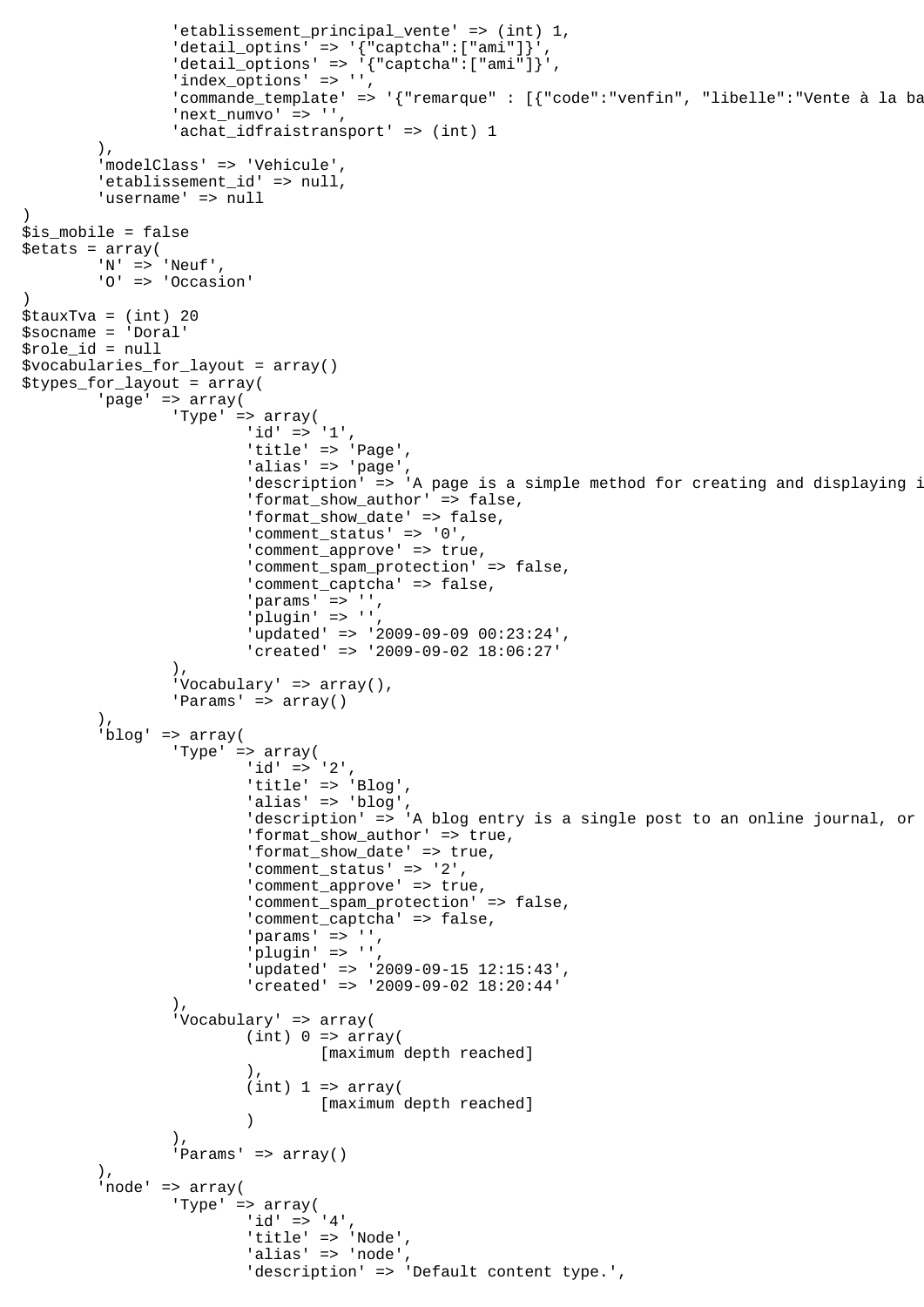```
 'etablissement_principal_vente' => (int) 1,
                'detail optins' => '{``caption":['ami"]'}'
                'detail_options' => \left\{ \text{ "captcha": } [\text{ "ami"]} \right\}',
                'index \overline{\text{options'}} => '',
                'commande template' => '{"remarque" : [{"code":"venfin", "libelle":"Vente à la ba
                'next_numvo' => '',
                'achat_idfraistransport' => (int) 1
         ),
         'modelClass' => 'Vehicule',
        'etablissement id' => null,
         'username' => null
$is_mobile = false
$etats = array(
         'N' => 'Neuf',
         'O' => 'Occasion'
$tauxTva = (int) 20
$socname = 'Doral'
$role_id = null
$vocabularies_for_layout = array()
$types_for_layout = array(
         'page' => array(
                 'Type' => array(
                        'id' => '1',
                         'title' => 'Page',
                         'alias' => 'page',
                         'description' => 'A page is a simple method for creating and displaying i
                          'format_show_author' => false,
                          'format_show_date' => false,
                          'comment_status' => '0',
                         'comment_approve' => true,
                          'comment_spam_protection' => false,
                          'comment_captcha' => false,
 'params' => '',
 'plugin' => '',
                          'updated' => '2009-09-09 00:23:24',
                          'created' => '2009-09-02 18:06:27'
 ),
                'Vocabulary' => array(),
                 'Params' => array()
        \lambda.
         'blog' => array(
                 'Type' => array(
                        'id' => '2',
                         'title' => 'Blog',
                         'alias' => 'blog',
                         'description' => 'A blog entry is a single post to an online journal, or
                          'format_show_author' => true,
                          'format_show_date' => true,
                          'comment_status' => '2',
                         'comment_approve' => true,
                          'comment_spam_protection' => false,
                          'comment_captcha' => false,
                         'params' \Rightarrow '',
                          'plugin' => '',
                          'updated' => '2009-09-15 12:15:43',
                          'created' => '2009-09-02 18:20:44'
                 ),
                  'Vocabulary' => array(
                         (int) 0 \Rightarrow array( [maximum depth reached]
\,), \,(int) 1 \Rightarrow array( [maximum depth reached]
 )
 ),
                 'Params' => array()
        \lambda.
         'node' => array(
                 'Type' => array(
                         'id' => '4',
                         'title' => 'Node',
                          'alias' => 'node',
                          'description' => 'Default content type.',
```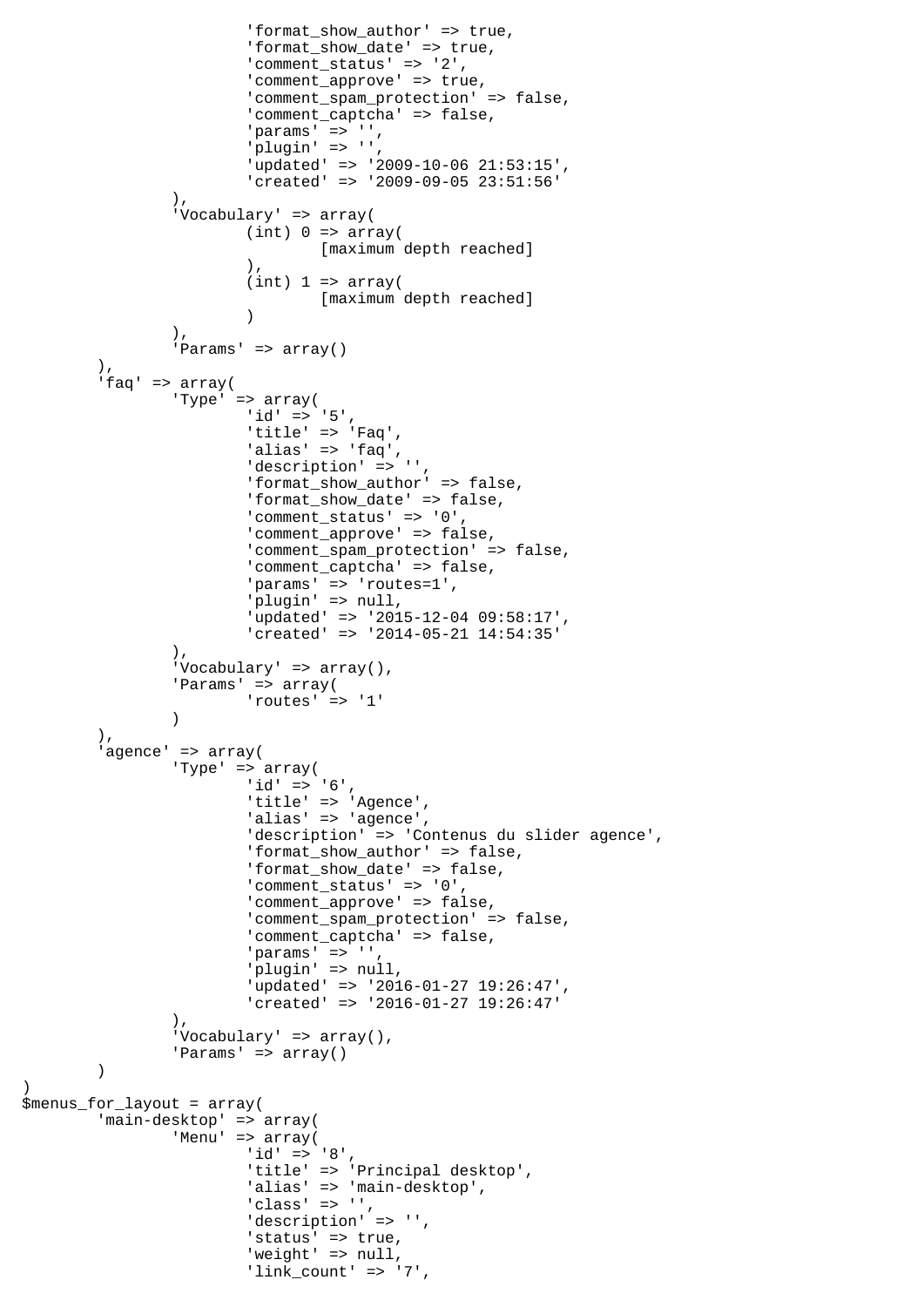```
 'format_show_author' => true,
                     'format show date' => true,
                      'comment_status' => '2',
                     'comment_approve' => true,
                      'comment_spam_protection' => false,
                      'comment_captcha' => false,
' params' => '',
' plugin' => '',
 'updated' => '2009-10-06 21:53:15',
                      'created' => '2009-09-05 23:51:56'
 ),
               'Vocabulary' => array(
                     (int) 0 \Rightarrow array( [maximum depth reached]
\,), \,(int) 1 \Rightarrow array([maximum depth reached]
 )
 ),
               'Params' => array()
 ),
 'faq' => array(
               'Type' => array(
                     'id' => '5',
                      'title' => 'Faq',
                     'alias' \Rightarrow 'faq','description' => '',
                      'format_show_author' => false,
                      'format_show_date' => false,
                      'comment_status' => '0',
                     'comment_approve' => false,
                      'comment_spam_protection' => false,
                     'comment_captcha' => false,
                     'params' => 'routes=1',
 'plugin' => null,
 'updated' => '2015-12-04 09:58:17',
                      'created' => '2014-05-21 14:54:35'
 ),
              'Vocabulary' => array(),
               'Params' => array(
                      'routes' => '1'
 )
        ),
        'agence' => array(
               'Type' => array(
                      'id' => '6',
 'title' => 'Agence',
 'alias' => 'agence',
                      'description' => 'Contenus du slider agence',
                      'format_show_author' => false,
                      'format_show_date' => false,
                      'comment_status' => '0',
                     'comment_approve' => false,
                     'comment spam protection' => false,
                      'comment_captcha' => false,
                     'params' => '',
                      'plugin' => null,
                      'updated' => '2016-01-27 19:26:47',
                      'created' => '2016-01-27 19:26:47'
               ),
              'Vocabulary' => array(),
              'Params' => array()
\overline{\phantom{a}}$menus_for_layout = array(
        'main-desktop' => array(
               'Menu' => array(
                     'id' => '8',
                     'title' => 'Principal desktop',
                     'alias' => 'main-desktop',
                     'class' \Rightarrow '',
                     'description' => '',
 'status' => true,
'weight' => null,
                     'link count' => '7',
```
 $\lambda$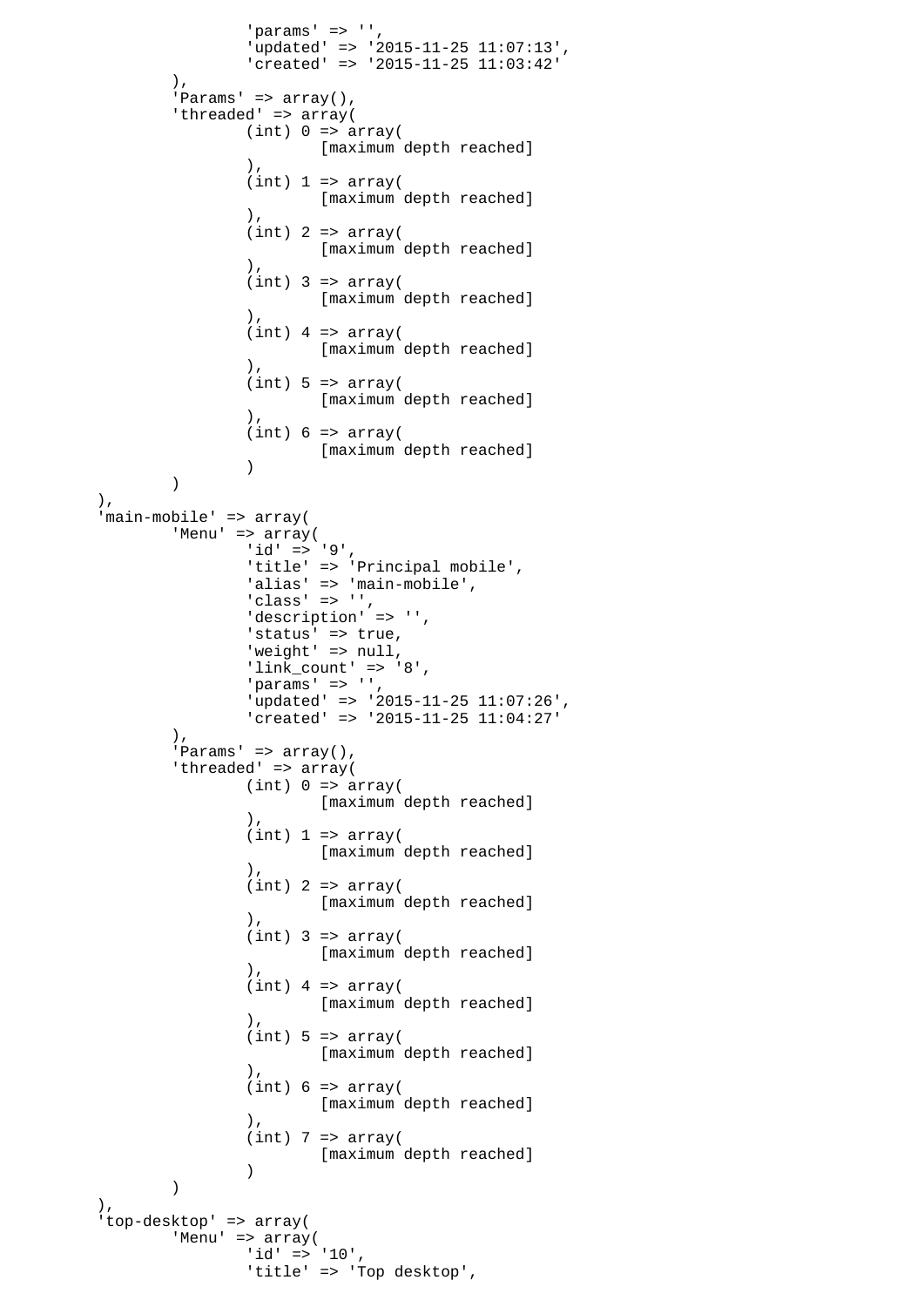```
'params' => '',
                    'updated' => '2015-11-25 11:07:13',
                    'created' => '2015-11-25 11:03:42'
             ),
             ..<br>'Params' => array(),
             'threaded' => array(
                   (int) 0 \Rightarrow array( [maximum depth reached]
\,), \,(int) 1 \Rightarrow array( [maximum depth reached]
), \overline{\phantom{a}}(int) 2 => array([maximum depth reached]
\,), \,(int) 3 => array([maximum depth reached]
\,), \,(int) 4 => array( [maximum depth reached]
\,), \,(int) 5 \Rightarrow array( [maximum depth reached]
\,), \,(int) 6 \Rightarrow array( [maximum depth reached]
 )
) ),
       'main-mobile' => array(
             'Menu' => array(
                   'id' => '9',
                   'title' => 'Principal mobile',
 'alias' => 'main-mobile',
 'class' => '',
 'description' => '',
                   'status' => true,
                   'weight' => null,
                   'link_count' => '8',
                   'params' => ''
                    'updated' => '2015-11-25 11:07:26',
                    'created' => '2015-11-25 11:04:27'
             ),
             'Params' => array(),
            'threaded' => array(
                   (int) 0 \Rightarrow array( [maximum depth reached]
\,), \,(int) 1 \Rightarrow array( [maximum depth reached]
\,), \,(int) 2 => array( [maximum depth reached]
\,), \,(int) 3 => array( [maximum depth reached]
\,), \,(int) 4 => array( [maximum depth reached]
\,), \,(int) 5 \Rightarrow array( [maximum depth reached]
\,), \,(int) 6 \Rightarrow array( [maximum depth reached]
\,), \,(int) 7 => array( [maximum depth reached]
 )
) ),
       'top-desktop' => array(
            'Menu' => array(
'id' => '10',
 'title' => 'Top desktop',
```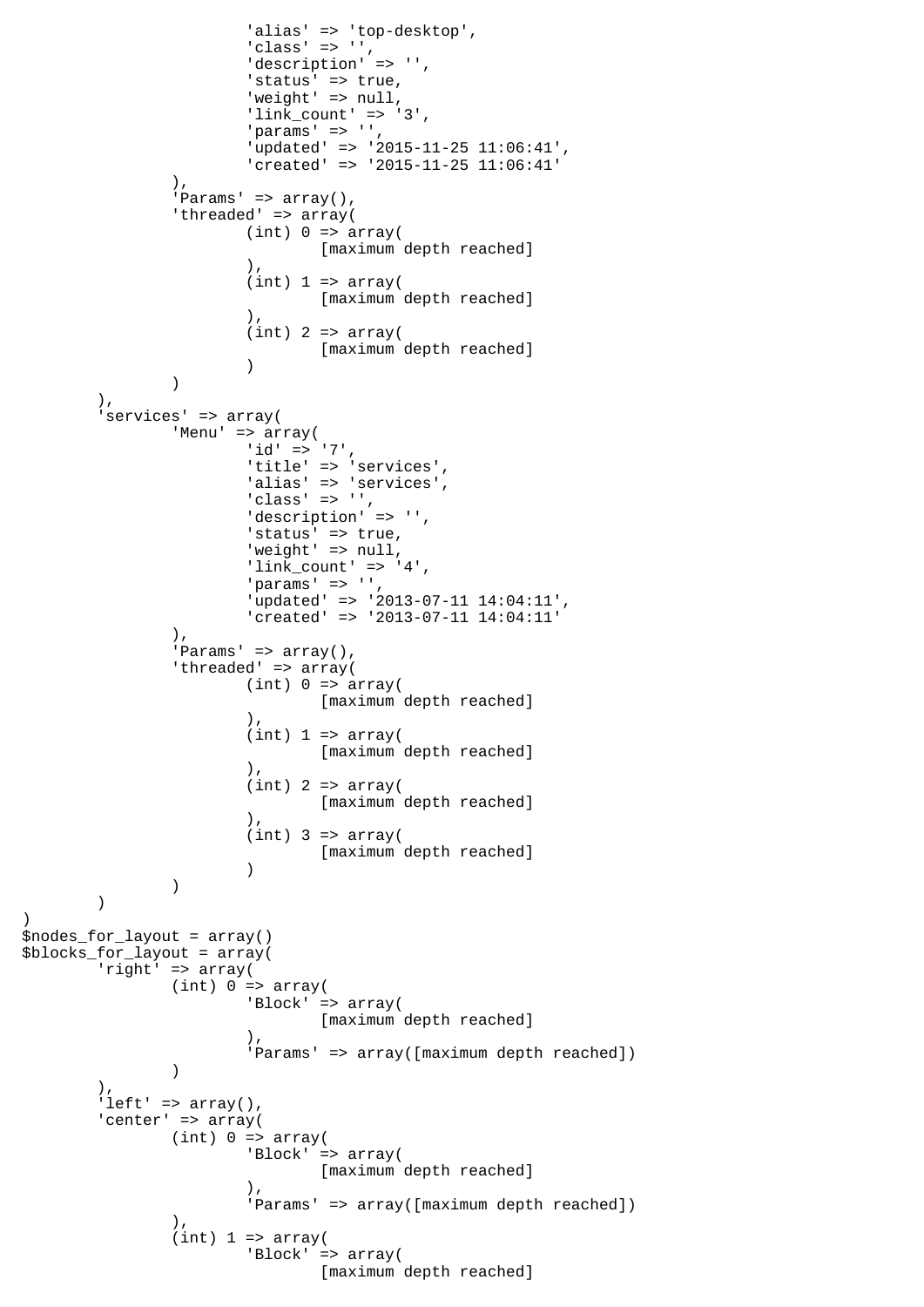```
'alias' => 'top-desktop',
                      'class' => ',
                      'description' => '',
                       'status' => true,
                      'weight' \Rightarrow null,
                      'link_count' => '3',
                      'params' => '',
                       'updated' => '2015-11-25 11:06:41',
                       'created' => '2015-11-25 11:06:41'
              ),
              'Params' => array(),
               'threaded' => array(
                      (int) 0 \Rightarrow array( [maximum depth reached]
\,), \,(int) 1 \Rightarrow array( [maximum depth reached]
\,), \,(int) 2 => array([maximum depth reached]
 )
 )
        ),
        'services' => array(
               'Menu' => array(
                      'id' => '7',
                      'title' => 'services',
                      'alias' => 'services',
                       'class' => '',
                      'description' => '',
                      'status' => true,
                      'weight' => null,
                      'link_count' => '4',
                      'params' \Rightarrow '',
 'updated' => '2013-07-11 14:04:11',
 'created' => '2013-07-11 14:04:11'
               ),
              'Params' => array(),
              'threaded' => array(
                      (int) 0 \Rightarrow array( [maximum depth reached]
\,), \,(int) 1 \Rightarrow array( [maximum depth reached]
\,), \,(int) 2 => array( [maximum depth reached]
\,), \,(int) 3 => array( [maximum depth reached]
 )
 )
        )
\lambda$nodes_for_layout = array()
$blocks_for_layout = array(
        'right' => array(
              (int) 0 \Rightarrow array( 'Block' => array(
                              [maximum depth reached]
\,), \, 'Params' => array([maximum depth reached])
 )
        ),
       'left' => array(),
       'center' => array(
              (int) 0 \Rightarrow array( 'Block' => array(
                              [maximum depth reached]
\,), \, 'Params' => array([maximum depth reached])
 ),
              (int) 1 \Rightarrow array( 'Block' => array(
                              [maximum depth reached]
```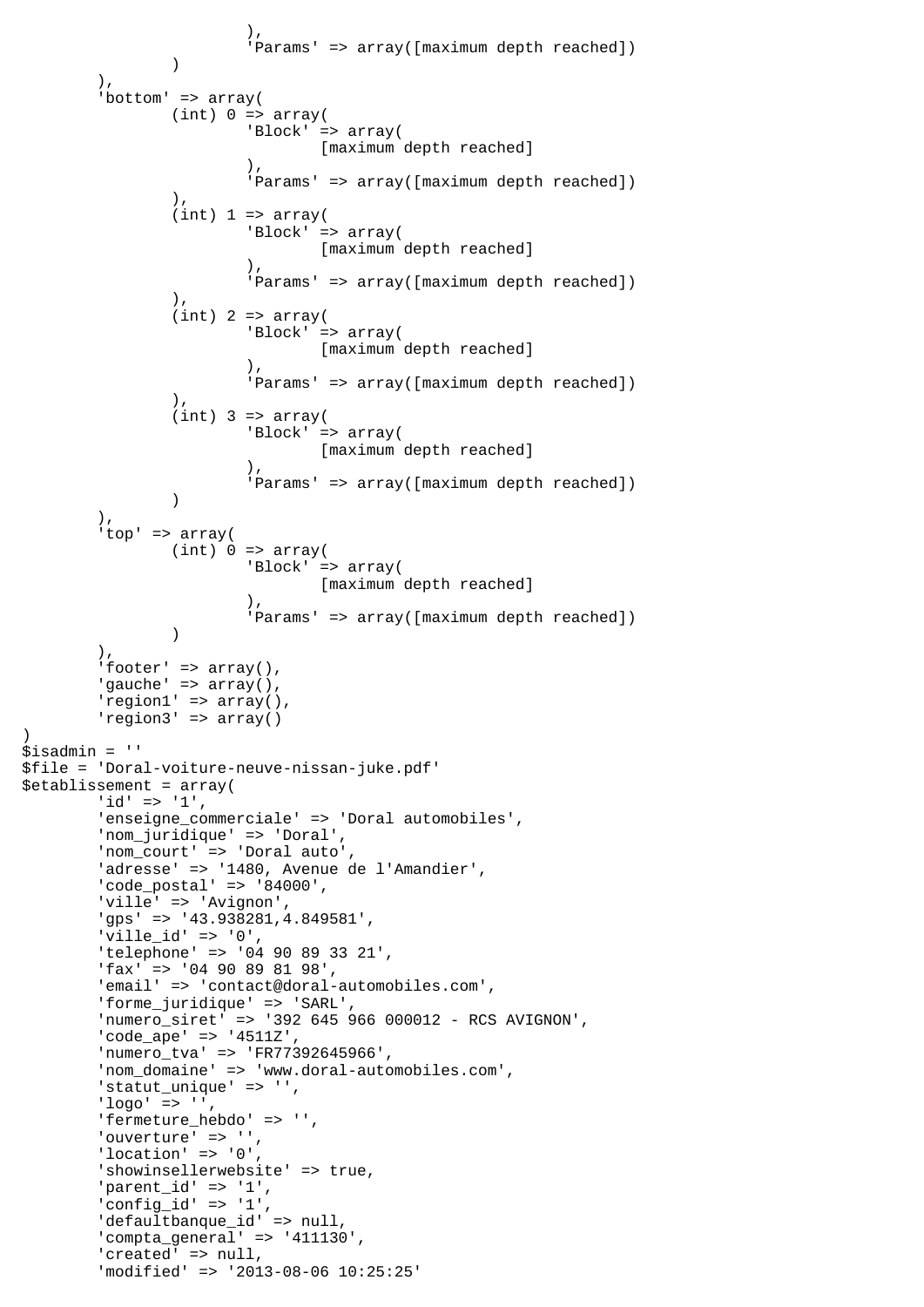```
\,), \, 'Params' => array([maximum depth reached])
) ),
       'bottom' => array(
              (int) 0 \Rightarrow array( 'Block' => array(
                              [maximum depth reached]
\,), \, 'Params' => array([maximum depth reached])
 ),
               (int) 1 \Rightarrow array( 'Block' => array(
                              [maximum depth reached]
\,), \, 'Params' => array([maximum depth reached])
 ),
               (int) 2 => array( 'Block' => array(
                              [maximum depth reached]
\,), \, 'Params' => array([maximum depth reached])
 ),
               (int) 3 => array( 'Block' => array(
                      [maximum depth reached]
\,), \, 'Params' => array([maximum depth reached])
) ),
        'top' => array(
               (int) 0 \Rightarrow array( 'Block' => array(
                              [maximum depth reached]
\,), \, 'Params' => array([maximum depth reached])
 )
 ),
       'footer' => array(),
       'gauche' => array(),
       'region1' => array(),
        'region3' => array()
)
$isadmin = ''
$file = 'Doral-voiture-neuve-nissan-juke.pdf'
$etablissement = array(
       'id' => '1',
        'enseigne_commerciale' => 'Doral automobiles',
 'nom_juridique' => 'Doral',
 'nom_court' => 'Doral auto',
       'adresse' => '1480, Avenue de l'Amandier',
        'code_postal' => '84000',
        'ville' => 'Avignon',
        'gps' => '43.938281,4.849581',
       'ville id' => '0',
        'telephone' => '04 90 89 33 21',
        'fax' => '04 90 89 81 98',
        'email' => 'contact@doral-automobiles.com',
        'forme_juridique' => 'SARL',
        'numero_siret' => '392 645 966 000012 - RCS AVIGNON',
        'code_ape' => '4511Z',
 'numero_tva' => 'FR77392645966',
 'nom_domaine' => 'www.doral-automobiles.com',
        'statut_unique' => '',
        'logo' => '',
        'fermeture_hebdo' => '',
       'ouverture' => '',
       'location' => '0',
        'showinsellerwebsite' => true,
        'parent_id' => '1',
        'config_id' => '1',
        'defaultbanque_id' => null,
        'compta_general' => '411130',
       'created' => null,
        'modified' => '2013-08-06 10:25:25'
```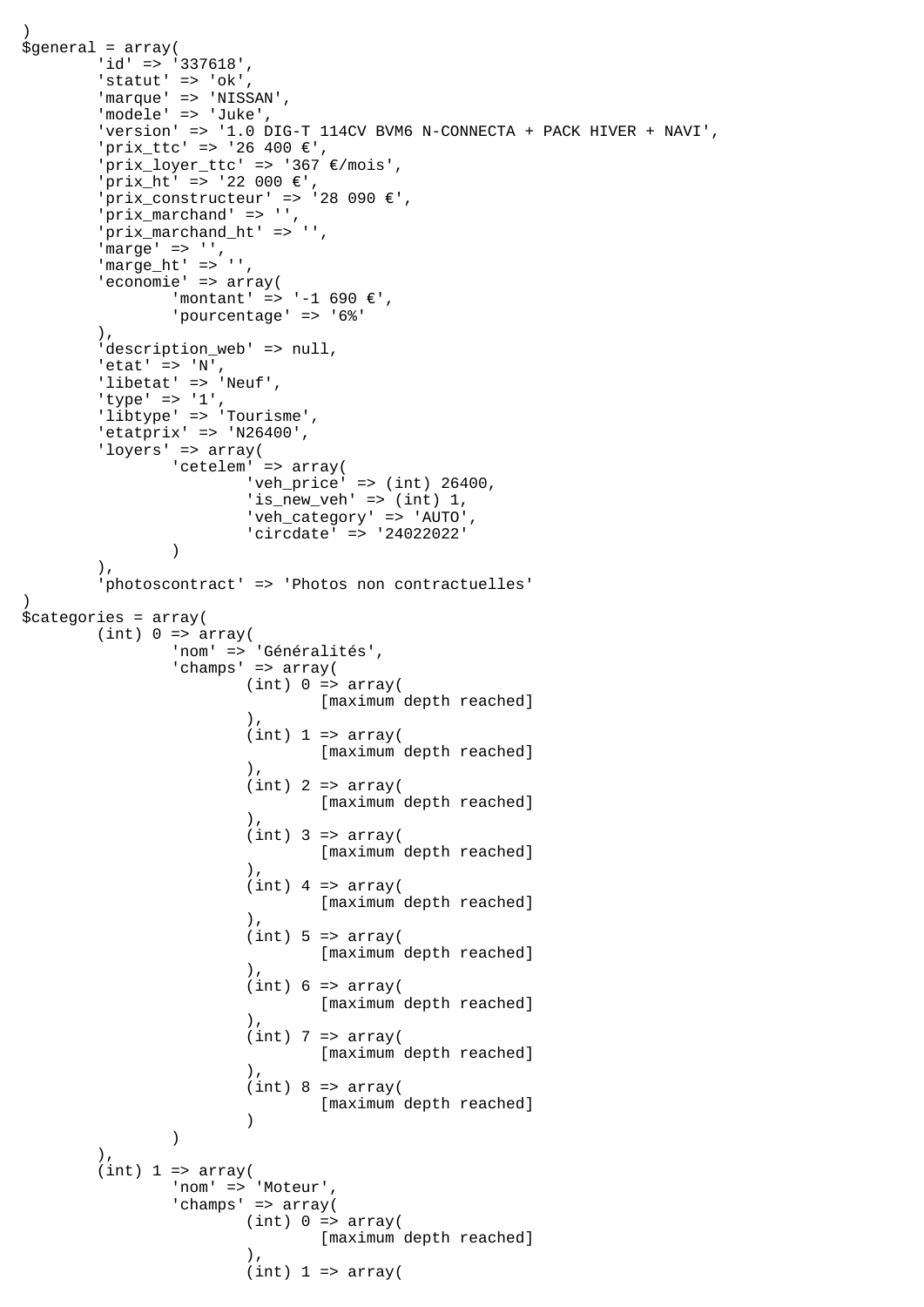```
)
\text{S}general = array(
        'id' => '337618',
       'statut' => 'ok',
        'marque' => 'NISSAN',
        'modele' => 'Juke',
        'version' => '1.0 DIG-T 114CV BVM6 N-CONNECTA + PACK HIVER + NAVI',
 'prix_ttc' => '26 400 €',
 'prix_loyer_ttc' => '367 €/mois',
       'prix ht' => '22 000 €',
 'prix_constructeur' => '28 090 €',
 'prix_marchand' => '',
        'prix_marchand_ht' => '',
       'marge' \Rightarrow '',
       'marge ht' => '',
        'economie' => array(
               'montant' => '-1 690 €',
               'pourcentage' => '6%'
        ),
       'description web' => null,
       'etat' => 'N',
        'libetat' => 'Neuf',
 'type' => '1',
 'libtype' => 'Tourisme',
       'etatprix' => 'N26400',
        'loyers' => array(
               'cetelem' => array(
                       'veh_price' => (int) 26400,
                      'is_new_veh' => (int) 1, 'veh_category' => 'AUTO',
                'circdate' => '24022022'
 )
        ),
        'photoscontract' => 'Photos non contractuelles'
)
$categories = array(
       (int) 0 \Rightarrow array( 'nom' => 'Généralités',
               'champs' => array(
                      (int) 0 \Rightarrow array( [maximum depth reached]
\,), \,(int) 1 \Rightarrow array( [maximum depth reached]
\,), \,(int) 2 => array( [maximum depth reached]
\,), \,(int) 3 => array( [maximum depth reached]
\,), \,(int) 4 => array( [maximum depth reached]
\,), \,(int) 5 \Rightarrow array( [maximum depth reached]
\,), \,(int) 6 \Rightarrow array( [maximum depth reached]
\,), \,(int) 7 => array( [maximum depth reached]
\,), \,(int) 8 \Rightarrow array( [maximum depth reached]
 )
 )
       ).
       (int) 1 \Rightarrow array( 'nom' => 'Moteur',
                'champs' => array(
                      (int) 0 \Rightarrow array( [maximum depth reached]
\,), \,(int) 1 \Rightarrow array(
```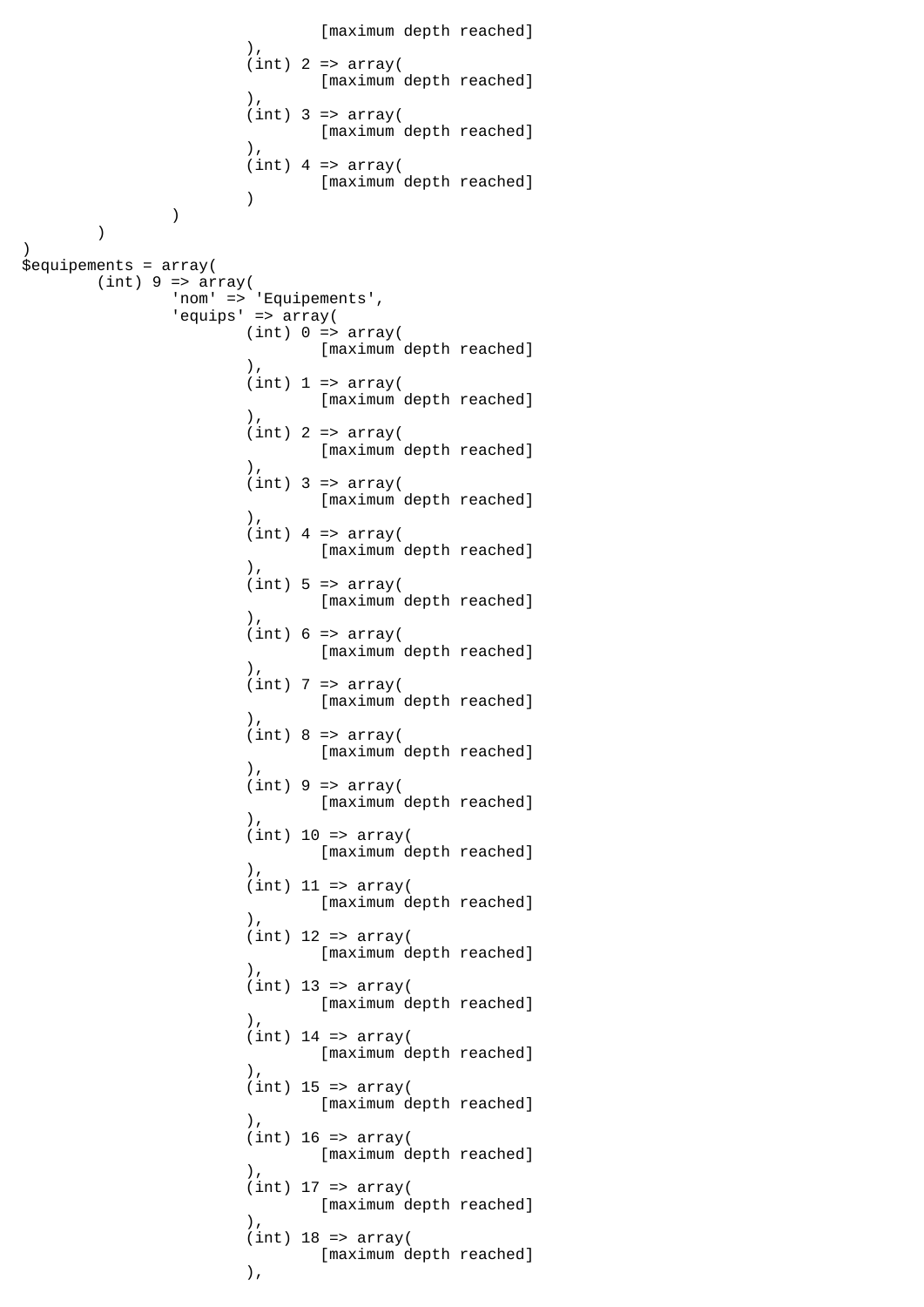```
[maximum depth reached]<br>(),
\,), \,(int) 2 => array( [maximum depth reached]
\,), \,(int) 3 => array([maximum depth reached]
\,), \,(int) 4 => array(
                   [maximum depth reached]
 )
 )
       )
)
$equipements = array(
      (int) 9 \Rightarrow array( 'nom' => 'Equipements',
             'equips' => array(
                  (int) 0 \Rightarrow array( [maximum depth reached]
\,), \,(int) 1 \Rightarrow array( [maximum depth reached]
\,), \,(int) 2 => array([maximum depth reached]
\,), \,(int) 3 => array( [maximum depth reached]
\,), \,(int) 4 => array( [maximum depth reached]
\,), \,(int) 5 \Rightarrow array( [maximum depth reached]
\,), \,(int) 6 \Rightarrow array([maximum depth reached]<br>(
\,), \,(int) 7 => array( [maximum depth reached]
\,), \,(int) 8 \Rightarrow array( [maximum depth reached]
\,), \,(int) 9 \Rightarrow array( [maximum depth reached]
\,), \,(int) 10 \Rightarrow array( [maximum depth reached]
\,), \,(int) 11 => array( [maximum depth reached]
\,), \,(int) 12 => array( [maximum depth reached]
\,), \,(int) 13 => array( [maximum depth reached]
\,), \,(int) 14 => array( [maximum depth reached]
\,), \,(int) 15 => array( [maximum depth reached]
\,), \,(int) 16 => array( [maximum depth reached]
\,), \,(int) 17 => array( [maximum depth reached]
\,), \,(int) 18 => array(
                         [maximum depth reached]
\,), \,
```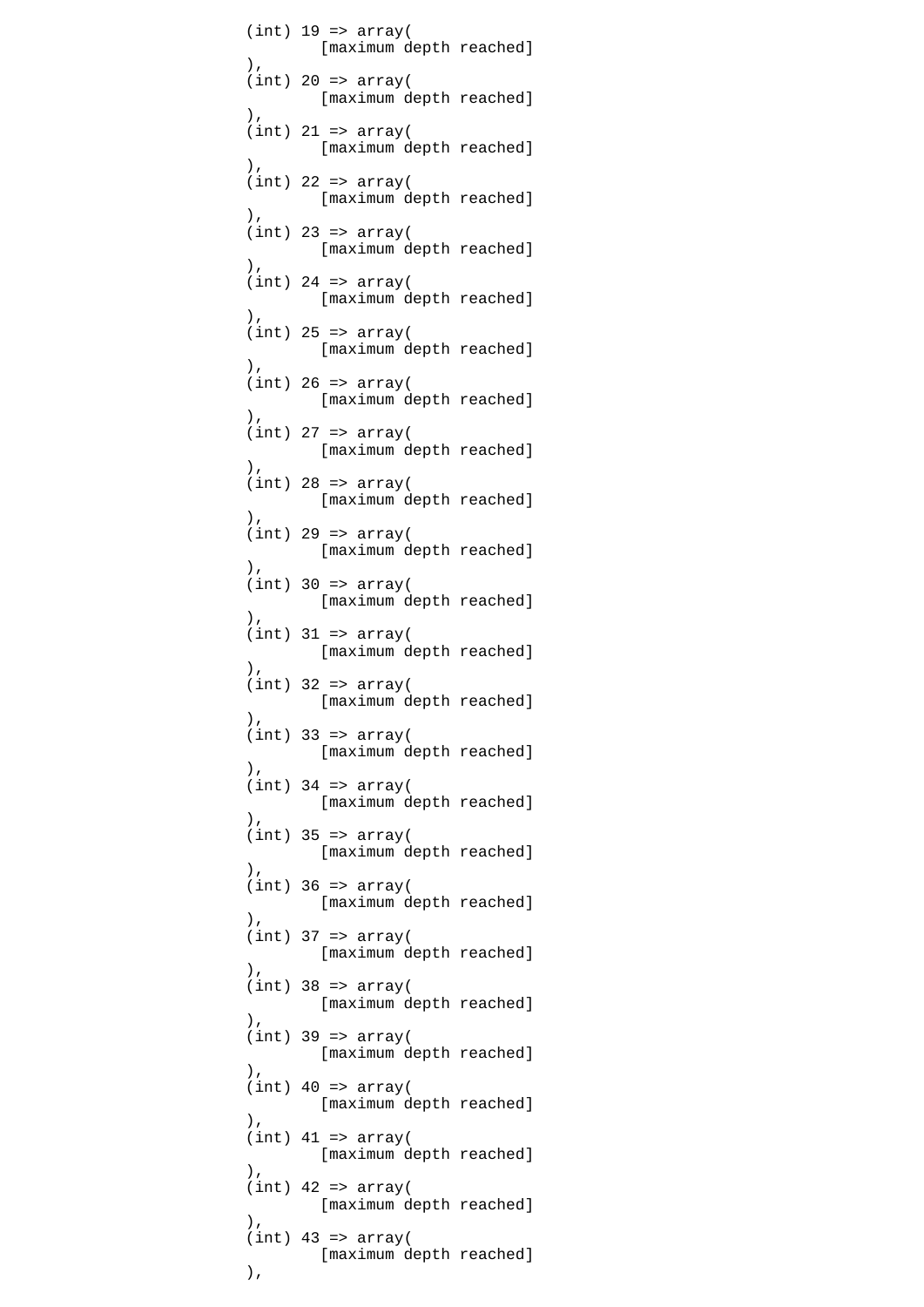$(int)$  19 =>  $array($  [maximum depth reached]  $\,$ ),  $\,$  $(int)$  20 =>  $array($  [maximum depth reached]  $\,$ ),  $\,$  $(int)$  21 => array( [maximum depth reached]  $\,$ ),  $\,$  $(int)$  22 =>  $array($  [maximum depth reached] ),  $\overline{\phantom{a}}$  $(int)$  23 =>  $array($  [maximum depth reached]  $\,$ ),  $\,$  $(int)$  24 =>  $array($  [maximum depth reached]  $\,$ ),  $\,$  $(int)$  25 => array( [maximum depth reached]  $\,$ ),  $\,$  $(int)$  26 => array( [maximum depth reached]  $\,$ ),  $\,$  $(int)$  27 =>  $array($  [maximum depth reached]  $\,$ ),  $\,$  $(int)$  28 => array( [maximum depth reached]  $\,$ ),  $\,$  $(int)$  29 =>  $array($  [maximum depth reached]  $\,$ ),  $\,$  $(int)$  30 =>  $array($  [maximum depth reached]  $\,$ ),  $\,$  $(int)$  31 =>  $array($ [maximum depth reached]<br>(  $\,$ ),  $\,$  $(int)$  32 =>  $array($  [maximum depth reached]  $\,$ ),  $\,$  $(int)$  33 => array( [maximum depth reached]  $\,$ ),  $\,$  $(int)$  34 =>  $array($  [maximum depth reached]  $\,$ ),  $\,$  $(int)$  35 => array( [maximum depth reached]  $\,$ ),  $\,$  $(int)$  36 =>  $array($  [maximum depth reached]  $\,$ ),  $\,$  $(int)$  37 =>  $array($  [maximum depth reached]  $\,$ ),  $\,$  $(int)$  38 =>  $array($  [maximum depth reached]  $\,$ ),  $\,$  $(int)$  39 =>  $array($  [maximum depth reached]  $\,$ ),  $\,$  $(int)$  40 =>  $array($  [maximum depth reached]  $\,$ ),  $\,$  $(int)$  41 =>  $array($  [maximum depth reached]  $\,$ ),  $\,$  $(int)$  42 =>  $array($  [maximum depth reached]  $\,$ ),  $\,$  $(int)$  43 => array( [maximum depth reached]  $\,$ ),  $\,$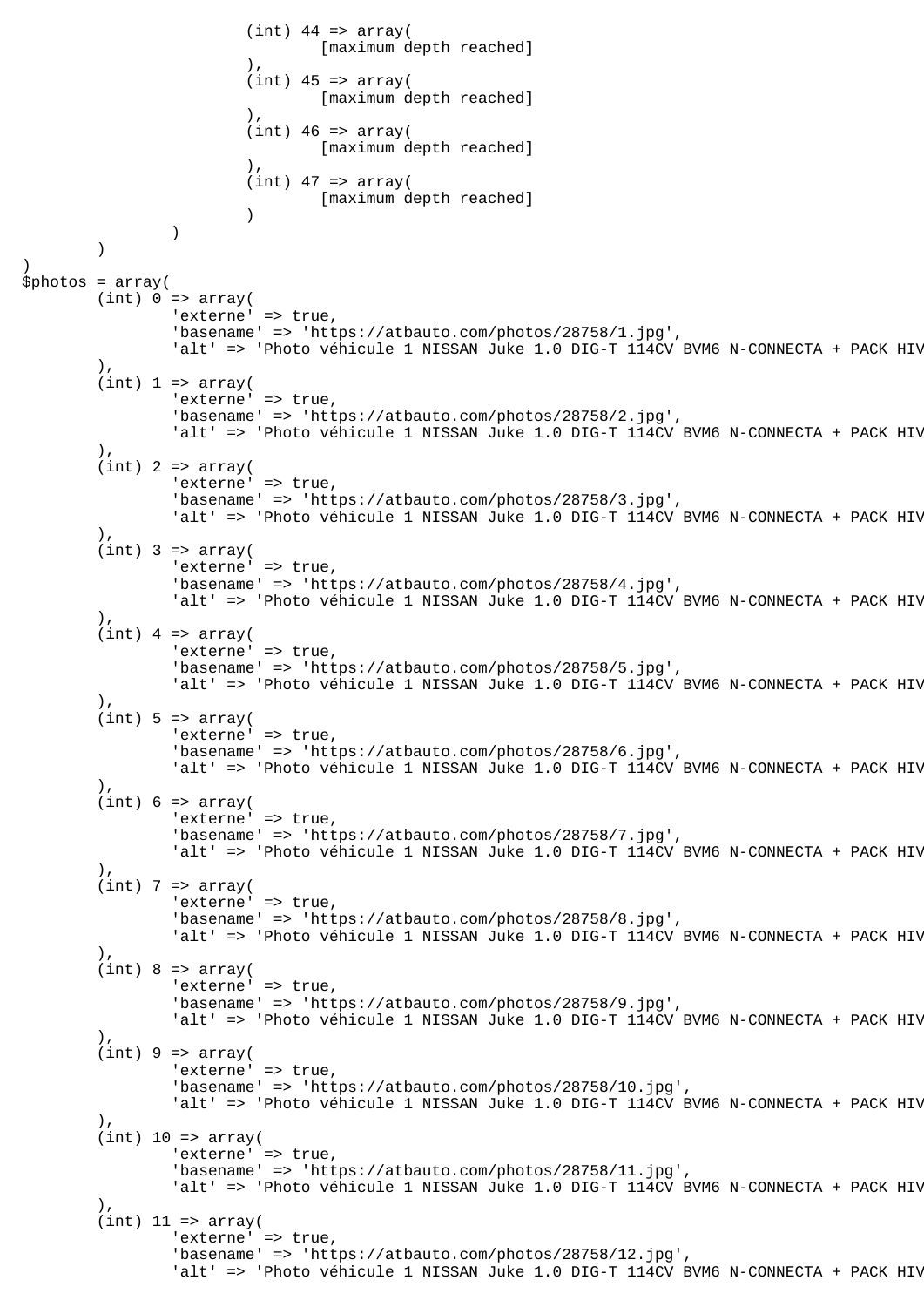```
(int) 44 => array(
                                 [maximum depth reached]
\,), \,(int) 45 => array( [maximum depth reached]
\,), \,(int) 46 \Rightarrow array( [maximum depth reached]
\,), \,(int) 47 => array(
                        [maximum depth reached]<br>)
 )
) )
)
$photos = array(
        (int) 0 \Rightarrow array( 'externe' => true,
                 'basename' => 'https://atbauto.com/photos/28758/1.jpg',
                'alt' => 'Photo véhicule 1 NISSAN Juke 1.0 DIG-T 114CV BVM6 N-CONNECTA + PACK HIV
         ),
        (int) 1 \Rightarrow array('externe' => true,
                 'basename' => 'https://atbauto.com/photos/28758/2.jpg',
                'alt' => 'Photo véhicule 1 NISSAN Juke 1.0 DIG-T 114CV BVM6 N-CONNECTA + PACK HIV
         ),
        (int) 2 => array('externe' => true,
                 'basename' => 'https://atbauto.com/photos/28758/3.jpg',
                'alt' => 'Photo véhicule 1 NISSAN Juke 1.0 DIG-T 114CV BVM6 N-CONNECTA + PACK HIV
         ),
        (int) 3 => array('externe' => true,
                 'basename' => 'https://atbauto.com/photos/28758/4.jpg',
                'alt' => 'Photo véhicule 1 NISSAN Juke 1.0 DIG-T 114CV BVM6 N-CONNECTA + PACK HIV
         ),
        (int) 4 => array('externe' => true,
                 'basename' => 'https://atbauto.com/photos/28758/5.jpg',
                'alt' => 'Photo véhicule 1 NISSAN Juke 1.0 DIG-T 114CV BVM6 N-CONNECTA + PACK HIV
        ).
        (int) 5 \Rightarrow array('externe' => true,
                 'basename' => 'https://atbauto.com/photos/28758/6.jpg',
                'alt' => 'Photo véhicule 1 NISSAN Juke 1.0 DIG-T 114CV BVM6 N-CONNECTA + PACK HIV
         ),
        (int) 6 \Rightarrow array('externe' => true,
                 'basename' => 'https://atbauto.com/photos/28758/7.jpg',
                'alt' => 'Photo véhicule 1 NISSAN Juke 1.0 DIG-T 114CV BVM6 N-CONNECTA + PACK HIV
 ),
        (int) 7 => array('externe' => true,
                 'basename' => 'https://atbauto.com/photos/28758/8.jpg',
                'alt' => 'Photo véhicule 1 NISSAN Juke 1.0 DIG-T 114CV BVM6 N-CONNECTA + PACK HIV
         ),
        (int) 8 \Rightarrow array('externe' => true,
                 'basename' => 'https://atbauto.com/photos/28758/9.jpg',
                'alt' => 'Photo véhicule 1 NISSAN Juke 1.0 DIG-T 114CV BVM6 N-CONNECTA + PACK HIV
        ).
        (int) 9 \Rightarrow array('externe' => true,
                 'basename' => 'https://atbauto.com/photos/28758/10.jpg',
                'alt' => 'Photo véhicule 1 NISSAN Juke 1.0 DIG-T 114CV BVM6 N-CONNECTA + PACK HIV
         ),
        (int) 10 \Rightarrow array('externe' => true,
                 'basename' => 'https://atbauto.com/photos/28758/11.jpg',
                'alt' => 'Photo véhicule 1 NISSAN Juke 1.0 DIG-T 114CV BVM6 N-CONNECTA + PACK HIV
         ),
        (int) 11 => array('externe' => true,
                 'basename' => 'https://atbauto.com/photos/28758/12.jpg',
                'alt' => 'Photo véhicule 1 NISSAN Juke 1.0 DIG-T 114CV BVM6 N-CONNECTA + PACK HIV
```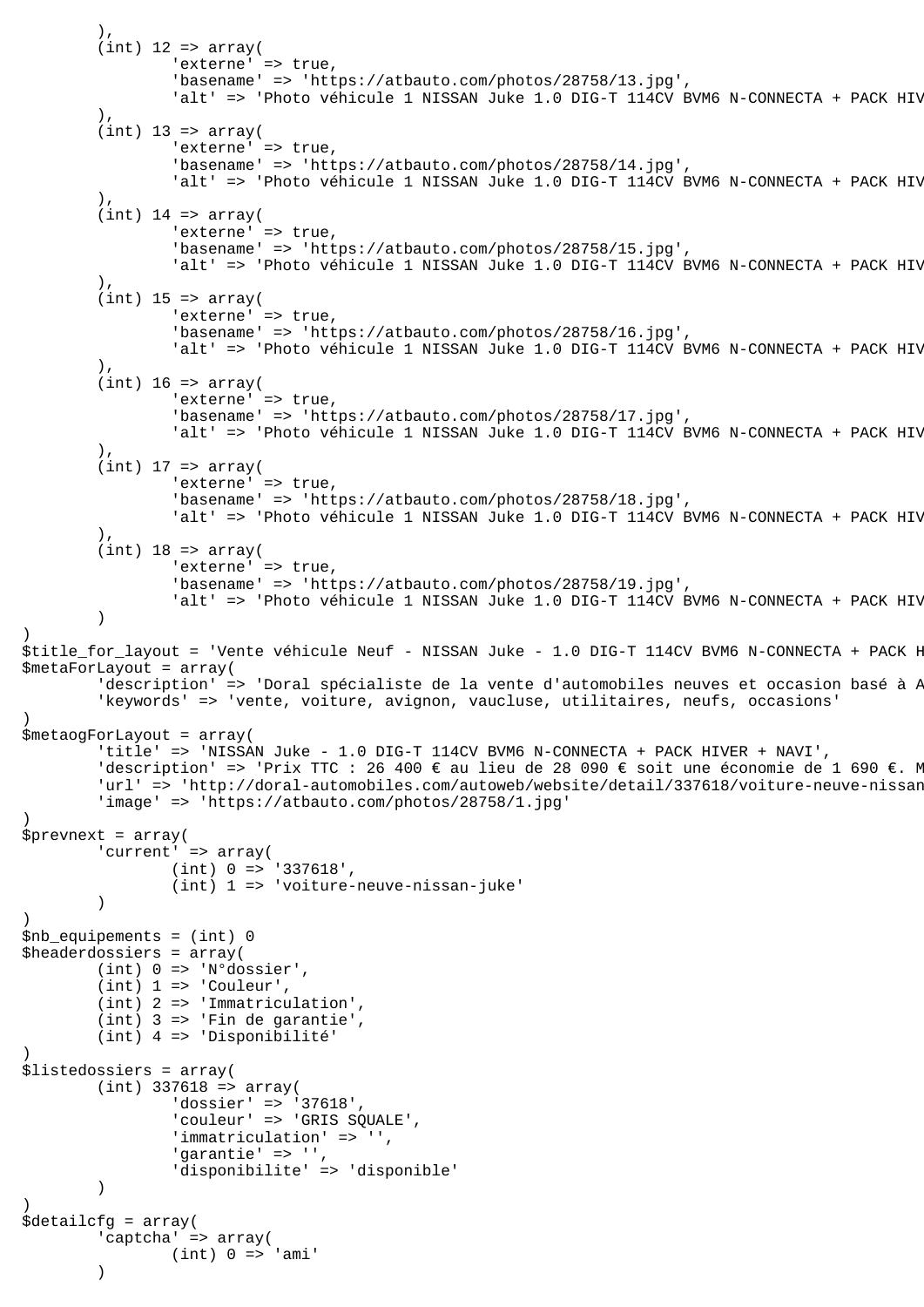```
 ),
        (int) 12 => array(
                'externe' => true,
                 'basename' => 'https://atbauto.com/photos/28758/13.jpg',
                'alt' => 'Photo véhicule 1 NISSAN Juke 1.0 DIG-T 114CV BVM6 N-CONNECTA + PACK HIV
         ),
        (int) 13 => array(
                 'externe' => true,
                 'basename' => 'https://atbauto.com/photos/28758/14.jpg',
                'alt' => 'Photo véhicule 1 NISSAN Juke 1.0 DIG-T 114CV BVM6 N-CONNECTA + PACK HIV
 ),
        (int) 14 => array(
                'externe' => true,
                 'basename' => 'https://atbauto.com/photos/28758/15.jpg',
                'alt' => 'Photo véhicule 1 NISSAN Juke 1.0 DIG-T 114CV BVM6 N-CONNECTA + PACK HIV
        ).
        (int) 15 => array(
                'externe' => true,
                 'basename' => 'https://atbauto.com/photos/28758/16.jpg',
                'alt' => 'Photo véhicule 1 NISSAN Juke 1.0 DIG-T 114CV BVM6 N-CONNECTA + PACK HIV
 ),
        (int) 16 => array(
                'externe' => true,
                 'basename' => 'https://atbauto.com/photos/28758/17.jpg',
                'alt' => 'Photo véhicule 1 NISSAN Juke 1.0 DIG-T 114CV BVM6 N-CONNECTA + PACK HIV
 ),
        (int) 17 \Rightarrow array('externe' => true,
                 'basename' => 'https://atbauto.com/photos/28758/18.jpg',
                'alt' => 'Photo véhicule 1 NISSAN Juke 1.0 DIG-T 114CV BVM6 N-CONNECTA + PACK HIV
         ),
        (int) 18 => array(
                'externe' => true,
                 'basename' => 'https://atbauto.com/photos/28758/19.jpg',
                'alt' => 'Photo véhicule 1 NISSAN Juke 1.0 DIG-T 114CV BVM6 N-CONNECTA + PACK HIV
\overline{\phantom{a}})
$title_for_layout = 'Vente véhicule Neuf - NISSAN Juke - 1.0 DIG-T 114CV BVM6 N-CONNECTA + PACK H
$metaForLayout = array(
        'description' => 'Doral spécialiste de la vente d'automobiles neuves et occasion basé à P
         'keywords' => 'vente, voiture, avignon, vaucluse, utilitaires, neufs, occasions'
)
$metaogForLayout = array(
         'title' => 'NISSAN Juke - 1.0 DIG-T 114CV BVM6 N-CONNECTA + PACK HIVER + NAVI',
        'description' => 'Prix TTC : 26 400 € au lieu de 28 090 € soit une économie de 1 690 €. M
        'url' => 'http://doral-automobiles.com/autoweb/website/detail/337618/voiture-neuve-nissan
         'image' => 'https://atbauto.com/photos/28758/1.jpg'
)
$prevnext = array(
         'current' => array(
                 (int) 0 => '337618',
                 (int) 1 => 'voiture-neuve-nissan-juke'
         )
)
$nb_equipements = (int) 0
$headerdossiers = array(
         (int) 0 => 'N°dossier',
         (int) 1 => 'Couleur',
         (int) 2 => 'Immatriculation',
         (int) 3 => 'Fin de garantie',
         (int) 4 => 'Disponibilité'
)
$listedossiers = array(
        (int) 337618 => array(
                'dossier' => '37618',
                 'couleur' => 'GRIS SQUALE',
                 'immatriculation' => '',
                 'garantie' => '',
                 'disponibilite' => 'disponible'
         )
)
$detailcfg = array(
         'captcha' => array(
                (int) 0 \Rightarrow 'ami' )
```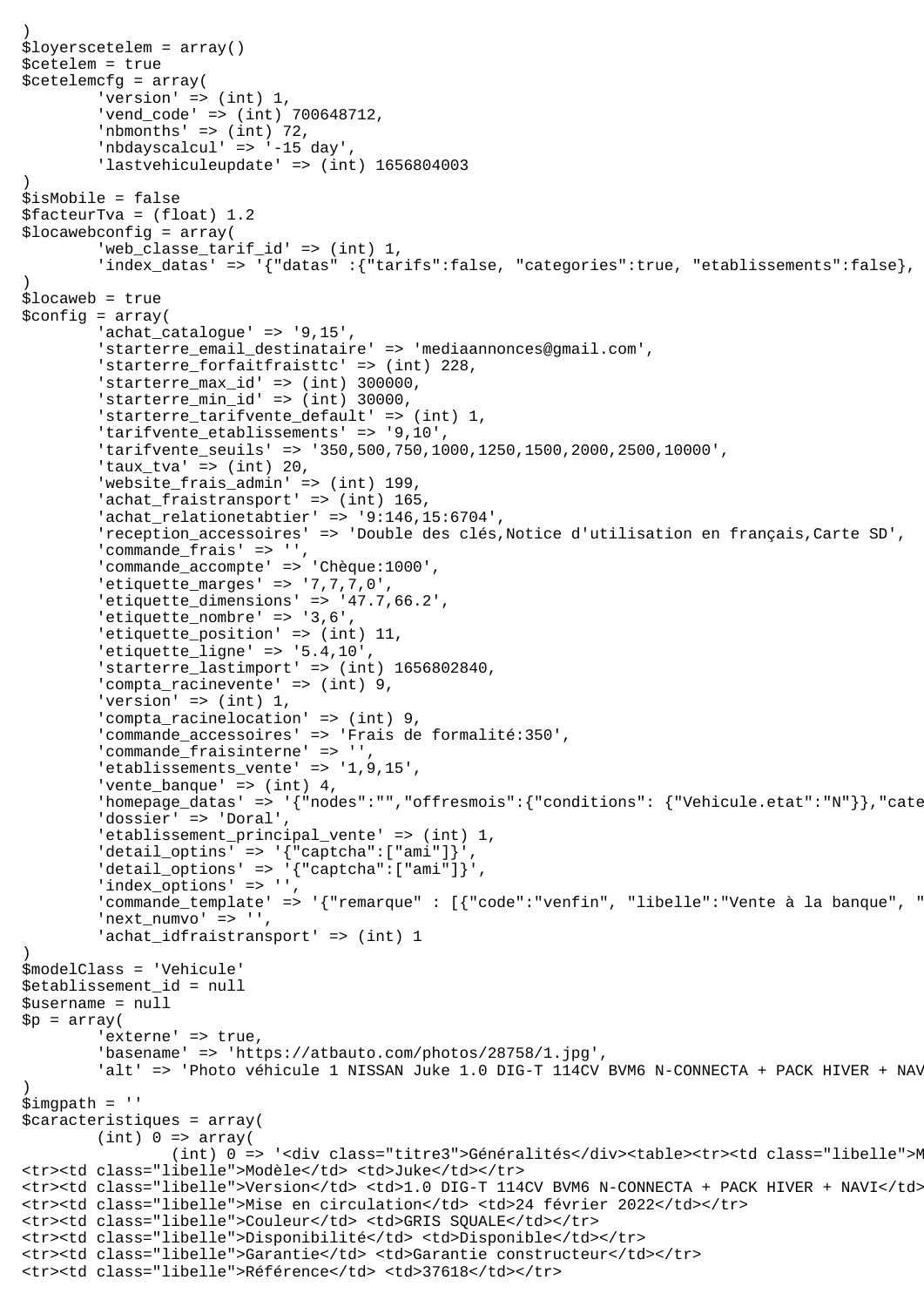```
)
$loyerscetelem = array()
$cetelem = true
$cetelemcfg = array(
        'version' \Rightarrow (int) 1,
         'vend_code' => (int) 700648712,
        'nbmonths' => (int) 72,
         'nbdayscalcul' => '-15 day',
         'lastvehiculeupdate' => (int) 1656804003
)
$isMobile = false
$facteurTva = (float) 1.2
$locawebconfig = array(
        'web classe tarif id' => (int) 1,
        'index datas' => '{"datas" :{"tarifs":false, "categories":true, "etablissements":false},
)
$locaweb = true
$confiq = array( 'achat_catalogue' => '9,15',
         'starterre_email_destinataire' => 'mediaannonces@gmail.com',
        'starterre forfaitfraisttc' => (int) 228,
        'starterre_max_id' => (int) 300000,
        'starterremin_id' => (int) 30000,
         'starterre_tarifvente_default' => (int) 1,
         'tarifvente_etablissements' => '9,10',
         'tarifvente_seuils' => '350,500,750,1000,1250,1500,2000,2500,10000',
        'taux tva' => (int) 20,
         'website_frais_admin' => (int) 199,
        'achat_fraistransport' => (int) 165,
         'achat_relationetabtier' => '9:146,15:6704',
         'reception_accessoires' => 'Double des clés,Notice d'utilisation en français,Carte SD',
        'commande_frais' => '',
         'commande_accompte' => 'Chèque:1000',
         'etiquette_marges' => '7,7,7,0',
         'etiquette_dimensions' => '47.7,66.2',
         'etiquette_nombre' => '3,6',
         'etiquette_position' => (int) 11,
        'etiquette\_ligne' => '5.4,10' 'starterre_lastimport' => (int) 1656802840,
         'compta_racinevente' => (int) 9,
        'version' \Rightarrow (int) 1,
        'compta racinelocation' => (int) 9,
         'commande_accessoires' => 'Frais de formalité:350',
         'commande_fraisinterne' => '',
         'etablissements_vente' => '1,9,15',
        'vente_banque' => (int) 4,'homepage_datas' => '{"nodes":"","offresmois":{"conditions": {"Vehicule.etat":"N"}},"cate
         'dossier' => 'Doral',
        'etablissement principal vente' => (int) 1,
        'detail_optins' => '{"captcha":["ami"]}'delta1\_options' => '("caption': ['''an'']',
        'index_options' => '',
        " commande_template' => '{"remarque" : [{"code":"venfin", "libelle":"Vente à la banque", "
        'next_numvo' => '',
         'achat_idfraistransport' => (int) 1
)
$modelClass = 'Vehicule'
$etablissement_id = null
$username = null
$p = array('externe' => true,
         'basename' => 'https://atbauto.com/photos/28758/1.jpg',
        'alt' => 'Photo véhicule 1 NISSAN Juke 1.0 DIG-T 114CV BVM6 N-CONNECTA + PACK HIVER + NAV
)
$imgpath = ''
$caracteristiques = array(
        (int) 0 \Rightarrow array((int) 0 => '<div class="titre3">Généralités</div><table><tr>><td class="libelle">M
<tr>>ttr><td class="libelle">Modèle</td> <td>Juke</td></tr>
<tr><td class="libelle">Version</td> <td>1.0 DIG-T 114CV BVM6 N-CONNECTA + PACK HIVER + NAVI</td></tr>
<tr><td class="libelle">Mise en circulation</td> <td>24 février 2022</td></tr>
<tr><td class="libelle">Couleur</td> <td>GRIS SQUALE</td></tr>
<tr><td class="libelle">Disponibilité</td> <td>Disponible</td></tr>
<tr><td class="libelle">Garantie</td> <td>Garantie constructeur</td></tr>
<tr>>ttr><td class="libelle">Référence</td> <td>37618</td></tr>
```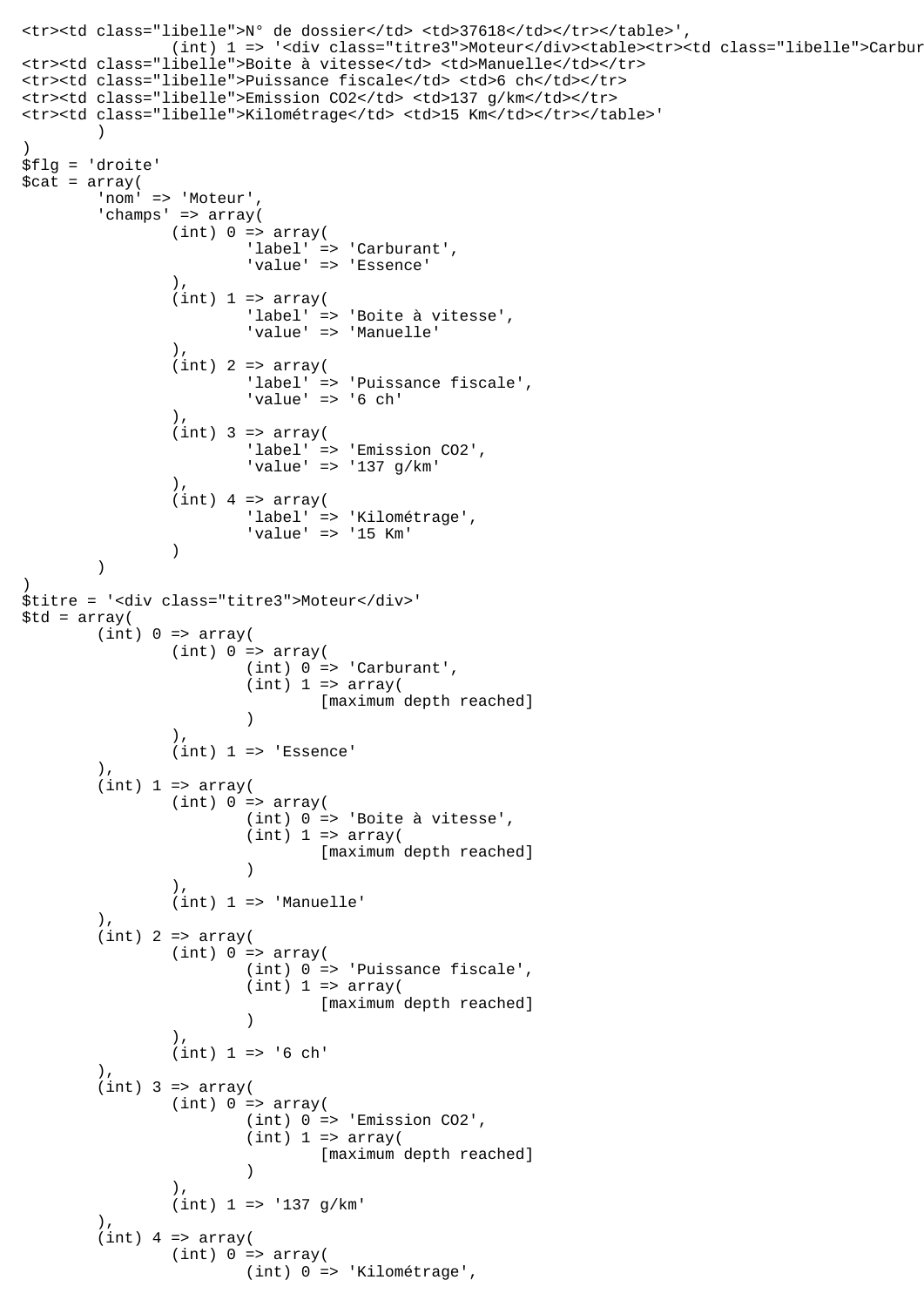```
<tr><td class="libelle">N° de dossier</td> <td>37618</td></tr></table>',
               (int) 1 => '<div class="titre3">Moteur</div><table><tr><td class="libelle">Carbur
<tr><td class="libelle">Boite à vitesse</td> <td>Manuelle</td></tr>
<tr><td class="libelle">Puissance fiscale</td> <td>6 ch</td></tr>
<tr><td class="libelle">Emission CO2</td> <td>137 g/km</td></tr>
<tr><td class="libelle">Kilométrage</td> <td>15 Km</td></tr></table>'
\overline{\phantom{a}})
$flg = 'droite'
$cat = array('nom' => 'Moteur'
        'champs' => array(
               (int) 0 \Rightarrow array( 'label' => 'Carburant',
                        'value' => 'Essence'
 ),
               (int) 1 \Rightarrow array( 'label' => 'Boite à vitesse',
                        'value' => 'Manuelle'
 ),
               (int) 2 => array( 'label' => 'Puissance fiscale',
 'value' => '6 ch'
 ),
               (int) 3 => array( 'label' => 'Emission CO2',
                        'value' => '137 g/km'
 ),
               (int) 4 => array( 'label' => 'Kilométrage',
                'value' => '15 Km'
 )
        )
)
$titre = '<div class="titre3">Moteur</div>'
$td = array((int) 0 \Rightarrow array((int) 0 \Rightarrow array((int) 0 \Rightarrow 'Carburant',(int) 1 \Rightarrow array( [maximum depth reached]
 )
 ),
               (int) 1 \Rightarrow 'Essence' ),
       (int) 1 \Rightarrow array((int) 0 \Rightarrow array( (int) 0 => 'Boite à vitesse',
                       (int) 1 \Rightarrow array( [maximum depth reached]
 )
                ),
                (int) 1 => 'Manuelle'
        ),
       (int) 2 => array((int) 0 \Rightarrow array( (int) 0 => 'Puissance fiscale',
                       (int) 1 \Rightarrow array( [maximum depth reached]
 )
 ),
                (int) 1 => '6 ch'
 ),
       (int) 3 => array((int) 0 \Rightarrow array( (int) 0 => 'Emission CO2',
                       (int) 1 \Rightarrow array( [maximum depth reached]
 )
\,), \,(int) 1 => '137 g/km' ),
       (int) 4 => array(
               (int) 0 \Rightarrow array( (int) 0 => 'Kilométrage',
```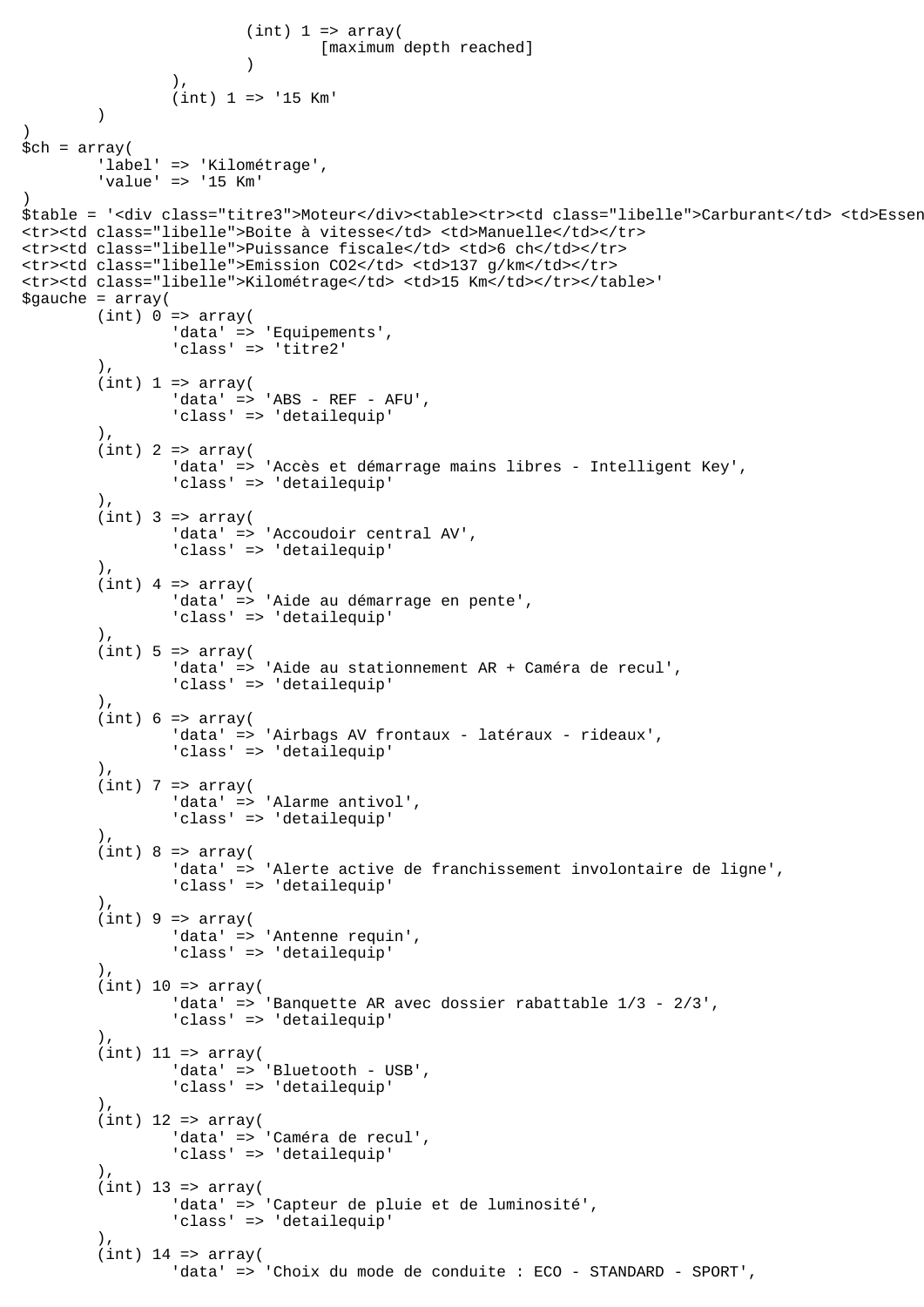```
(int) 1 \Rightarrow array( [maximum depth reached]
 )
 ),
                (int) 1 = > '15 Km'
\overline{\phantom{a}})
$ch = array( 'label' => 'Kilométrage',
         'value' => '15 Km'
)
$table = '<div class="titre3">Moteur</div><table><tr>><td class="libelle">Carburant</td> <td>Essen
<tr><td class="libelle">Boite à vitesse</td> <td>Manuelle</td></tr>
<tr><td class="libelle">Puissance fiscale</td> <td>6 ch</td></tr>
<tr><td class="libelle">Emission CO2</td> <td>137 g/km</td></tr>
<tr><td class="libelle">Kilométrage</td> <td>15 Km</td></tr></table>'
space = array((int) 0 \Rightarrow array('data' => 'Equipements',
                 'class' => 'titre2'
         ),
        (int) 1 \Rightarrow array( 'data' => 'ABS - REF - AFU',
 'class' => 'detailequip'
         ),
        (int) 2 \Rightarrow array( 'data' => 'Accès et démarrage mains libres - Intelligent Key',
                 'class' => 'detailequip'
         ),
        (int) 3 => array('data' => 'Accoudoir central AV',
                 'class' => 'detailequip'
         ),
        (int) 4 => array('data' => 'Aide au démarrage en pente',
                  'class' => 'detailequip'
         ),
        (int) 5 \Rightarrow array( 'data' => 'Aide au stationnement AR + Caméra de recul',
                  'class' => 'detailequip'
        ).
        (int) 6 \Rightarrow array( 'data' => 'Airbags AV frontaux - latéraux - rideaux',
                 'class' => 'detailequip'
         ),
        (int) 7 => array('data' => 'Alarme antivol',
                  'class' => 'detailequip'
         ),
        (int) 8 \Rightarrow array( 'data' => 'Alerte active de franchissement involontaire de ligne',
                  'class' => 'detailequip'
 ),
        (int) 9 \Rightarrow array( 'data' => 'Antenne requin',
                 'class' => 'detailequip'
         ),
        (int) 10 => array( 'data' => 'Banquette AR avec dossier rabattable 1/3 - 2/3',
                 'class' => 'detailequip'
        ),
        (int) 11 => array('data' => 'Bluetooth - USB',
                  'class' => 'detailequip'
 ),
        (int) 12 => array(
                 'data' => 'Caméra de recul',
                  'class' => 'detailequip'
        \lambda.
        (int) 13 => array( 'data' => 'Capteur de pluie et de luminosité',
                 'class' => 'detailequip'
         ),
        (int) 14 => array(
                 'data' => 'Choix du mode de conduite : ECO - STANDARD - SPORT',
```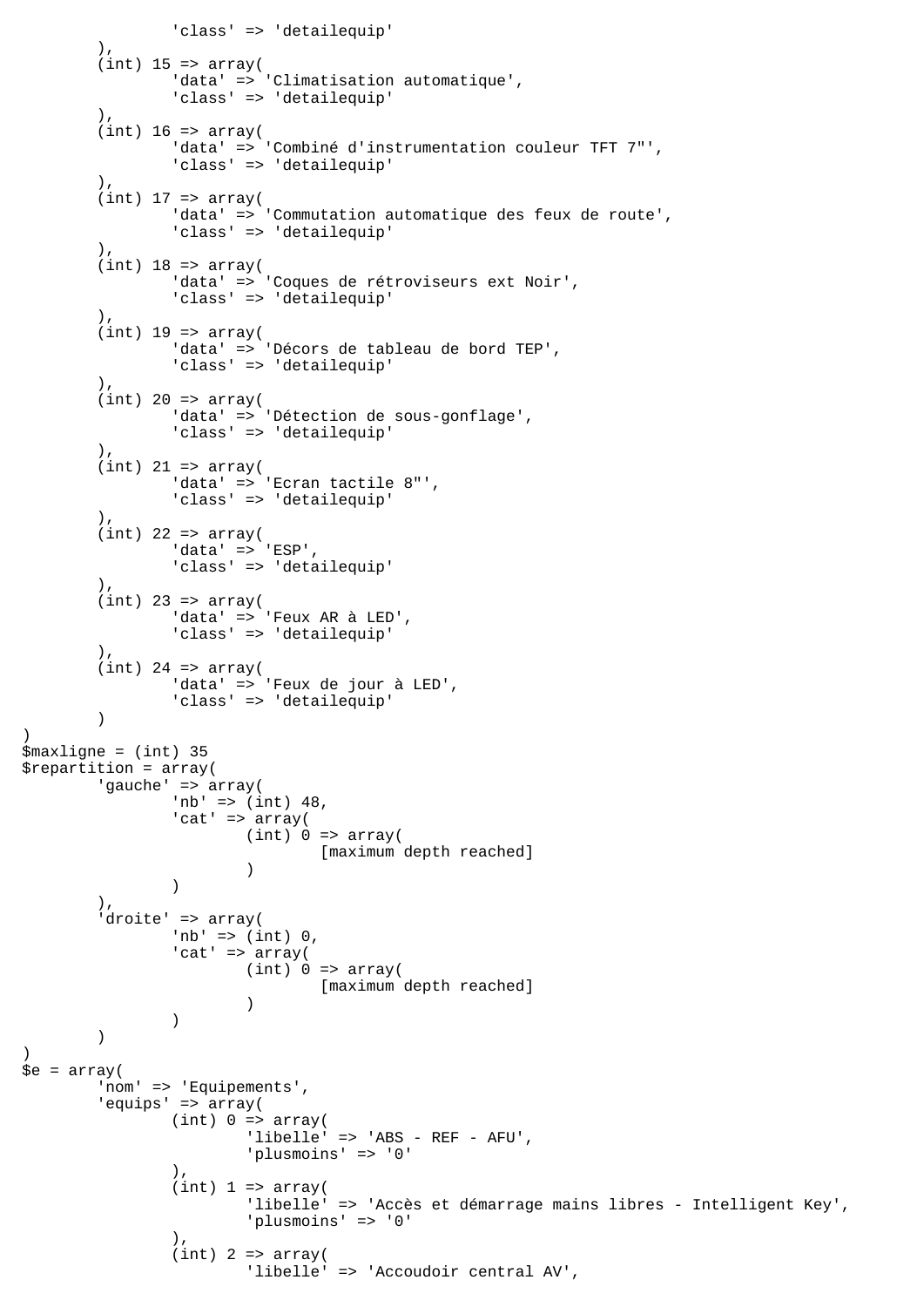```
 'class' => 'detailequip'
         ),
        (int) 15 => array( 'data' => 'Climatisation automatique',
                 'class' => 'detailequip'
         ),
        (int) 16 \Rightarrow array( 'data' => 'Combiné d'instrumentation couleur TFT 7"',
                 'class' => 'detailequip'
         ),
        (int) 17 => array(
                 'data' => 'Commutation automatique des feux de route',
                 'class' => 'detailequip'
         ),
        (int) 18 => array(
                 'data' => 'Coques de rétroviseurs ext Noir',
                 'class' => 'detailequip'
         ),
        (int) 19 => array('data' => 'Décors de tableau de bord TEP',
                 'class' => 'detailequip'
         ),
        (int) 20 => array( 'data' => 'Détection de sous-gonflage',
                 'class' => 'detailequip'
        \left( \right)(int) 21 => array(
                'data' => 'Ecran tactile 8"',
                 'class' => 'detailequip'
         ),
        (int) 22 => array('data' => 'ESP',
                 'class' => 'detailequip'
        \lambda.
        (int) 23 => array('data' => 'Feux AR à LED',
                 'class' => 'detailequip'
         ),
        (int) 24 => array('data' => 'Feux de jour à LED',
                 'class' => 'detailequip'
         )
)
$maxligne = (int) 35
$repartition = array(
         'gauche' => array(
                 'nb' => (int) 48,
                'cat' => array(
                        (int) 0 \Rightarrow array( [maximum depth reached]
 )
 )
         ),
         'droite' => array(
                'nb' => (int) 0,
                'cat' => array(
                        (int) 0 \Rightarrow array( [maximum depth reached]
 )
)\overline{\phantom{a}})
\text{se} = \text{array}(
         'nom' => 'Equipements',
         'equips' => array(
                (int) 0 \Rightarrow array('libelle' => 'ABS - REF - AFU',
                          'plusmoins' => '0'
 ),
                (int) 1 \Rightarrow array( 'libelle' => 'Accès et démarrage mains libres - Intelligent Key',
                          'plusmoins' => '0'
 ),
                (int) 2 => array( 'libelle' => 'Accoudoir central AV',
```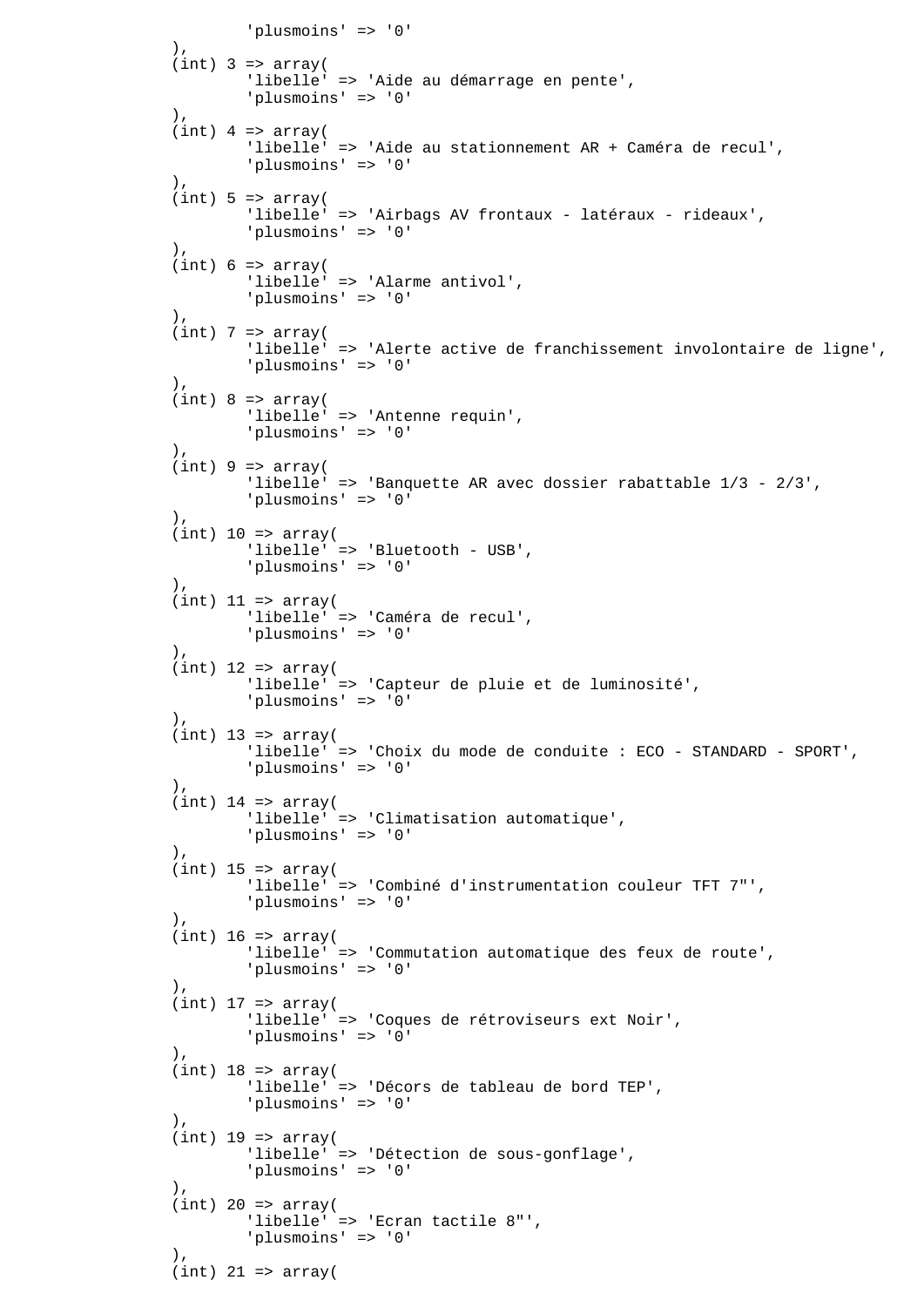```
'plusmoins' => '0'),
 ),
               (int) 3 => array( 'libelle' => 'Aide au démarrage en pente',
                       'plusmoins' => '0'
 ),
               (int) 4 => array( 'libelle' => 'Aide au stationnement AR + Caméra de recul',
                       'plusmoins' => '0'
               ),
               (int) 5 \Rightarrow array('libelle' => 'Airbags AV frontaux - latéraux - rideaux',
                       'plusmoins' => '0'
\, ), \,(int) 6 \Rightarrow array( 'libelle' => 'Alarme antivol',
                       'plusmoins' => '0'
 ),
               (int) 7 => array( 'libelle' => 'Alerte active de franchissement involontaire de ligne',
                       'plusmoins' => '0'
                ),
               (int) 8 \Rightarrow array( 'libelle' => 'Antenne requin',
                       'plusmoins' => '0'
\, ), \,(int) 9 \Rightarrow array( 'libelle' => 'Banquette AR avec dossier rabattable 1/3 - 2/3',
                       'plusmoins' => '0'
\, ), \,(int) 10 => array( 'libelle' => 'Bluetooth - USB',
                       'plusmoins' => '0'
 ),
               (int) 11 => array( 'libelle' => 'Caméra de recul',
                       'plusmoins' => '0'
\, ), \,(int) 12 => array(
                       'libelle' => 'Capteur de pluie et de luminosité',
                       'plusmoins' => '0'
\, ), \,(int) 13 => array(
                       'libelle' => 'Choix du mode de conduite : ECO - STANDARD - SPORT',
                       'plusmoins' => '0'
                ),
               (int) 14 => array(
                       'libelle' => 'Climatisation automatique',
                       'plusmoins' => '0'
 ),
               (int) 15 => array(
                       'libelle' => 'Combiné d'instrumentation couleur TFT 7"',
                       'plusmoins' => '0'
\,), \,(int) 16 => array( 'libelle' => 'Commutation automatique des feux de route',
                       'plusmoins' => '0'
\, ), \,(int) 17 => array(
                       'libelle' => 'Coques de rétroviseurs ext Noir',
                       'plusmoins' => '0'
\, ), \,(int) 18 => array( 'libelle' => 'Décors de tableau de bord TEP',
                       'plusmoins' => '0'
 ),
               (int) 19 => array(
                       'libelle' => 'Détection de sous-gonflage',
                       'plusmoins' => '0'
\,), \,(int) 20 => array( 'libelle' => 'Ecran tactile 8"',
                       'plusmoins' => '0'
\, ), \,(int) 21 => array(
```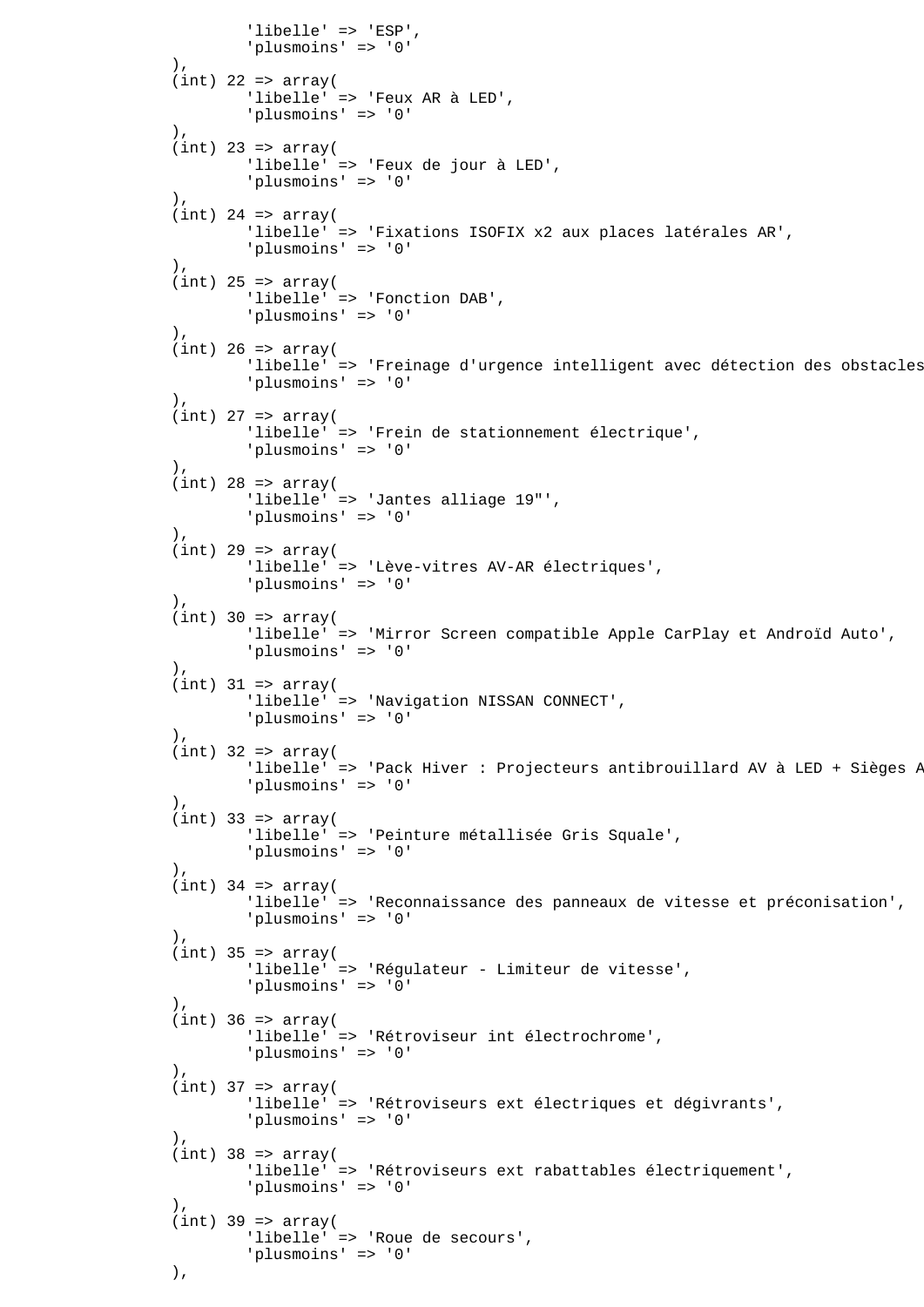```
 'libelle' => 'ESP',
                        'plusmoins' => '0'
 ),
               (int) 22 => array(
                       'libelle' => 'Feux AR à LED',
                        'plusmoins' => '0'
                ),
               (int) 23 => array(
                       'libelle' => 'Feux de jour à LED',
                        'plusmoins' => '0'
\, ), \,(int) 24 => array(
                       'libelle' => 'Fixations ISOFIX x2 aux places latérales AR',
                        'plusmoins' => '0'
\, ), \,(int) 25 => array( 'libelle' => 'Fonction DAB',
                       'plusmoins' => '0'
 ),
               (int) 26 => array(
                      'libelle' => 'Freinage d'urgence intelligent avec détection des obstacles
                        'plusmoins' => '0'
                ),
               (int) 27 => array( 'libelle' => 'Frein de stationnement électrique',
               'plusmoins' => '0'),
\, ), \,(int) 28 => array( 'libelle' => 'Jantes alliage 19"',
                       'plusmoins' => '0'
                ),
               (int) 29 => array( 'libelle' => 'Lève-vitres AV-AR électriques',
                        'plusmoins' => '0'
\, ), \,(int) 30 => array( 'libelle' => 'Mirror Screen compatible Apple CarPlay et Androïd Auto',
                        'plusmoins' => '0'
                ),
               (int) 31 => array( 'libelle' => 'Navigation NISSAN CONNECT',
                        'plusmoins' => '0'
                ),
               (int) 32 => array('libelle' => 'Pack Hiver : Projecteurs antibrouillard AV à LED + Sièges P
                        'plusmoins' => '0'
\, ), \,(int) 33 => array( 'libelle' => 'Peinture métallisée Gris Squale',
                        'plusmoins' => '0'
\, ), \,(int) 34 => array(
                       'libelle' => 'Reconnaissance des panneaux de vitesse et préconisation',
                        'plusmoins' => '0'
 ),
               (int) 35 => array( 'libelle' => 'Régulateur - Limiteur de vitesse',
                        'plusmoins' => '0'
\, ), \,(int) 36 => array( 'libelle' => 'Rétroviseur int électrochrome',
                        'plusmoins' => '0'
\, ), \,(int) 37 => array(
                        'libelle' => 'Rétroviseurs ext électriques et dégivrants',
                        'plusmoins' => '0'
\, ), \,(int) 38 => array( 'libelle' => 'Rétroviseurs ext rabattables électriquement',
                       'plusmoins' => '0'
 ),
               (int) 39 => array( 'libelle' => 'Roue de secours',
                        'plusmoins' => '0'
                ),
```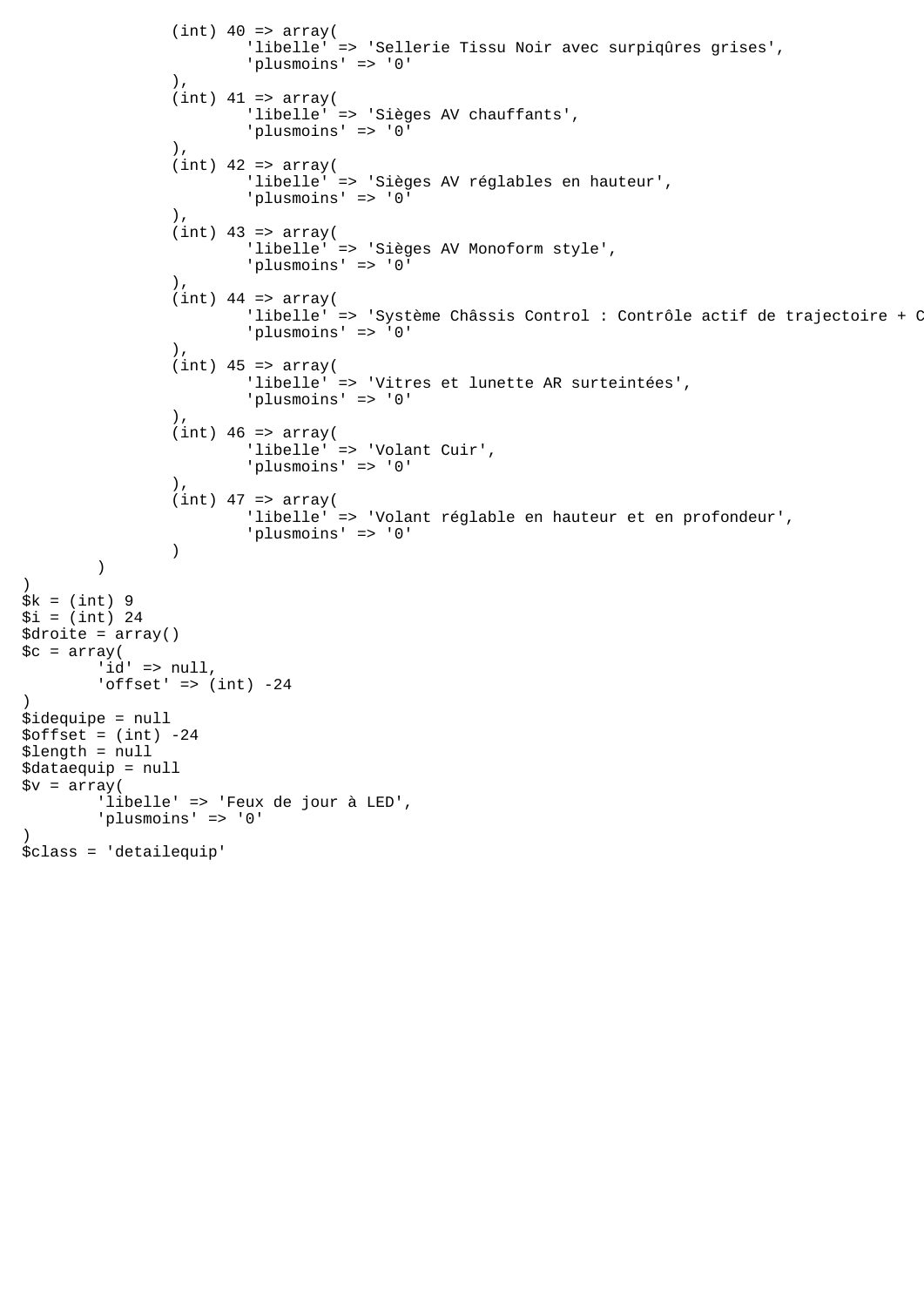```
(int) 40 => array( 'libelle' => 'Sellerie Tissu Noir avec surpiqûres grises',
                         'plusmoins' => '0'
                ),
                (int) 41 => array(
                         'libelle' => 'Sièges AV chauffants',
                         'plusmoins' => '0'
                ),
                (int) 42 => array( 'libelle' => 'Sièges AV réglables en hauteur',
                         'plusmoins' => '0'
                ),
                (int) 43 => array( 'libelle' => 'Sièges AV Monoform style',
                         'plusmoins' => '0'
\, ), \,(int) 44 => array('libelle' => 'Système Châssis Control : Contrôle actif de trajectoire + C
                         'plusmoins' => '0'
\, ), \,(int) 45 => array( 'libelle' => 'Vitres et lunette AR surteintées',
                         'plusmoins' => '0'
                 ),
               (int) 46 => array( 'libelle' => 'Volant Cuir',
                         'plusmoins' => '0'
 ),
               (int) 47 => array( 'libelle' => 'Volant réglable en hauteur et en profondeur',
                 'plusmoins' => '0'
 )
        )
$k = (int) 9$i = (int) 24$droite = array()
\zeta = array(
       id' => null,'offset' => (int) -24$idequipe = null
$offset = (int) -24$length = null
$dataequip = null
\gamma = \arctan(\theta) 'libelle' => 'Feux de jour à LED',
        'plusmoins' => '0'
$class = 'detailequip'
```
)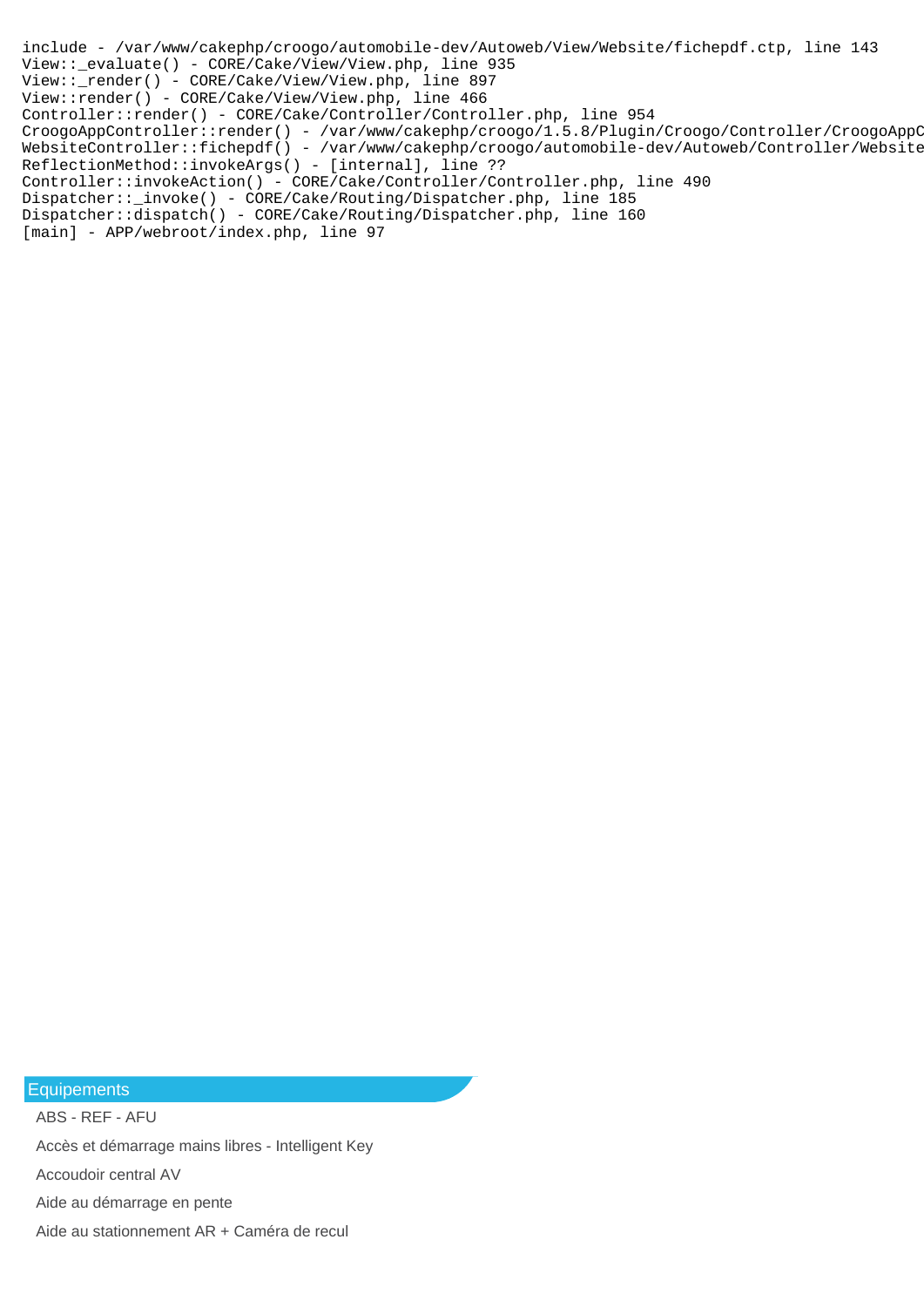```
include - /var/www/cakephp/croogo/automobile-dev/Autoweb/View/Website/fichepdf.ctp, line 143
View::_evaluate() - CORE/Cake/View/View.php, line 935
View::_render() - CORE/Cake/View/View.php, line 897
View::render() - CORE/Cake/View/View.php, line 466
Controller::render() - CORE/Cake/Controller/Controller.php, line 954
CroogoAppController::render() - /var/www/cakephp/croogo/1.5.8/Plugin/Croogo/Controller/CroogoAppC
WebsiteController::fichepdf() - /var/www/cakephp/croogo/automobile-dev/Autoweb/Controller/Website
ReflectionMethod::invokeArgs() - [internal], line ??
Controller::invokeAction() - CORE/Cake/Controller/Controller.php, line 490
Dispatcher::_invoke() - CORE/Cake/Routing/Dispatcher.php, line 185
Dispatcher::dispatch() - CORE/Cake/Routing/Dispatcher.php, line 160
[main] - APP/webroot/index.php, line 97
```
Equipements

ABS - REF - AFU Accès et démarrage mains libres - Intelligent Key Accoudoir central AV Aide au démarrage en pente Aide au stationnement AR + Caméra de recul